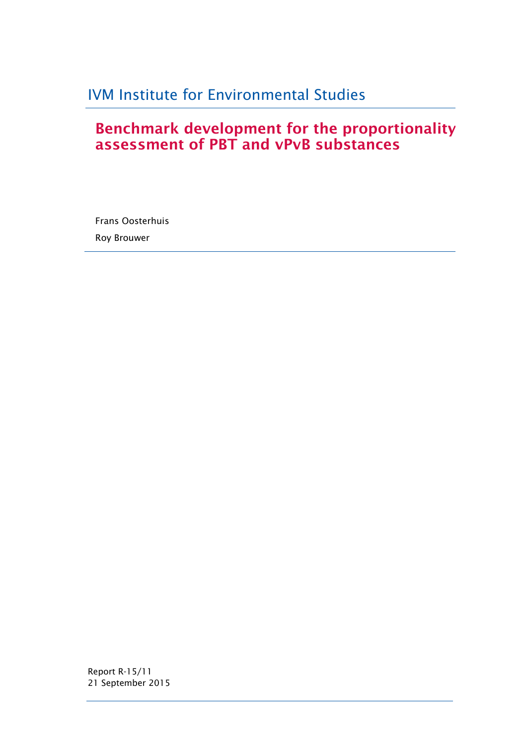# IVM Institute for Environmental Studies

# **Benchmark development for the proportionality assessment of PBT and vPvB substances**

Frans Oosterhuis Roy Brouwer

Report R-15/11 21 September 2015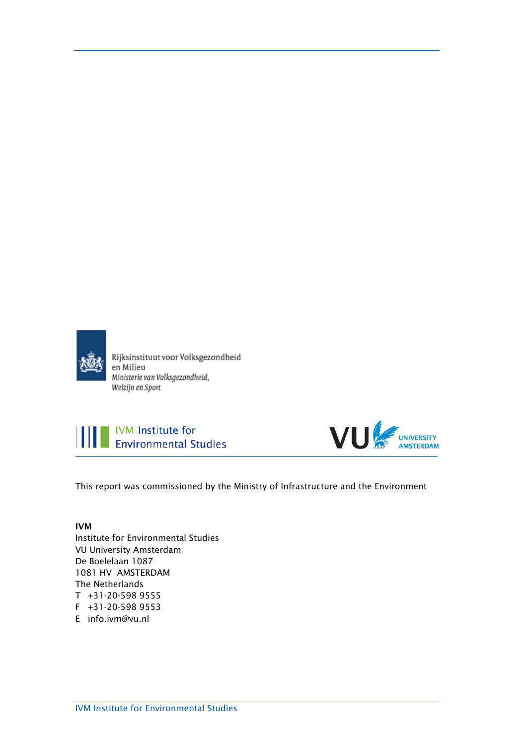

Rijksinstituut voor Volksgezondheid en Milieu Ministerie van Volksgezondheid, Welzijn en Sport





This report was commissioned by the Ministry of Infrastructure and the Environment

## **IVM**

Institute for Environmental Studies VU University Amsterdam De Boelelaan 1087 1081 HV AMSTERDAM The Netherlands T +31-20-598 9555 F +31-20-598 9553 E info.ivm@vu.nl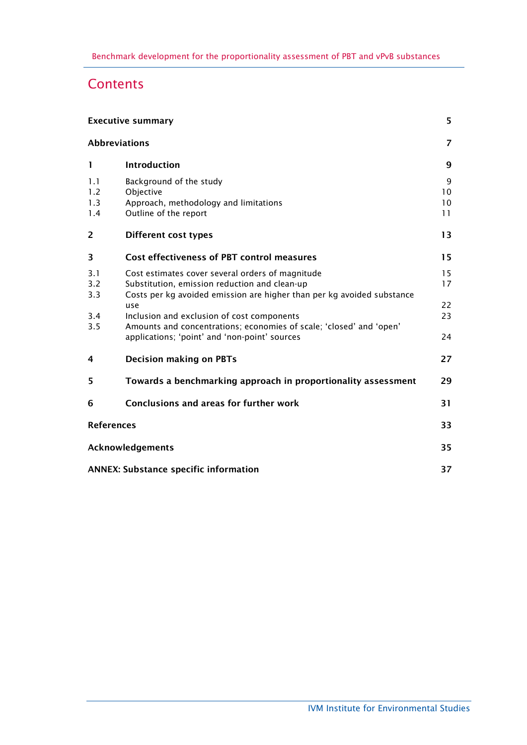# **Contents**

|                          | <b>Executive summary</b>                                                                                                                                                    | 5                   |
|--------------------------|-----------------------------------------------------------------------------------------------------------------------------------------------------------------------------|---------------------|
|                          | <b>Abbreviations</b>                                                                                                                                                        | 7                   |
| 1                        | <b>Introduction</b>                                                                                                                                                         | 9                   |
| 1.1<br>1.2<br>1.3<br>1.4 | Background of the study<br>Objective<br>Approach, methodology and limitations<br>Outline of the report                                                                      | 9<br>10<br>10<br>11 |
| $\overline{2}$           | <b>Different cost types</b>                                                                                                                                                 | 13                  |
| 3                        | Cost effectiveness of PBT control measures                                                                                                                                  | 15                  |
| 3.1<br>3.2<br>3.3        | Cost estimates cover several orders of magnitude<br>Substitution, emission reduction and clean-up<br>Costs per kg avoided emission are higher than per kg avoided substance | 15<br>17            |
| 3.4<br>3.5               | use<br>Inclusion and exclusion of cost components<br>Amounts and concentrations; economies of scale; 'closed' and 'open'                                                    | 22<br>23            |
|                          | applications; 'point' and 'non-point' sources                                                                                                                               | 24                  |
| 4                        | <b>Decision making on PBTs</b>                                                                                                                                              | 27                  |
| 5                        | Towards a benchmarking approach in proportionality assessment                                                                                                               | 29                  |
| 6                        | Conclusions and areas for further work                                                                                                                                      | 31                  |
| <b>References</b>        |                                                                                                                                                                             | 33                  |
|                          | Acknowledgements                                                                                                                                                            | 35                  |
|                          | <b>ANNEX: Substance specific information</b>                                                                                                                                | 37                  |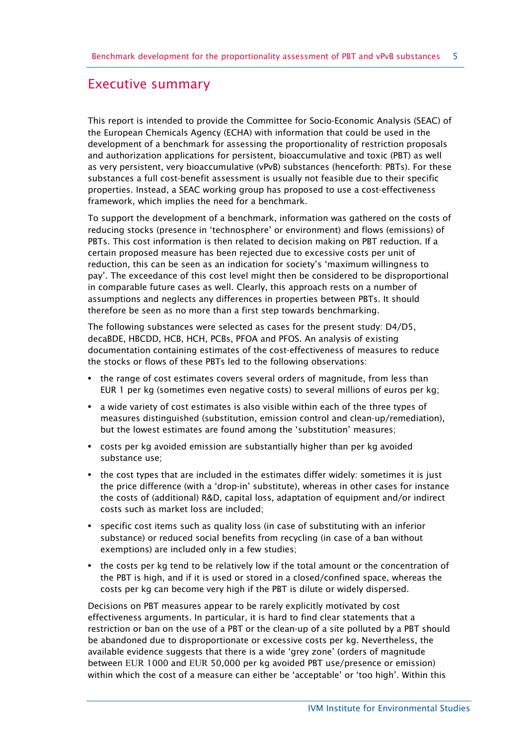# <span id="page-4-0"></span>Executive summary

This report is intended to provide the Committee for Socio-Economic Analysis (SEAC) of the European Chemicals Agency (ECHA) with information that could be used in the development of a benchmark for assessing the proportionality of restriction proposals and authorization applications for persistent, bioaccumulative and toxic (PBT) as well as very persistent, very bioaccumulative (vPvB) substances (henceforth: PBTs). For these substances a full cost-benefit assessment is usually not feasible due to their specific properties. Instead, a SEAC working group has proposed to use a cost-effectiveness framework, which implies the need for a benchmark.

To support the development of a benchmark, information was gathered on the costs of reducing stocks (presence in 'technosphere' or environment) and flows (emissions) of PBTs. This cost information is then related to decision making on PBT reduction. If a certain proposed measure has been rejected due to excessive costs per unit of reduction, this can be seen as an indication for society's 'maximum willingness to pay'. The exceedance of this cost level might then be considered to be disproportional in comparable future cases as well. Clearly, this approach rests on a number of assumptions and neglects any differences in properties between PBTs. It should therefore be seen as no more than a first step towards benchmarking.

The following substances were selected as cases for the present study: D4/D5, decaBDE, HBCDD, HCB, HCH, PCBs, PFOA and PFOS. An analysis of existing documentation containing estimates of the cost-effectiveness of measures to reduce the stocks or flows of these PBTs led to the following observations:

- **•** the range of cost estimates covers several orders of magnitude, from less than EUR 1 per kg (sometimes even negative costs) to several millions of euros per kg;
- **•** a wide variety of cost estimates is also visible within each of the three types of measures distinguished (substitution, emission control and clean-up/remediation), but the lowest estimates are found among the 'substitution' measures;
- **•** costs per kg avoided emission are substantially higher than per kg avoided substance use;
- **•** the cost types that are included in the estimates differ widely: sometimes it is just the price difference (with a 'drop-in' substitute), whereas in other cases for instance the costs of (additional) R&D, capital loss, adaptation of equipment and/or indirect costs such as market loss are included;
- **•** specific cost items such as quality loss (in case of substituting with an inferior substance) or reduced social benefits from recycling (in case of a ban without exemptions) are included only in a few studies;
- **•** the costs per kg tend to be relatively low if the total amount or the concentration of the PBT is high, and if it is used or stored in a closed/confined space, whereas the costs per kg can become very high if the PBT is dilute or widely dispersed.

Decisions on PBT measures appear to be rarely explicitly motivated by cost effectiveness arguments. In particular, it is hard to find clear statements that a restriction or ban on the use of a PBT or the clean-up of a site polluted by a PBT should be abandoned due to disproportionate or excessive costs per kg. Nevertheless, the available evidence suggests that there is a wide 'grey zone' (orders of magnitude between EUR 1000 and EUR 50,000 per kg avoided PBT use/presence or emission) within which the cost of a measure can either be 'acceptable' or 'too high'. Within this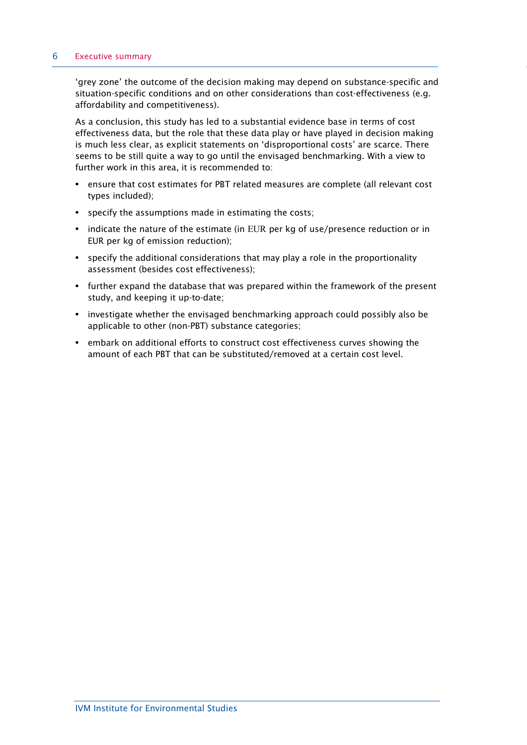#### 6 Executive summary

'grey zone' the outcome of the decision making may depend on substance-specific and situation-specific conditions and on other considerations than cost-effectiveness (e.g. affordability and competitiveness).

As a conclusion, this study has led to a substantial evidence base in terms of cost effectiveness data, but the role that these data play or have played in decision making is much less clear, as explicit statements on 'disproportional costs' are scarce. There seems to be still quite a way to go until the envisaged benchmarking. With a view to further work in this area, it is recommended to:

- **•** ensure that cost estimates for PBT related measures are complete (all relevant cost types included);
- **•** specify the assumptions made in estimating the costs;
- **•** indicate the nature of the estimate (in EUR per kg of use/presence reduction or in EUR per kg of emission reduction);
- **•** specify the additional considerations that may play a role in the proportionality assessment (besides cost effectiveness);
- **•** further expand the database that was prepared within the framework of the present study, and keeping it up-to-date;
- **•** investigate whether the envisaged benchmarking approach could possibly also be applicable to other (non-PBT) substance categories;
- **•** embark on additional efforts to construct cost effectiveness curves showing the amount of each PBT that can be substituted/removed at a certain cost level.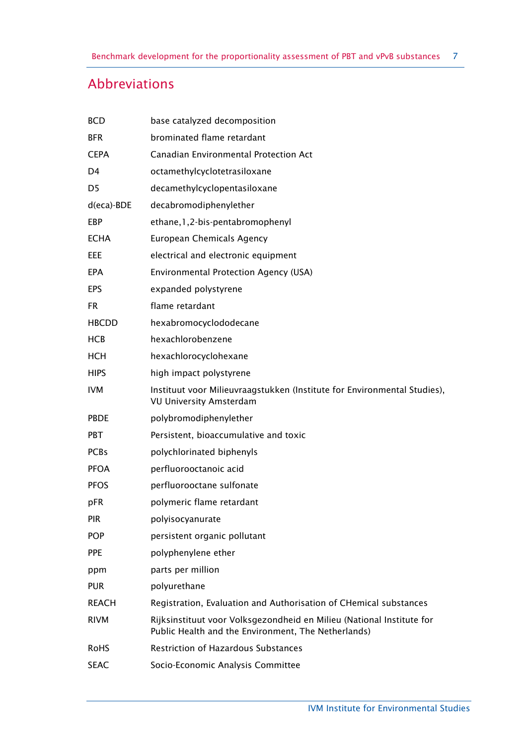# <span id="page-6-0"></span>Abbreviations

| <b>BCD</b>     | base catalyzed decomposition                                                                                                 |
|----------------|------------------------------------------------------------------------------------------------------------------------------|
| <b>BFR</b>     | brominated flame retardant                                                                                                   |
| <b>CEPA</b>    | Canadian Environmental Protection Act                                                                                        |
| D4             | octamethylcyclotetrasiloxane                                                                                                 |
| D <sub>5</sub> | decamethylcyclopentasiloxane                                                                                                 |
| $d(eca)$ -BDE  | decabromodiphenylether                                                                                                       |
| EBP            | ethane, 1, 2-bis-pentabromophenyl                                                                                            |
| <b>ECHA</b>    | <b>European Chemicals Agency</b>                                                                                             |
| EEE            | electrical and electronic equipment                                                                                          |
| EPA            | <b>Environmental Protection Agency (USA)</b>                                                                                 |
| EPS            | expanded polystyrene                                                                                                         |
| FR.            | flame retardant                                                                                                              |
| <b>HBCDD</b>   | hexabromocyclododecane                                                                                                       |
| <b>HCB</b>     | hexachlorobenzene                                                                                                            |
| <b>HCH</b>     | hexachlorocyclohexane                                                                                                        |
| <b>HIPS</b>    | high impact polystyrene                                                                                                      |
| <b>IVM</b>     | Instituut voor Milieuvraagstukken (Institute for Environmental Studies),<br><b>VU University Amsterdam</b>                   |
| <b>PBDE</b>    | polybromodiphenylether                                                                                                       |
| <b>PBT</b>     | Persistent, bioaccumulative and toxic                                                                                        |
| <b>PCBs</b>    | polychlorinated biphenyls                                                                                                    |
| <b>PFOA</b>    | perfluorooctanoic acid                                                                                                       |
| <b>PFOS</b>    | perfluorooctane sulfonate                                                                                                    |
| pFR            | polymeric flame retardant                                                                                                    |
| <b>PIR</b>     | polyisocyanurate                                                                                                             |
| <b>POP</b>     | persistent organic pollutant                                                                                                 |
| <b>PPE</b>     | polyphenylene ether                                                                                                          |
| ppm            | parts per million                                                                                                            |
| <b>PUR</b>     | polyurethane                                                                                                                 |
| <b>REACH</b>   | Registration, Evaluation and Authorisation of CHemical substances                                                            |
| <b>RIVM</b>    | Rijksinstituut voor Volksgezondheid en Milieu (National Institute for<br>Public Health and the Environment, The Netherlands) |
| <b>RoHS</b>    | <b>Restriction of Hazardous Substances</b>                                                                                   |
| <b>SEAC</b>    | Socio-Economic Analysis Committee                                                                                            |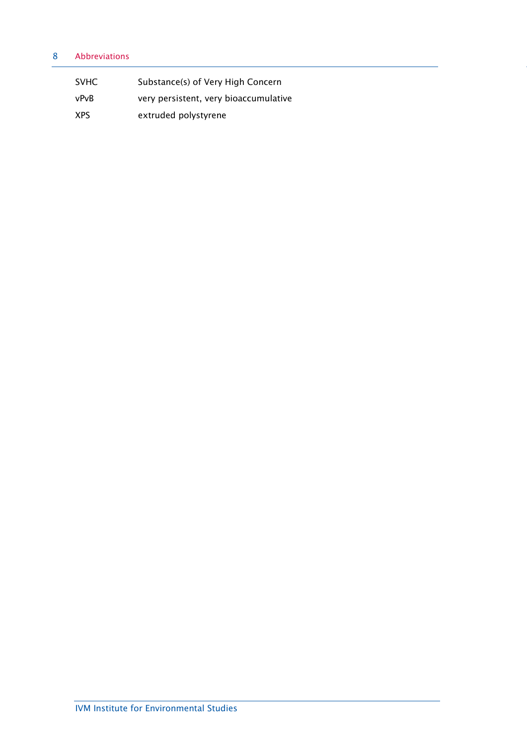## 8 Abbreviations

| <b>SVHC</b> | Substance(s) of Very High Concern     |
|-------------|---------------------------------------|
| vPvB        | very persistent, very bioaccumulative |
| XPS         | extruded polystyrene                  |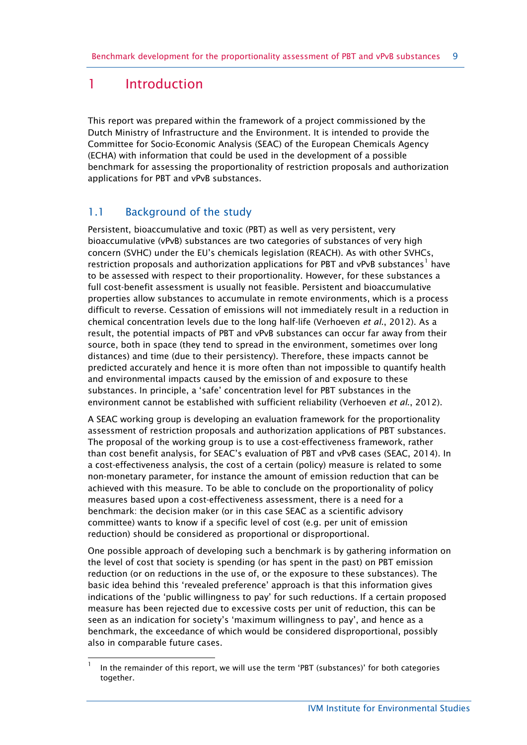# <span id="page-8-0"></span>1 Introduction

 $\overline{a}$ 

This report was prepared within the framework of a project commissioned by the Dutch Ministry of Infrastructure and the Environment. It is intended to provide the Committee for Socio-Economic Analysis (SEAC) of the European Chemicals Agency (ECHA) with information that could be used in the development of a possible benchmark for assessing the proportionality of restriction proposals and authorization applications for PBT and vPvB substances.

# <span id="page-8-1"></span>1.1 Background of the study

Persistent, bioaccumulative and toxic (PBT) as well as very persistent, very bioaccumulative (vPvB) substances are two categories of substances of very high concern (SVHC) under the EU's chemicals legislation (REACH). As with other SVHCs, restriction proposals and authorization applications for PBT and vPvB substances<sup>[1](#page-8-2)</sup> have to be assessed with respect to their proportionality. However, for these substances a full cost-benefit assessment is usually not feasible. Persistent and bioaccumulative properties allow substances to accumulate in remote environments, which is a process difficult to reverse. Cessation of emissions will not immediately result in a reduction in chemical concentration levels due to the long half-life (Verhoeven *et al*., 2012). As a result, the potential impacts of PBT and vPvB substances can occur far away from their source, both in space (they tend to spread in the environment, sometimes over long distances) and time (due to their persistency). Therefore, these impacts cannot be predicted accurately and hence it is more often than not impossible to quantify health and environmental impacts caused by the emission of and exposure to these substances. In principle, a 'safe' concentration level for PBT substances in the environment cannot be established with sufficient reliability (Verhoeven *et al*., 2012).

A SEAC working group is developing an evaluation framework for the proportionality assessment of restriction proposals and authorization applications of PBT substances. The proposal of the working group is to use a cost-effectiveness framework, rather than cost benefit analysis, for SEAC's evaluation of PBT and vPvB cases (SEAC, 2014). In a cost-effectiveness analysis, the cost of a certain (policy) measure is related to some non-monetary parameter, for instance the amount of emission reduction that can be achieved with this measure. To be able to conclude on the proportionality of policy measures based upon a cost-effectiveness assessment, there is a need for a benchmark: the decision maker (or in this case SEAC as a scientific advisory committee) wants to know if a specific level of cost (e.g. per unit of emission reduction) should be considered as proportional or disproportional.

One possible approach of developing such a benchmark is by gathering information on the level of cost that society is spending (or has spent in the past) on PBT emission reduction (or on reductions in the use of, or the exposure to these substances). The basic idea behind this 'revealed preference' approach is that this information gives indications of the 'public willingness to pay' for such reductions. If a certain proposed measure has been rejected due to excessive costs per unit of reduction, this can be seen as an indication for society's 'maximum willingness to pay', and hence as a benchmark, the exceedance of which would be considered disproportional, possibly also in comparable future cases.

<span id="page-8-2"></span><sup>1</sup> In the remainder of this report, we will use the term 'PBT (substances)' for both categories together.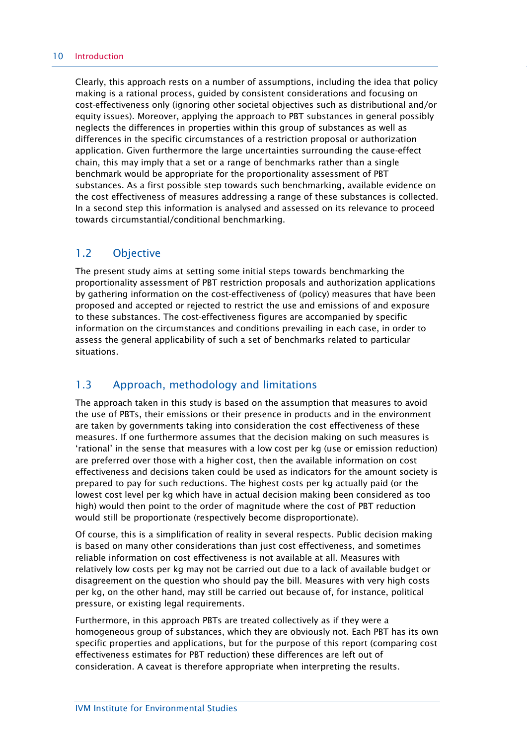Clearly, this approach rests on a number of assumptions, including the idea that policy making is a rational process, guided by consistent considerations and focusing on cost-effectiveness only (ignoring other societal objectives such as distributional and/or equity issues). Moreover, applying the approach to PBT substances in general possibly neglects the differences in properties within this group of substances as well as differences in the specific circumstances of a restriction proposal or authorization application. Given furthermore the large uncertainties surrounding the cause-effect chain, this may imply that a set or a range of benchmarks rather than a single benchmark would be appropriate for the proportionality assessment of PBT substances. As a first possible step towards such benchmarking, available evidence on the cost effectiveness of measures addressing a range of these substances is collected. In a second step this information is analysed and assessed on its relevance to proceed towards circumstantial/conditional benchmarking.

# <span id="page-9-0"></span>1.2 Objective

The present study aims at setting some initial steps towards benchmarking the proportionality assessment of PBT restriction proposals and authorization applications by gathering information on the cost-effectiveness of (policy) measures that have been proposed and accepted or rejected to restrict the use and emissions of and exposure to these substances. The cost-effectiveness figures are accompanied by specific information on the circumstances and conditions prevailing in each case, in order to assess the general applicability of such a set of benchmarks related to particular situations.

# <span id="page-9-1"></span>1.3 Approach, methodology and limitations

The approach taken in this study is based on the assumption that measures to avoid the use of PBTs, their emissions or their presence in products and in the environment are taken by governments taking into consideration the cost effectiveness of these measures. If one furthermore assumes that the decision making on such measures is 'rational' in the sense that measures with a low cost per kg (use or emission reduction) are preferred over those with a higher cost, then the available information on cost effectiveness and decisions taken could be used as indicators for the amount society is prepared to pay for such reductions. The highest costs per kg actually paid (or the lowest cost level per kg which have in actual decision making been considered as too high) would then point to the order of magnitude where the cost of PBT reduction would still be proportionate (respectively become disproportionate).

Of course, this is a simplification of reality in several respects. Public decision making is based on many other considerations than just cost effectiveness, and sometimes reliable information on cost effectiveness is not available at all. Measures with relatively low costs per kg may not be carried out due to a lack of available budget or disagreement on the question who should pay the bill. Measures with very high costs per kg, on the other hand, may still be carried out because of, for instance, political pressure, or existing legal requirements.

Furthermore, in this approach PBTs are treated collectively as if they were a homogeneous group of substances, which they are obviously not. Each PBT has its own specific properties and applications, but for the purpose of this report (comparing cost effectiveness estimates for PBT reduction) these differences are left out of consideration. A caveat is therefore appropriate when interpreting the results.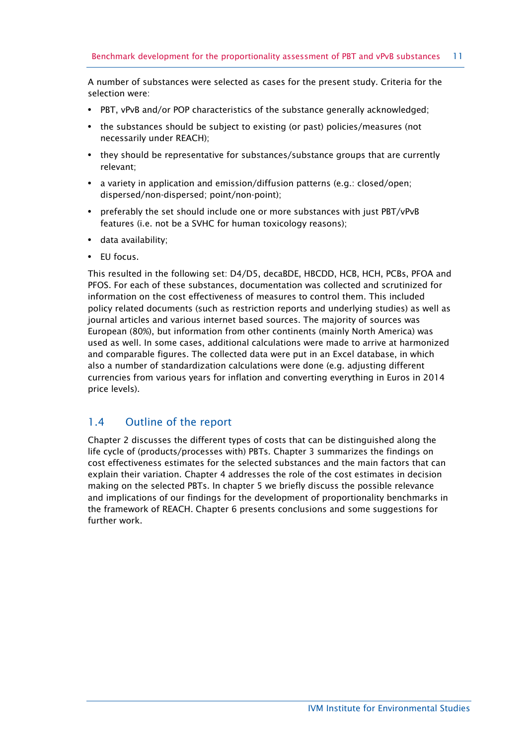A number of substances were selected as cases for the present study. Criteria for the selection were:

- **•** PBT, vPvB and/or POP characteristics of the substance generally acknowledged;
- **•** the substances should be subject to existing (or past) policies/measures (not necessarily under REACH);
- **•** they should be representative for substances/substance groups that are currently relevant;
- **•** a variety in application and emission/diffusion patterns (e.g.: closed/open; dispersed/non-dispersed; point/non-point);
- **•** preferably the set should include one or more substances with just PBT/vPvB features (i.e. not be a SVHC for human toxicology reasons);
- **•** data availability;
- **•** EU focus.

This resulted in the following set: D4/D5, decaBDE, HBCDD, HCB, HCH, PCBs, PFOA and PFOS. For each of these substances, documentation was collected and scrutinized for information on the cost effectiveness of measures to control them. This included policy related documents (such as restriction reports and underlying studies) as well as journal articles and various internet based sources. The majority of sources was European (80%), but information from other continents (mainly North America) was used as well. In some cases, additional calculations were made to arrive at harmonized and comparable figures. The collected data were put in an Excel database, in which also a number of standardization calculations were done (e.g. adjusting different currencies from various years for inflation and converting everything in Euros in 2014 price levels).

## <span id="page-10-0"></span>1.4 Outline of the report

Chapter 2 discusses the different types of costs that can be distinguished along the life cycle of (products/processes with) PBTs. Chapter 3 summarizes the findings on cost effectiveness estimates for the selected substances and the main factors that can explain their variation. Chapter 4 addresses the role of the cost estimates in decision making on the selected PBTs. In chapter 5 we briefly discuss the possible relevance and implications of our findings for the development of proportionality benchmarks in the framework of REACH. Chapter 6 presents conclusions and some suggestions for further work.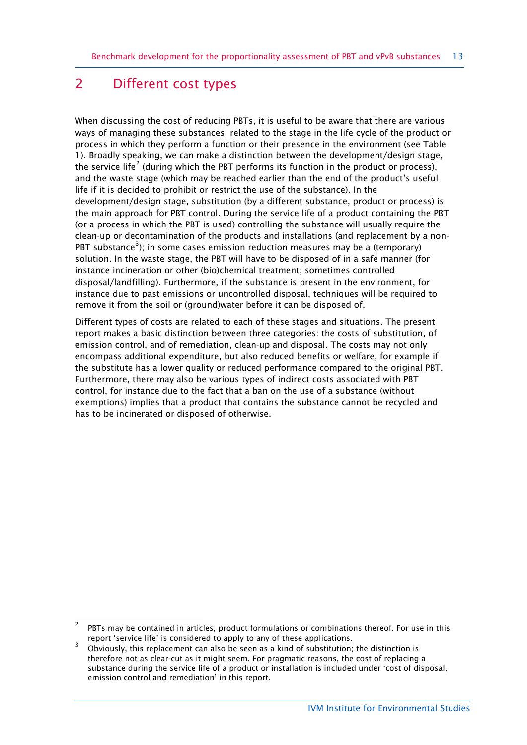# <span id="page-12-0"></span>2 Different cost types

When discussing the cost of reducing PBTs, it is useful to be aware that there are various ways of managing these substances, related to the stage in the life cycle of the product or process in which they perform a function or their presence in the environment (see Table 1). Broadly speaking, we can make a distinction between the development/design stage, the service life<sup>[2](#page-12-1)</sup> (during which the PBT performs its function in the product or process), and the waste stage (which may be reached earlier than the end of the product's useful life if it is decided to prohibit or restrict the use of the substance). In the development/design stage, substitution (by a different substance, product or process) is the main approach for PBT control. During the service life of a product containing the PBT (or a process in which the PBT is used) controlling the substance will usually require the clean-up or decontamination of the products and installations (and replacement by a non-PBT substance<sup>[3](#page-12-2)</sup>); in some cases emission reduction measures may be a (temporary) solution. In the waste stage, the PBT will have to be disposed of in a safe manner (for instance incineration or other (bio)chemical treatment; sometimes controlled disposal/landfilling). Furthermore, if the substance is present in the environment, for instance due to past emissions or uncontrolled disposal, techniques will be required to remove it from the soil or (ground)water before it can be disposed of.

Different types of costs are related to each of these stages and situations. The present report makes a basic distinction between three categories: the costs of substitution, of emission control, and of remediation, clean-up and disposal. The costs may not only encompass additional expenditure, but also reduced benefits or welfare, for example if the substitute has a lower quality or reduced performance compared to the original PBT. Furthermore, there may also be various types of indirect costs associated with PBT control, for instance due to the fact that a ban on the use of a substance (without exemptions) implies that a product that contains the substance cannot be recycled and has to be incinerated or disposed of otherwise.

<span id="page-12-1"></span> $\frac{1}{2}$  PBTs may be contained in articles, product formulations or combinations thereof. For use in this report 'service life' is considered to apply to any of these applications.

<span id="page-12-2"></span><sup>3</sup> Obviously, this replacement can also be seen as a kind of substitution; the distinction is therefore not as clear-cut as it might seem. For pragmatic reasons, the cost of replacing a substance during the service life of a product or installation is included under 'cost of disposal, emission control and remediation' in this report.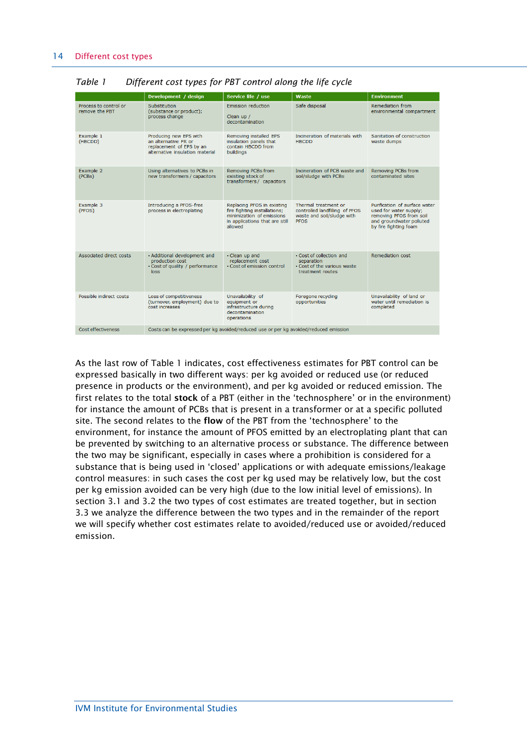|                                         | Development / design                                                                                          | Service life / use                                                                                                                   | Waste                                                                                               | <b>Environment</b>                                                                                                                      |
|-----------------------------------------|---------------------------------------------------------------------------------------------------------------|--------------------------------------------------------------------------------------------------------------------------------------|-----------------------------------------------------------------------------------------------------|-----------------------------------------------------------------------------------------------------------------------------------------|
| Process to control or<br>remove the PBT | Substitution<br>(substance or product);<br>process change                                                     | <b>Emission reduction</b><br>Clean up /<br>decontamination                                                                           | Safe disposal                                                                                       | Remediation from<br>environmental compartment                                                                                           |
| Example 1<br>(HBCDD)                    | Producing new EPS with<br>an alternative FR or<br>replacement of EPS by an<br>alternative insulation material | Removing installed EPS<br>insulation panels that<br>contain HBCDD from<br>buildings                                                  | Incineration of materials with<br><b>HBCDD</b>                                                      | Sanitation of construction<br>waste dumps                                                                                               |
| Example 2<br>(PCBs)                     | Using alternatives to PCBs in<br>new transformers / capacitors                                                | Removing PCBs from<br>existing stock of<br>transformers / capacitors                                                                 | Incineration of PCB waste and<br>soil/sludge with PCBs                                              | Removing PCBs from<br>contaminated sites                                                                                                |
| Example 3<br>(PFOS)                     | Introducing a PFOS-free<br>process in electroplating                                                          | Replacing PFOS in existing<br>fire fighting installations;<br>minimization of emissions<br>in applications that are still<br>allowed | Thermal treatment or<br>controlled landfilling of PFOS<br>waste and soil/sludge with<br><b>PFOS</b> | Purification of surface water<br>used for water supply;<br>removing PFOS from soil<br>and groundwater polluted<br>by fire fighting foam |
| Associated direct costs                 | · Additional development and<br>production cost<br>• Cost of quality / performance<br>loss                    | • Clean up and<br>replacement cost<br>· Cost of emission control                                                                     | • Cost of collection and<br>separation<br>. Cost of the various waste<br>treatment routes           | Remediation cost                                                                                                                        |
| Possible indirect costs                 | Loss of competitiveness<br>(turnover, employment) due to<br>cost increases                                    | Unavailability of<br>equipment or<br>infrastructure during<br>decontamination<br>operations                                          | Foregone recycling<br>opportunities                                                                 | Unavailability of land or<br>water until remediation is<br>completed                                                                    |
| <b>Cost effectiveness</b>               | Costs can be expressed per kg avoided/reduced use or per kg avoided/reduced emission                          |                                                                                                                                      |                                                                                                     |                                                                                                                                         |

*Table 1 Different cost types for PBT control along the life cycle*

As the last row of Table 1 indicates, cost effectiveness estimates for PBT control can be expressed basically in two different ways: per kg avoided or reduced use (or reduced presence in products or the environment), and per kg avoided or reduced emission. The first relates to the total **stock** of a PBT (either in the 'technosphere' or in the environment) for instance the amount of PCBs that is present in a transformer or at a specific polluted site. The second relates to the **flow** of the PBT from the 'technosphere' to the environment, for instance the amount of PFOS emitted by an electroplating plant that can be prevented by switching to an alternative process or substance. The difference between the two may be significant, especially in cases where a prohibition is considered for a substance that is being used in 'closed' applications or with adequate emissions/leakage control measures: in such cases the cost per kg used may be relatively low, but the cost per kg emission avoided can be very high (due to the low initial level of emissions). In section 3.1 and 3.2 the two types of cost estimates are treated together, but in section 3.3 we analyze the difference between the two types and in the remainder of the report we will specify whether cost estimates relate to avoided/reduced use or avoided/reduced emission.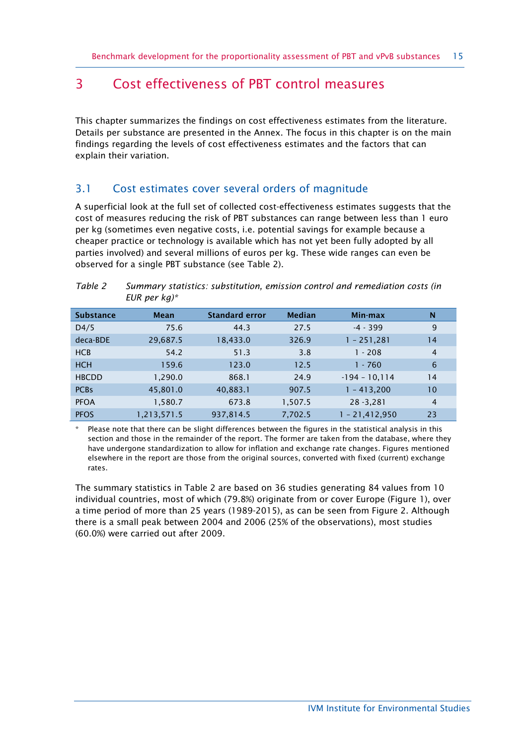# <span id="page-14-0"></span>3 Cost effectiveness of PBT control measures

This chapter summarizes the findings on cost effectiveness estimates from the literature. Details per substance are presented in the Annex. The focus in this chapter is on the main findings regarding the levels of cost effectiveness estimates and the factors that can explain their variation.

# <span id="page-14-1"></span>3.1 Cost estimates cover several orders of magnitude

A superficial look at the full set of collected cost-effectiveness estimates suggests that the cost of measures reducing the risk of PBT substances can range between less than 1 euro per kg (sometimes even negative costs, i.e. potential savings for example because a cheaper practice or technology is available which has not yet been fully adopted by all parties involved) and several millions of euros per kg. These wide ranges can even be observed for a single PBT substance (see Table 2).

|                  | == p = ,    |                       |               |                  |                |
|------------------|-------------|-----------------------|---------------|------------------|----------------|
| <b>Substance</b> | <b>Mean</b> | <b>Standard error</b> | <b>Median</b> | Min max          | N              |
| D4/5             | 75.6        | 44.3                  | 27.5          | $-4 - 399$       | 9              |
| deca-BDE         | 29,687.5    | 18,433.0              | 326.9         | $1 - 251,281$    | 14             |
| <b>HCB</b>       | 54.2        | 51.3                  | 3.8           | $1 - 208$        | 4              |
| <b>HCH</b>       | 159.6       | 123.0                 | 12.5          | $1 - 760$        | 6              |
| <b>HBCDD</b>     | 1,290.0     | 868.1                 | 24.9          | $-194 - 10, 114$ | 14             |
| <b>PCBs</b>      | 45,801.0    | 40,883.1              | 907.5         | $1 - 413,200$    | 10             |
| <b>PFOA</b>      | 1,580.7     | 673.8                 | 1,507.5       | $28 - 3,281$     | $\overline{4}$ |
| <b>PFOS</b>      | 1,213,571.5 | 937,814.5             | 7,702.5       | $1 - 21,412,950$ | 23             |

| Table 2 | Summary statistics: substitution, emission control and remediation costs (in |
|---------|------------------------------------------------------------------------------|
|         | EUR per $kg$ <sup>*</sup>                                                    |

Please note that there can be slight differences between the figures in the statistical analysis in this section and those in the remainder of the report. The former are taken from the database, where they have undergone standardization to allow for inflation and exchange rate changes. Figures mentioned elsewhere in the report are those from the original sources, converted with fixed (current) exchange rates.

The summary statistics in Table 2 are based on 36 studies generating 84 values from 10 individual countries, most of which (79.8%) originate from or cover Europe (Figure 1), over a time period of more than 25 years (1989-2015), as can be seen from Figure 2. Although there is a small peak between 2004 and 2006 (25% of the observations), most studies (60.0%) were carried out after 2009.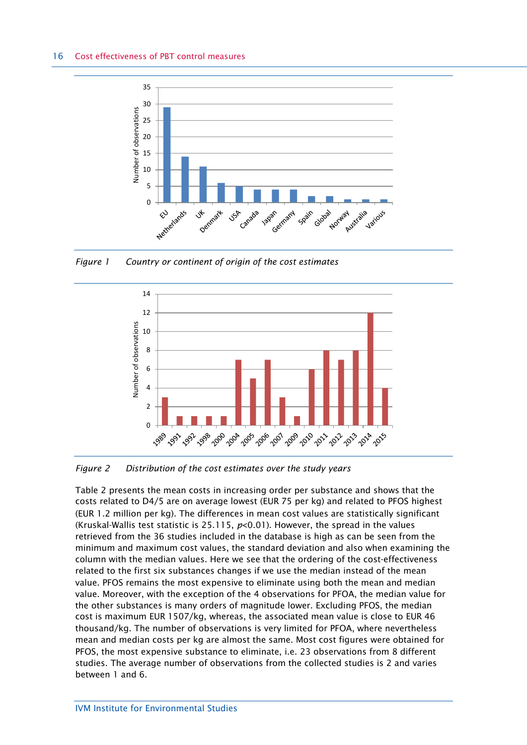

*Figure 1 Country or continent of origin of the cost estimates*



*Figure 2 Distribution of the cost estimates over the study years*

Table 2 presents the mean costs in increasing order per substance and shows that the costs related to D4/5 are on average lowest (EUR 75 per kg) and related to PFOS highest (EUR 1.2 million per kg). The differences in mean cost values are statistically significant (Kruskal-Wallis test statistic is 25.115, *p*<0.01). However, the spread in the values retrieved from the 36 studies included in the database is high as can be seen from the minimum and maximum cost values, the standard deviation and also when examining the column with the median values. Here we see that the ordering of the cost-effectiveness related to the first six substances changes if we use the median instead of the mean value. PFOS remains the most expensive to eliminate using both the mean and median value. Moreover, with the exception of the 4 observations for PFOA, the median value for the other substances is many orders of magnitude lower. Excluding PFOS, the median cost is maximum EUR 1507/kg, whereas, the associated mean value is close to EUR 46 thousand/kg. The number of observations is very limited for PFOA, where nevertheless mean and median costs per kg are almost the same. Most cost figures were obtained for PFOS, the most expensive substance to eliminate, i.e. 23 observations from 8 different studies. The average number of observations from the collected studies is 2 and varies between 1 and 6.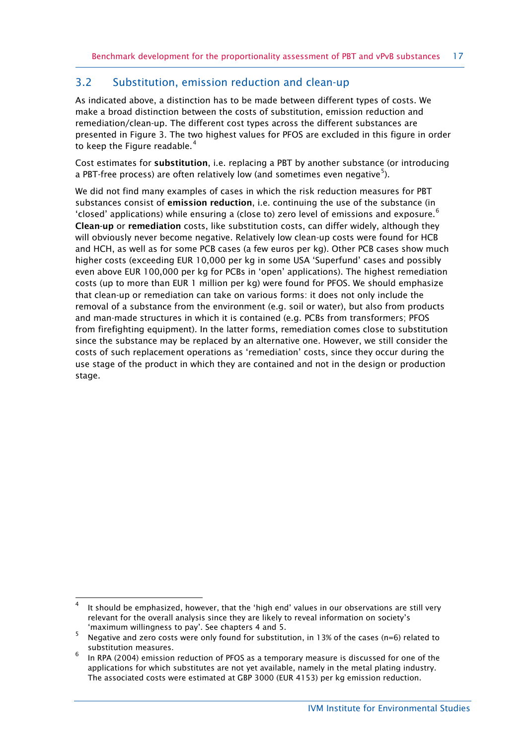## <span id="page-16-0"></span>3.2 Substitution, emission reduction and clean-up

As indicated above, a distinction has to be made between different types of costs. We make a broad distinction between the costs of substitution, emission reduction and remediation/clean-up. The different cost types across the different substances are presented in Figure 3. The two highest values for PFOS are excluded in this figure in order to keep the Figure readable.<sup>[4](#page-16-1)</sup>

Cost estimates for **substitution**, i.e. replacing a PBT by another substance (or introducing a PBT-free process) are often relatively low (and sometimes even negative ${}^{5}$  ${}^{5}$  ${}^{5}$ ).

We did not find many examples of cases in which the risk reduction measures for PBT substances consist of **emission reduction**, i.e. continuing the use of the substance (in 'closed' applications) while ensuring a (close to) zero level of emissions and exposure.<sup>[6](#page-16-3)</sup> **Clean-up** or **remediation** costs, like substitution costs, can differ widely, although they will obviously never become negative. Relatively low clean-up costs were found for HCB and HCH, as well as for some PCB cases (a few euros per kg). Other PCB cases show much higher costs (exceeding EUR 10,000 per kg in some USA 'Superfund' cases and possibly even above EUR 100,000 per kg for PCBs in 'open' applications). The highest remediation costs (up to more than EUR 1 million per kg) were found for PFOS. We should emphasize that clean-up or remediation can take on various forms: it does not only include the removal of a substance from the environment (e.g. soil or water), but also from products and man-made structures in which it is contained (e.g. PCBs from transformers; PFOS from firefighting equipment). In the latter forms, remediation comes close to substitution since the substance may be replaced by an alternative one. However, we still consider the costs of such replacement operations as 'remediation' costs, since they occur during the use stage of the product in which they are contained and not in the design or production stage.

<span id="page-16-1"></span><sup>-</sup>4 It should be emphasized, however, that the 'high end' values in our observations are still very relevant for the overall analysis since they are likely to reveal information on society's 'maximum willingness to pay'. See chapters 4 and 5.

<span id="page-16-2"></span><sup>5</sup> Negative and zero costs were only found for substitution, in 13% of the cases (n=6) related to substitution measures.

<span id="page-16-3"></span><sup>6</sup> In RPA (2004) emission reduction of PFOS as a temporary measure is discussed for one of the applications for which substitutes are not yet available, namely in the metal plating industry. The associated costs were estimated at GBP 3000 (EUR 4153) per kg emission reduction.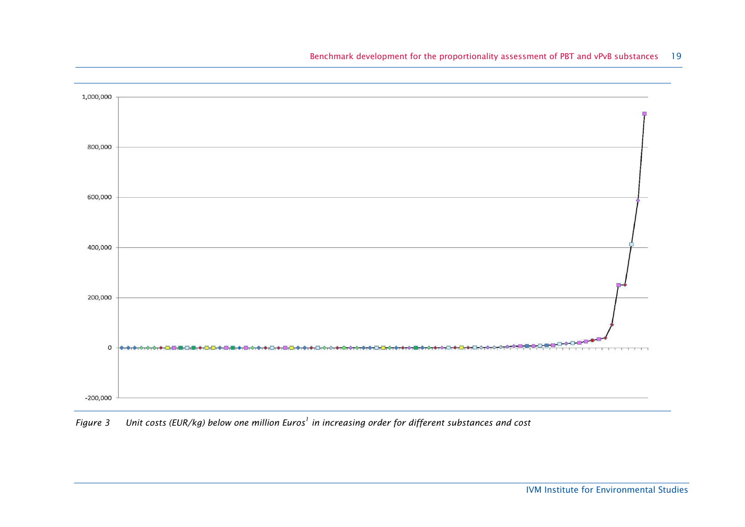

*Figure 3 Unit costs (EUR/kg) below one million Euros<sup>1</sup> in increasing order for different substances and cost*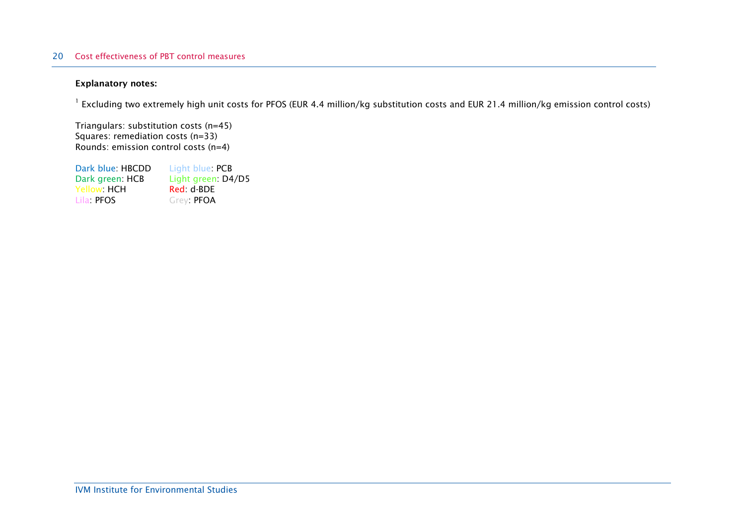#### 20 Cost effectiveness of PBT control measures

#### **Explanatory notes:**

 $^{-1}$  Excluding two extremely high unit costs for PFOS (EUR 4.4 million/kg substitution costs and EUR 21.4 million/kg emission control costs)

Triangulars: substitution costs (n=45) Squares: remediation costs (n=33) Rounds: emission control costs (n=4)

Dark blue: HBCDD Light blue: PCB<br>Dark green: HCB Light green: D4 Light green: D4/D5<br>Red: d-BDE Yellow: HCH<br>Lila PFOS Grey: PFOA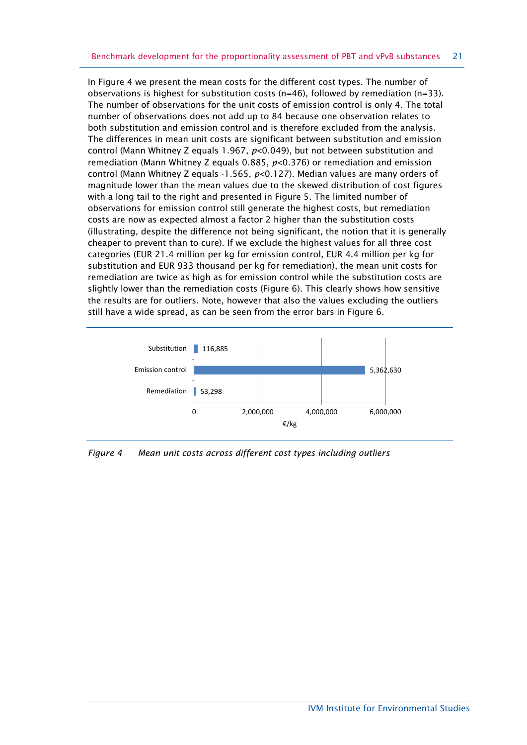In Figure 4 we present the mean costs for the different cost types. The number of observations is highest for substitution costs ( $n=46$ ), followed by remediation ( $n=33$ ). The number of observations for the unit costs of emission control is only 4. The total number of observations does not add up to 84 because one observation relates to both substitution and emission control and is therefore excluded from the analysis. The differences in mean unit costs are significant between substitution and emission control (Mann Whitney Z equals 1.967, *p*<0.049), but not between substitution and remediation (Mann Whitney Z equals 0.885, *p*<0.376) or remediation and emission control (Mann Whitney Z equals -1.565, *p*<0.127). Median values are many orders of magnitude lower than the mean values due to the skewed distribution of cost figures with a long tail to the right and presented in Figure 5. The limited number of observations for emission control still generate the highest costs, but remediation costs are now as expected almost a factor 2 higher than the substitution costs (illustrating, despite the difference not being significant, the notion that it is generally cheaper to prevent than to cure). If we exclude the highest values for all three cost categories (EUR 21.4 million per kg for emission control, EUR 4.4 million per kg for substitution and EUR 933 thousand per kg for remediation), the mean unit costs for remediation are twice as high as for emission control while the substitution costs are slightly lower than the remediation costs (Figure 6). This clearly shows how sensitive the results are for outliers. Note, however that also the values excluding the outliers still have a wide spread, as can be seen from the error bars in Figure 6.



*Figure 4 Mean unit costs across different cost types including outliers*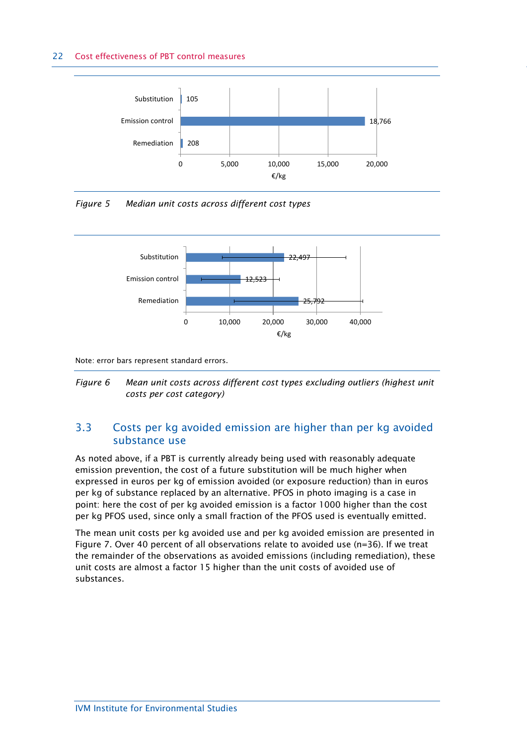#### 22 Cost effectiveness of PBT control measures



*Figure 5 Median unit costs across different cost types*



Note: error bars represent standard errors.



# <span id="page-21-0"></span>3.3 Costs per kg avoided emission are higher than per kg avoided substance use

As noted above, if a PBT is currently already being used with reasonably adequate emission prevention, the cost of a future substitution will be much higher when expressed in euros per kg of emission avoided (or exposure reduction) than in euros per kg of substance replaced by an alternative. PFOS in photo imaging is a case in point: here the cost of per kg avoided emission is a factor 1000 higher than the cost per kg PFOS used, since only a small fraction of the PFOS used is eventually emitted.

The mean unit costs per kg avoided use and per kg avoided emission are presented in Figure 7. Over 40 percent of all observations relate to avoided use (n=36). If we treat the remainder of the observations as avoided emissions (including remediation), these unit costs are almost a factor 15 higher than the unit costs of avoided use of substances.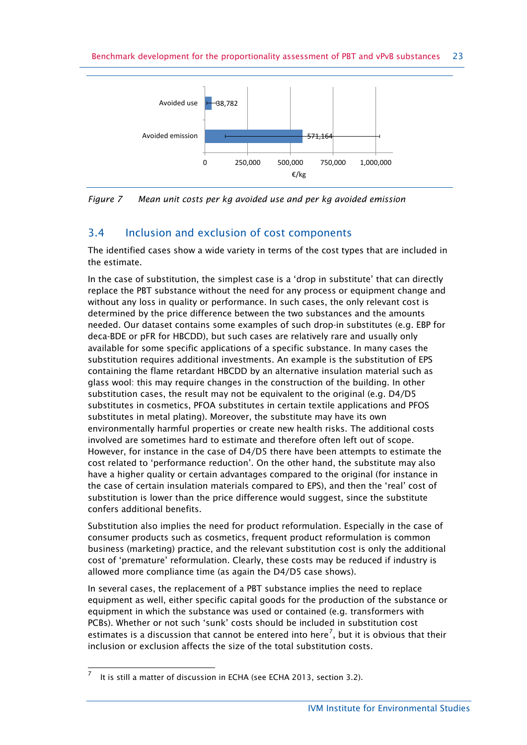

*Figure 7 Mean unit costs per kg avoided use and per kg avoided emission*

# <span id="page-22-0"></span>3.4 Inclusion and exclusion of cost components

The identified cases show a wide variety in terms of the cost types that are included in the estimate.

In the case of substitution, the simplest case is a 'drop in substitute' that can directly replace the PBT substance without the need for any process or equipment change and without any loss in quality or performance. In such cases, the only relevant cost is determined by the price difference between the two substances and the amounts needed. Our dataset contains some examples of such drop-in substitutes (e.g. EBP for deca-BDE or pFR for HBCDD), but such cases are relatively rare and usually only available for some specific applications of a specific substance. In many cases the substitution requires additional investments. An example is the substitution of EPS containing the flame retardant HBCDD by an alternative insulation material such as glass wool: this may require changes in the construction of the building. In other substitution cases, the result may not be equivalent to the original (e.g. D4/D5 substitutes in cosmetics, PFOA substitutes in certain textile applications and PFOS substitutes in metal plating). Moreover, the substitute may have its own environmentally harmful properties or create new health risks. The additional costs involved are sometimes hard to estimate and therefore often left out of scope. However, for instance in the case of D4/D5 there have been attempts to estimate the cost related to 'performance reduction'. On the other hand, the substitute may also have a higher quality or certain advantages compared to the original (for instance in the case of certain insulation materials compared to EPS), and then the 'real' cost of substitution is lower than the price difference would suggest, since the substitute confers additional benefits.

Substitution also implies the need for product reformulation. Especially in the case of consumer products such as cosmetics, frequent product reformulation is common business (marketing) practice, and the relevant substitution cost is only the additional cost of 'premature' reformulation. Clearly, these costs may be reduced if industry is allowed more compliance time (as again the D4/D5 case shows).

In several cases, the replacement of a PBT substance implies the need to replace equipment as well, either specific capital goods for the production of the substance or equipment in which the substance was used or contained (e.g. transformers with PCBs). Whether or not such 'sunk' costs should be included in substitution cost estimates is a discussion that cannot be entered into here<sup>[7](#page-22-1)</sup>, but it is obvious that their inclusion or exclusion affects the size of the total substitution costs.

<span id="page-22-1"></span> 7 It is still a matter of discussion in ECHA (see ECHA 2013, section 3.2).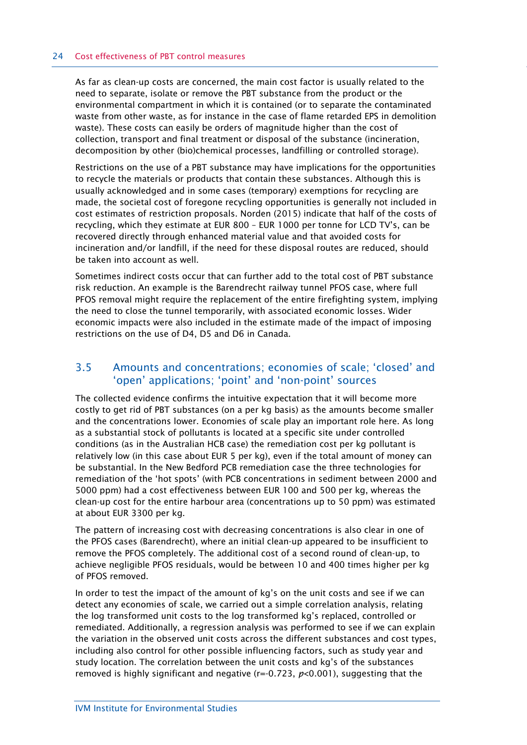As far as clean-up costs are concerned, the main cost factor is usually related to the need to separate, isolate or remove the PBT substance from the product or the environmental compartment in which it is contained (or to separate the contaminated waste from other waste, as for instance in the case of flame retarded EPS in demolition waste). These costs can easily be orders of magnitude higher than the cost of collection, transport and final treatment or disposal of the substance (incineration, decomposition by other (bio)chemical processes, landfilling or controlled storage).

Restrictions on the use of a PBT substance may have implications for the opportunities to recycle the materials or products that contain these substances. Although this is usually acknowledged and in some cases (temporary) exemptions for recycling are made, the societal cost of foregone recycling opportunities is generally not included in cost estimates of restriction proposals. Norden (2015) indicate that half of the costs of recycling, which they estimate at EUR 800 – EUR 1000 per tonne for LCD TV's, can be recovered directly through enhanced material value and that avoided costs for incineration and/or landfill, if the need for these disposal routes are reduced, should be taken into account as well.

Sometimes indirect costs occur that can further add to the total cost of PBT substance risk reduction. An example is the Barendrecht railway tunnel PFOS case, where full PFOS removal might require the replacement of the entire firefighting system, implying the need to close the tunnel temporarily, with associated economic losses. Wider economic impacts were also included in the estimate made of the impact of imposing restrictions on the use of D4, D5 and D6 in Canada.

## <span id="page-23-0"></span>3.5 Amounts and concentrations; economies of scale; 'closed' and 'open' applications; 'point' and 'non-point' sources

The collected evidence confirms the intuitive expectation that it will become more costly to get rid of PBT substances (on a per kg basis) as the amounts become smaller and the concentrations lower. Economies of scale play an important role here. As long as a substantial stock of pollutants is located at a specific site under controlled conditions (as in the Australian HCB case) the remediation cost per kg pollutant is relatively low (in this case about EUR 5 per kg), even if the total amount of money can be substantial. In the New Bedford PCB remediation case the three technologies for remediation of the 'hot spots' (with PCB concentrations in sediment between 2000 and 5000 ppm) had a cost effectiveness between EUR 100 and 500 per kg, whereas the clean-up cost for the entire harbour area (concentrations up to 50 ppm) was estimated at about EUR 3300 per kg.

The pattern of increasing cost with decreasing concentrations is also clear in one of the PFOS cases (Barendrecht), where an initial clean-up appeared to be insufficient to remove the PFOS completely. The additional cost of a second round of clean-up, to achieve negligible PFOS residuals, would be between 10 and 400 times higher per kg of PFOS removed.

In order to test the impact of the amount of kg's on the unit costs and see if we can detect any economies of scale, we carried out a simple correlation analysis, relating the log transformed unit costs to the log transformed kg's replaced, controlled or remediated. Additionally, a regression analysis was performed to see if we can explain the variation in the observed unit costs across the different substances and cost types, including also control for other possible influencing factors, such as study year and study location. The correlation between the unit costs and kg's of the substances removed is highly significant and negative (r=-0.723, *p*<0.001), suggesting that the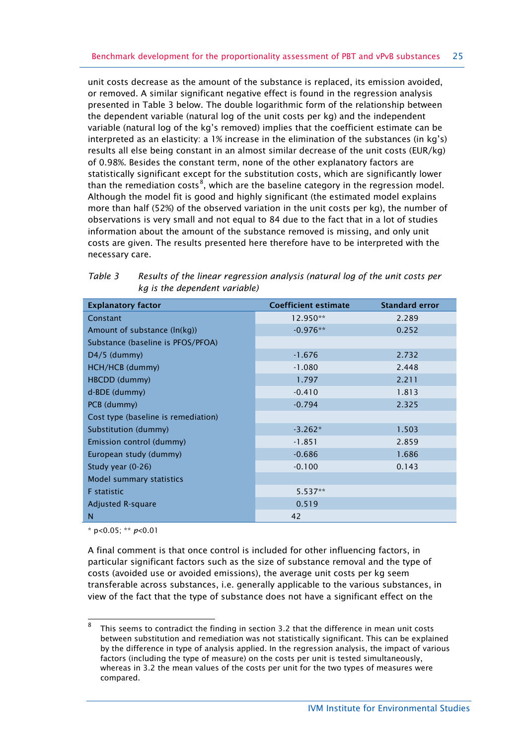unit costs decrease as the amount of the substance is replaced, its emission avoided, or removed. A similar significant negative effect is found in the regression analysis presented in Table 3 below. The double logarithmic form of the relationship between the dependent variable (natural log of the unit costs per kg) and the independent variable (natural log of the kg's removed) implies that the coefficient estimate can be interpreted as an elasticity: a 1% increase in the elimination of the substances (in kg's) results all else being constant in an almost similar decrease of the unit costs (EUR/kg) of 0.98%. Besides the constant term, none of the other explanatory factors are statistically significant except for the substitution costs, which are significantly lower than the remediation costs $^8$  $^8$ , which are the baseline category in the regression model. Although the model fit is good and highly significant (the estimated model explains more than half (52%) of the observed variation in the unit costs per kg), the number of observations is very small and not equal to 84 due to the fact that in a lot of studies information about the amount of the substance removed is missing, and only unit costs are given. The results presented here therefore have to be interpreted with the necessary care.

| <b>Explanatory factor</b>           | <b>Coefficient estimate</b> | <b>Standard error</b> |
|-------------------------------------|-----------------------------|-----------------------|
| Constant                            | 12.950**                    | 2.289                 |
| Amount of substance (ln(kg))        | $-0.976**$                  | 0.252                 |
| Substance (baseline is PFOS/PFOA)   |                             |                       |
| $D4/5$ (dummy)                      | $-1.676$                    | 2.732                 |
| HCH/HCB (dummy)                     | $-1.080$                    | 2.448                 |
| HBCDD (dummy)                       | 1.797                       | 2.211                 |
| d-BDE (dummy)                       | $-0.410$                    | 1.813                 |
| PCB (dummy)                         | $-0.794$                    | 2.325                 |
| Cost type (baseline is remediation) |                             |                       |
| Substitution (dummy)                | $-3.262*$                   | 1.503                 |
| Emission control (dummy)            | $-1.851$                    | 2.859                 |
| European study (dummy)              | $-0.686$                    | 1.686                 |
| Study year $(0-26)$                 | $-0.100$                    | 0.143                 |
| Model summary statistics            |                             |                       |
| <b>F</b> statistic                  | $5.537**$                   |                       |
| <b>Adjusted R-square</b>            | 0.519                       |                       |
| N                                   | 42                          |                       |

| Table 3 | Results of the linear regression analysis (natural log of the unit costs per |
|---------|------------------------------------------------------------------------------|
|         | kg is the dependent variable)                                                |

\* p<0.05; \*\* *p*<0.01

A final comment is that once control is included for other influencing factors, in particular significant factors such as the size of substance removal and the type of costs (avoided use or avoided emissions), the average unit costs per kg seem transferable across substances, i.e. generally applicable to the various substances, in view of the fact that the type of substance does not have a significant effect on the

<span id="page-24-0"></span> 8 This seems to contradict the finding in section 3.2 that the difference in mean unit costs between substitution and remediation was not statistically significant. This can be explained by the difference in type of analysis applied. In the regression analysis, the impact of various factors (including the type of measure) on the costs per unit is tested simultaneously, whereas in 3.2 the mean values of the costs per unit for the two types of measures were compared.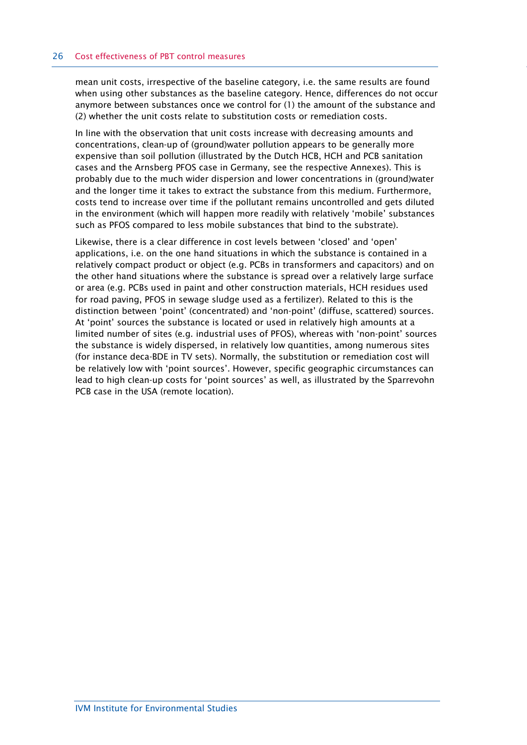mean unit costs, irrespective of the baseline category, i.e. the same results are found when using other substances as the baseline category. Hence, differences do not occur anymore between substances once we control for (1) the amount of the substance and (2) whether the unit costs relate to substitution costs or remediation costs.

In line with the observation that unit costs increase with decreasing amounts and concentrations, clean-up of (ground)water pollution appears to be generally more expensive than soil pollution (illustrated by the Dutch HCB, HCH and PCB sanitation cases and the Arnsberg PFOS case in Germany, see the respective Annexes). This is probably due to the much wider dispersion and lower concentrations in (ground)water and the longer time it takes to extract the substance from this medium. Furthermore, costs tend to increase over time if the pollutant remains uncontrolled and gets diluted in the environment (which will happen more readily with relatively 'mobile' substances such as PFOS compared to less mobile substances that bind to the substrate).

Likewise, there is a clear difference in cost levels between 'closed' and 'open' applications, i.e. on the one hand situations in which the substance is contained in a relatively compact product or object (e.g. PCBs in transformers and capacitors) and on the other hand situations where the substance is spread over a relatively large surface or area (e.g. PCBs used in paint and other construction materials, HCH residues used for road paving, PFOS in sewage sludge used as a fertilizer). Related to this is the distinction between 'point' (concentrated) and 'non-point' (diffuse, scattered) sources. At 'point' sources the substance is located or used in relatively high amounts at a limited number of sites (e.g. industrial uses of PFOS), whereas with 'non-point' sources the substance is widely dispersed, in relatively low quantities, among numerous sites (for instance deca-BDE in TV sets). Normally, the substitution or remediation cost will be relatively low with 'point sources'. However, specific geographic circumstances can lead to high clean-up costs for 'point sources' as well, as illustrated by the Sparrevohn PCB case in the USA (remote location).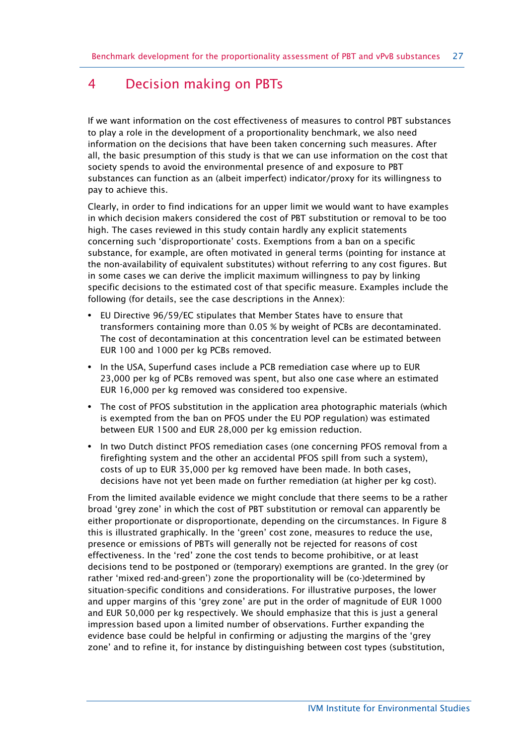# <span id="page-26-0"></span>4 Decision making on PBTs

If we want information on the cost effectiveness of measures to control PBT substances to play a role in the development of a proportionality benchmark, we also need information on the decisions that have been taken concerning such measures. After all, the basic presumption of this study is that we can use information on the cost that society spends to avoid the environmental presence of and exposure to PBT substances can function as an (albeit imperfect) indicator/proxy for its willingness to pay to achieve this.

Clearly, in order to find indications for an upper limit we would want to have examples in which decision makers considered the cost of PBT substitution or removal to be too high. The cases reviewed in this study contain hardly any explicit statements concerning such 'disproportionate' costs. Exemptions from a ban on a specific substance, for example, are often motivated in general terms (pointing for instance at the non-availability of equivalent substitutes) without referring to any cost figures. But in some cases we can derive the implicit maximum willingness to pay by linking specific decisions to the estimated cost of that specific measure. Examples include the following (for details, see the case descriptions in the Annex):

- **•** EU Directive 96/59/EC stipulates that Member States have to ensure that transformers containing more than 0.05 % by weight of PCBs are decontaminated. The cost of decontamination at this concentration level can be estimated between EUR 100 and 1000 per kg PCBs removed.
- **•** In the USA, Superfund cases include a PCB remediation case where up to EUR 23,000 per kg of PCBs removed was spent, but also one case where an estimated EUR 16,000 per kg removed was considered too expensive.
- **•** The cost of PFOS substitution in the application area photographic materials (which is exempted from the ban on PFOS under the EU POP regulation) was estimated between EUR 1500 and EUR 28,000 per kg emission reduction.
- **•** In two Dutch distinct PFOS remediation cases (one concerning PFOS removal from a firefighting system and the other an accidental PFOS spill from such a system), costs of up to EUR 35,000 per kg removed have been made. In both cases, decisions have not yet been made on further remediation (at higher per kg cost).

From the limited available evidence we might conclude that there seems to be a rather broad 'grey zone' in which the cost of PBT substitution or removal can apparently be either proportionate or disproportionate, depending on the circumstances. In Figure 8 this is illustrated graphically. In the 'green' cost zone, measures to reduce the use, presence or emissions of PBTs will generally not be rejected for reasons of cost effectiveness. In the 'red' zone the cost tends to become prohibitive, or at least decisions tend to be postponed or (temporary) exemptions are granted. In the grey (or rather 'mixed red-and-green') zone the proportionality will be (co-)determined by situation-specific conditions and considerations. For illustrative purposes, the lower and upper margins of this 'grey zone' are put in the order of magnitude of EUR 1000 and EUR 50,000 per kg respectively. We should emphasize that this is just a general impression based upon a limited number of observations. Further expanding the evidence base could be helpful in confirming or adjusting the margins of the 'grey zone' and to refine it, for instance by distinguishing between cost types (substitution,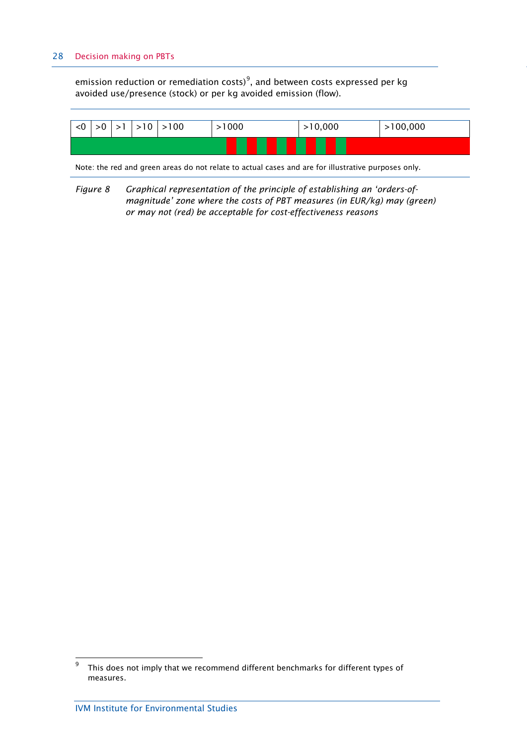#### 28 Decision making on PBTs

emission reduction or remediation costs) $^9$  $^9$ , and between costs expressed per kg avoided use/presence (stock) or per kg avoided emission (flow).



Note: the red and green areas do not relate to actual cases and are for illustrative purposes only.

*Figure 8 Graphical representation of the principle of establishing an 'orders-ofmagnitude' zone where the costs of PBT measures (in EUR/kg) may (green) or may not (red) be acceptable for cost-effectiveness reasons*

<span id="page-27-0"></span><sup>–&</sup>lt;br>9 This does not imply that we recommend different benchmarks for different types of measures.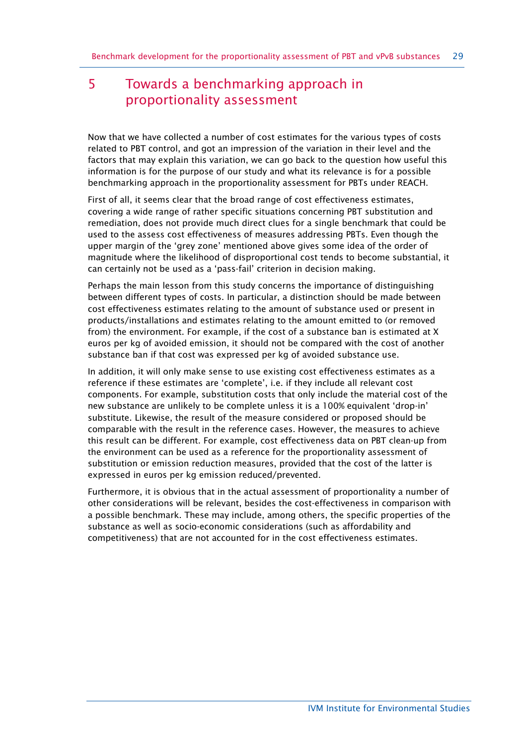# <span id="page-28-0"></span>5 Towards a benchmarking approach in proportionality assessment

Now that we have collected a number of cost estimates for the various types of costs related to PBT control, and got an impression of the variation in their level and the factors that may explain this variation, we can go back to the question how useful this information is for the purpose of our study and what its relevance is for a possible benchmarking approach in the proportionality assessment for PBTs under REACH.

First of all, it seems clear that the broad range of cost effectiveness estimates, covering a wide range of rather specific situations concerning PBT substitution and remediation, does not provide much direct clues for a single benchmark that could be used to the assess cost effectiveness of measures addressing PBTs. Even though the upper margin of the 'grey zone' mentioned above gives some idea of the order of magnitude where the likelihood of disproportional cost tends to become substantial, it can certainly not be used as a 'pass-fail' criterion in decision making.

Perhaps the main lesson from this study concerns the importance of distinguishing between different types of costs. In particular, a distinction should be made between cost effectiveness estimates relating to the amount of substance used or present in products/installations and estimates relating to the amount emitted to (or removed from) the environment. For example, if the cost of a substance ban is estimated at X euros per kg of avoided emission, it should not be compared with the cost of another substance ban if that cost was expressed per kg of avoided substance use.

In addition, it will only make sense to use existing cost effectiveness estimates as a reference if these estimates are 'complete', i.e. if they include all relevant cost components. For example, substitution costs that only include the material cost of the new substance are unlikely to be complete unless it is a 100% equivalent 'drop-in' substitute. Likewise, the result of the measure considered or proposed should be comparable with the result in the reference cases. However, the measures to achieve this result can be different. For example, cost effectiveness data on PBT clean-up from the environment can be used as a reference for the proportionality assessment of substitution or emission reduction measures, provided that the cost of the latter is expressed in euros per kg emission reduced/prevented.

Furthermore, it is obvious that in the actual assessment of proportionality a number of other considerations will be relevant, besides the cost-effectiveness in comparison with a possible benchmark. These may include, among others, the specific properties of the substance as well as socio-economic considerations (such as affordability and competitiveness) that are not accounted for in the cost effectiveness estimates.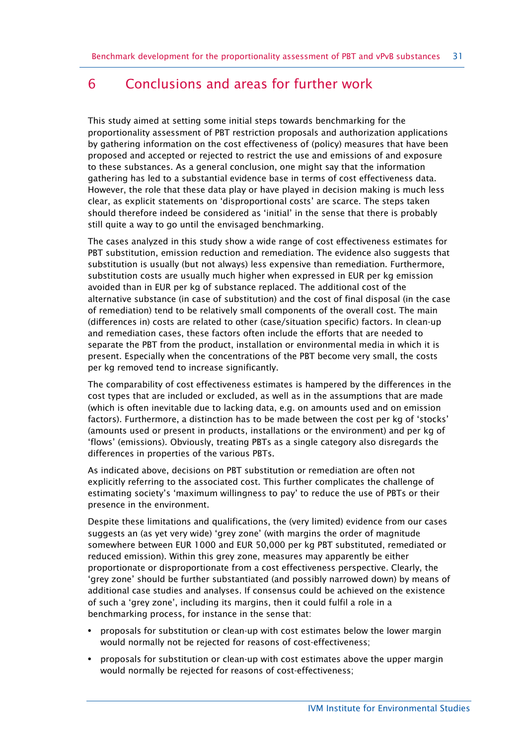# <span id="page-30-0"></span>6 Conclusions and areas for further work

This study aimed at setting some initial steps towards benchmarking for the proportionality assessment of PBT restriction proposals and authorization applications by gathering information on the cost effectiveness of (policy) measures that have been proposed and accepted or rejected to restrict the use and emissions of and exposure to these substances. As a general conclusion, one might say that the information gathering has led to a substantial evidence base in terms of cost effectiveness data. However, the role that these data play or have played in decision making is much less clear, as explicit statements on 'disproportional costs' are scarce. The steps taken should therefore indeed be considered as 'initial' in the sense that there is probably still quite a way to go until the envisaged benchmarking.

The cases analyzed in this study show a wide range of cost effectiveness estimates for PBT substitution, emission reduction and remediation. The evidence also suggests that substitution is usually (but not always) less expensive than remediation. Furthermore, substitution costs are usually much higher when expressed in EUR per kg emission avoided than in EUR per kg of substance replaced. The additional cost of the alternative substance (in case of substitution) and the cost of final disposal (in the case of remediation) tend to be relatively small components of the overall cost. The main (differences in) costs are related to other (case/situation specific) factors. In clean-up and remediation cases, these factors often include the efforts that are needed to separate the PBT from the product, installation or environmental media in which it is present. Especially when the concentrations of the PBT become very small, the costs per kg removed tend to increase significantly.

The comparability of cost effectiveness estimates is hampered by the differences in the cost types that are included or excluded, as well as in the assumptions that are made (which is often inevitable due to lacking data, e.g. on amounts used and on emission factors). Furthermore, a distinction has to be made between the cost per kg of 'stocks' (amounts used or present in products, installations or the environment) and per kg of 'flows' (emissions). Obviously, treating PBTs as a single category also disregards the differences in properties of the various PBTs.

As indicated above, decisions on PBT substitution or remediation are often not explicitly referring to the associated cost. This further complicates the challenge of estimating society's 'maximum willingness to pay' to reduce the use of PBTs or their presence in the environment.

Despite these limitations and qualifications, the (very limited) evidence from our cases suggests an (as yet very wide) 'grey zone' (with margins the order of magnitude somewhere between EUR 1000 and EUR 50,000 per kg PBT substituted, remediated or reduced emission). Within this grey zone, measures may apparently be either proportionate or disproportionate from a cost effectiveness perspective. Clearly, the 'grey zone' should be further substantiated (and possibly narrowed down) by means of additional case studies and analyses. If consensus could be achieved on the existence of such a 'grey zone', including its margins, then it could fulfil a role in a benchmarking process, for instance in the sense that:

- **•** proposals for substitution or clean-up with cost estimates below the lower margin would normally not be rejected for reasons of cost-effectiveness;
- **•** proposals for substitution or clean-up with cost estimates above the upper margin would normally be rejected for reasons of cost-effectiveness;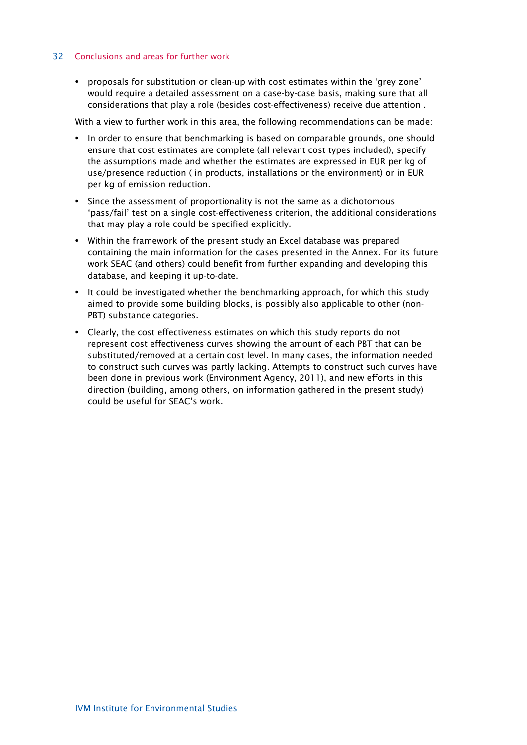#### 32 Conclusions and areas for further work

**•** proposals for substitution or clean-up with cost estimates within the 'grey zone' would require a detailed assessment on a case-by-case basis, making sure that all considerations that play a role (besides cost-effectiveness) receive due attention .

With a view to further work in this area, the following recommendations can be made:

- **•** In order to ensure that benchmarking is based on comparable grounds, one should ensure that cost estimates are complete (all relevant cost types included), specify the assumptions made and whether the estimates are expressed in EUR per kg of use/presence reduction ( in products, installations or the environment) or in EUR per kg of emission reduction.
- **•** Since the assessment of proportionality is not the same as a dichotomous 'pass/fail' test on a single cost-effectiveness criterion, the additional considerations that may play a role could be specified explicitly.
- **•** Within the framework of the present study an Excel database was prepared containing the main information for the cases presented in the Annex. For its future work SEAC (and others) could benefit from further expanding and developing this database, and keeping it up-to-date.
- **•** It could be investigated whether the benchmarking approach, for which this study aimed to provide some building blocks, is possibly also applicable to other (non-PBT) substance categories.
- **•** Clearly, the cost effectiveness estimates on which this study reports do not represent cost effectiveness curves showing the amount of each PBT that can be substituted/removed at a certain cost level. In many cases, the information needed to construct such curves was partly lacking. Attempts to construct such curves have been done in previous work (Environment Agency, 2011), and new efforts in this direction (building, among others, on information gathered in the present study) could be useful for SEAC's work.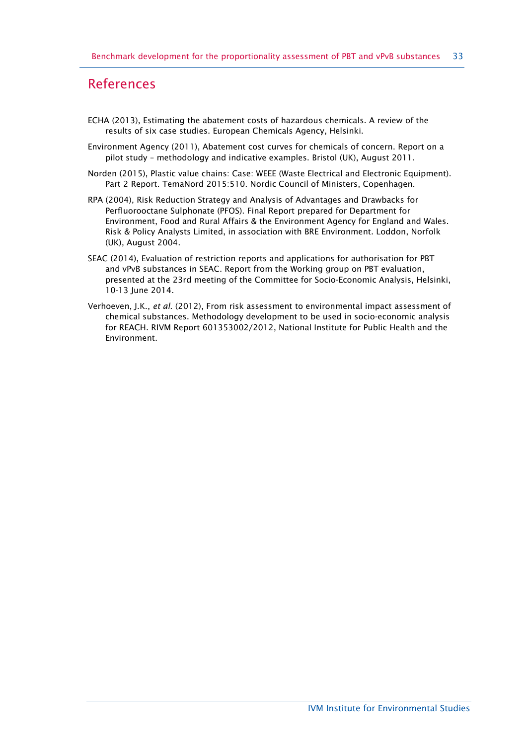# <span id="page-32-0"></span>References

- ECHA (2013), Estimating the abatement costs of hazardous chemicals. A review of the results of six case studies. European Chemicals Agency, Helsinki.
- Environment Agency (2011), Abatement cost curves for chemicals of concern. Report on a pilot study – methodology and indicative examples. Bristol (UK), August 2011.
- Norden (2015), Plastic value chains: Case: WEEE (Waste Electrical and Electronic Equipment). Part 2 Report. TemaNord 2015:510. Nordic Council of Ministers, Copenhagen.
- RPA (2004), Risk Reduction Strategy and Analysis of Advantages and Drawbacks for Perfluorooctane Sulphonate (PFOS). Final Report prepared for Department for Environment, Food and Rural Affairs & the Environment Agency for England and Wales. Risk & Policy Analysts Limited, in association with BRE Environment. Loddon, Norfolk (UK), August 2004.
- SEAC (2014), Evaluation of restriction reports and applications for authorisation for PBT and vPvB substances in SEAC. Report from the Working group on PBT evaluation, presented at the 23rd meeting of the Committee for Socio-Economic Analysis, Helsinki, 10-13 June 2014.
- Verhoeven, J.K., *et al*. (2012), From risk assessment to environmental impact assessment of chemical substances. Methodology development to be used in socio-economic analysis for REACH. RIVM Report 601353002/2012, National Institute for Public Health and the Environment.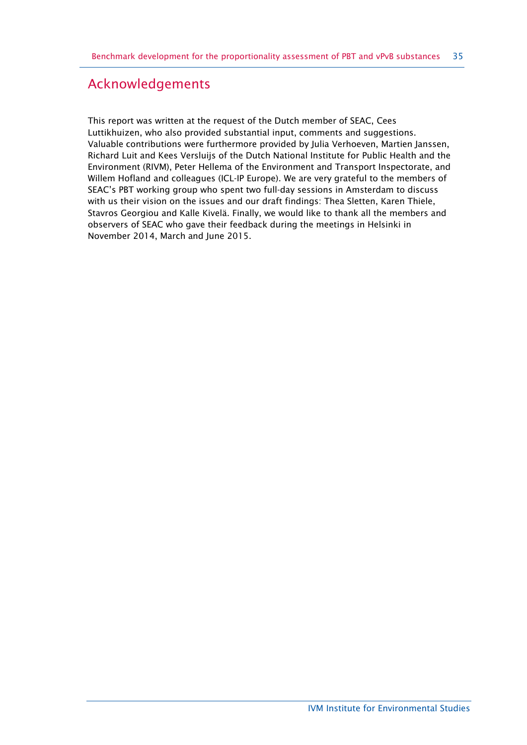# Acknowledgements

This report was written at the request of the Dutch member of SEAC, Cees Luttikhuizen, who also provided substantial input, comments and suggestions. Valuable contributions were furthermore provided by Julia Verhoeven, Martien Janssen, Richard Luit and Kees Versluijs of the Dutch National Institute for Public Health and the Environment (RIVM), Peter Hellema of the Environment and Transport Inspectorate, and Willem Hofland and colleagues (ICL-IP Europe). We are very grateful to the members of SEAC's PBT working group who spent two full-day sessions in Amsterdam to discuss with us their vision on the issues and our draft findings: Thea Sletten, Karen Thiele, Stavros Georgiou and Kalle Kivelä. Finally, we would like to thank all the members and observers of SEAC who gave their feedback during the meetings in Helsinki in November 2014, March and June 2015.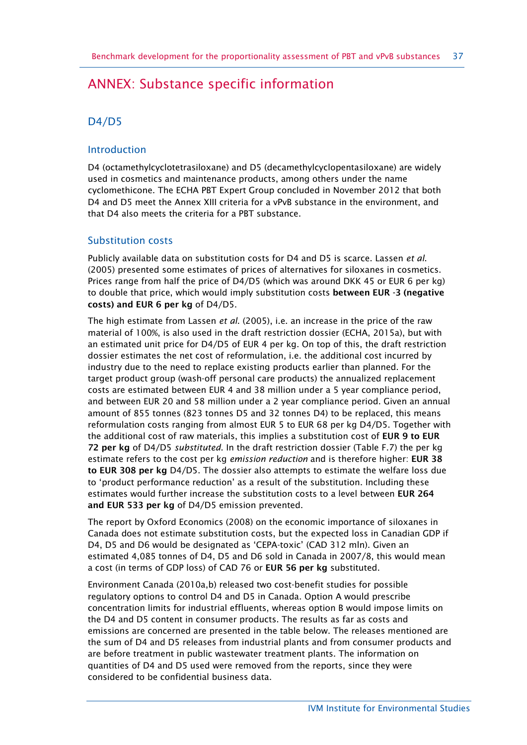# <span id="page-36-0"></span>ANNEX: Substance specific information

# D4/D5

## Introduction

D4 (octamethylcyclotetrasiloxane) and D5 (decamethylcyclopentasiloxane) are widely used in cosmetics and maintenance products, among others under the name cyclomethicone. The ECHA PBT Expert Group concluded in November 2012 that both D4 and D5 meet the Annex XIII criteria for a vPvB substance in the environment, and that D4 also meets the criteria for a PBT substance.

## Substitution costs

Publicly available data on substitution costs for D4 and D5 is scarce. Lassen *et al*. (2005) presented some estimates of prices of alternatives for siloxanes in cosmetics. Prices range from half the price of D4/D5 (which was around DKK 45 or EUR 6 per kg) to double that price, which would imply substitution costs **between EUR -3 (negative costs) and EUR 6 per kg** of D4/D5.

The high estimate from Lassen *et al*. (2005), i.e. an increase in the price of the raw material of 100%, is also used in the draft restriction dossier (ECHA, 2015a), but with an estimated unit price for D4/D5 of EUR 4 per kg. On top of this, the draft restriction dossier estimates the net cost of reformulation, i.e. the additional cost incurred by industry due to the need to replace existing products earlier than planned. For the target product group (wash-off personal care products) the annualized replacement costs are estimated between EUR 4 and 38 million under a 5 year compliance period, and between EUR 20 and 58 million under a 2 year compliance period. Given an annual amount of 855 tonnes (823 tonnes D5 and 32 tonnes D4) to be replaced, this means reformulation costs ranging from almost EUR 5 to EUR 68 per kg D4/D5. Together with the additional cost of raw materials, this implies a substitution cost of **EUR 9 to EUR 72 per kg** of D4/D5 *substituted*. In the draft restriction dossier (Table F.7) the per kg estimate refers to the cost per kg *emission reduction* and is therefore higher: **EUR 38 to EUR 308 per kg** D4/D5. The dossier also attempts to estimate the welfare loss due to 'product performance reduction' as a result of the substitution. Including these estimates would further increase the substitution costs to a level between **EUR 264 and EUR 533 per kg** of D4/D5 emission prevented.

The report by Oxford Economics (2008) on the economic importance of siloxanes in Canada does not estimate substitution costs, but the expected loss in Canadian GDP if D4, D5 and D6 would be designated as 'CEPA-toxic' (CAD 312 mln). Given an estimated 4,085 tonnes of D4, D5 and D6 sold in Canada in 2007/8, this would mean a cost (in terms of GDP loss) of CAD 76 or **EUR 56 per kg** substituted.

Environment Canada (2010a,b) released two cost-benefit studies for possible regulatory options to control D4 and D5 in Canada. Option A would prescribe concentration limits for industrial effluents, whereas option B would impose limits on the D4 and D5 content in consumer products. The results as far as costs and emissions are concerned are presented in the table below. The releases mentioned are the sum of D4 and D5 releases from industrial plants and from consumer products and are before treatment in public wastewater treatment plants. The information on quantities of D4 and D5 used were removed from the reports, since they were considered to be confidential business data.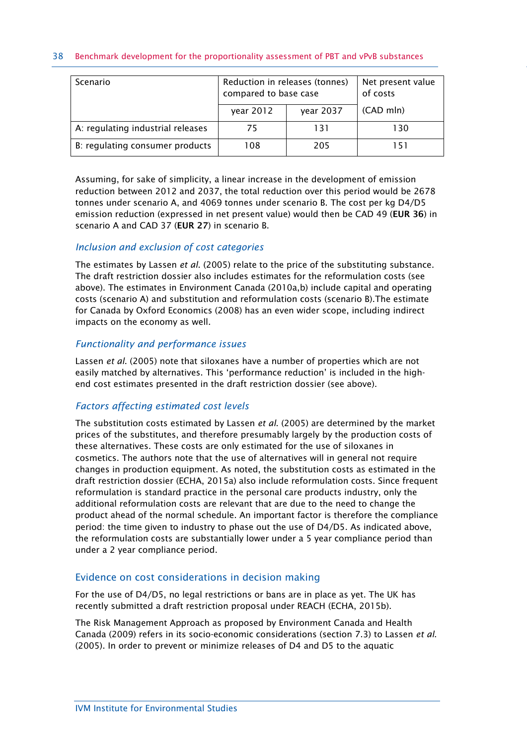#### 38 Benchmark development for the proportionality assessment of PBT and vPvB substances

| Scenario                          | Reduction in releases (tonnes)<br>compared to base case | Net present value<br>of costs |           |
|-----------------------------------|---------------------------------------------------------|-------------------------------|-----------|
|                                   | year 2012                                               | year 2037                     | (CAD mln) |
| A: regulating industrial releases | 75                                                      | 131                           | 130       |
| B: regulating consumer products   | 108                                                     | 205                           | 151       |

Assuming, for sake of simplicity, a linear increase in the development of emission reduction between 2012 and 2037, the total reduction over this period would be 2678 tonnes under scenario A, and 4069 tonnes under scenario B. The cost per kg D4/D5 emission reduction (expressed in net present value) would then be CAD 49 (**EUR 36**) in scenario A and CAD 37 (**EUR 27**) in scenario B.

#### *Inclusion and exclusion of cost categories*

The estimates by Lassen *et al*. (2005) relate to the price of the substituting substance. The draft restriction dossier also includes estimates for the reformulation costs (see above). The estimates in Environment Canada (2010a,b) include capital and operating costs (scenario A) and substitution and reformulation costs (scenario B).The estimate for Canada by Oxford Economics (2008) has an even wider scope, including indirect impacts on the economy as well.

#### *Functionality and performance issues*

Lassen *et al*. (2005) note that siloxanes have a number of properties which are not easily matched by alternatives. This 'performance reduction' is included in the highend cost estimates presented in the draft restriction dossier (see above).

## *Factors affecting estimated cost levels*

The substitution costs estimated by Lassen *et al*. (2005) are determined by the market prices of the substitutes, and therefore presumably largely by the production costs of these alternatives. These costs are only estimated for the use of siloxanes in cosmetics. The authors note that the use of alternatives will in general not require changes in production equipment. As noted, the substitution costs as estimated in the draft restriction dossier (ECHA, 2015a) also include reformulation costs. Since frequent reformulation is standard practice in the personal care products industry, only the additional reformulation costs are relevant that are due to the need to change the product ahead of the normal schedule. An important factor is therefore the compliance period: the time given to industry to phase out the use of D4/D5. As indicated above, the reformulation costs are substantially lower under a 5 year compliance period than under a 2 year compliance period.

## Evidence on cost considerations in decision making

For the use of D4/D5, no legal restrictions or bans are in place as yet. The UK has recently submitted a draft restriction proposal under REACH (ECHA, 2015b).

The Risk Management Approach as proposed by Environment Canada and Health Canada (2009) refers in its socio-economic considerations (section 7.3) to Lassen *et al*. (2005). In order to prevent or minimize releases of D4 and D5 to the aquatic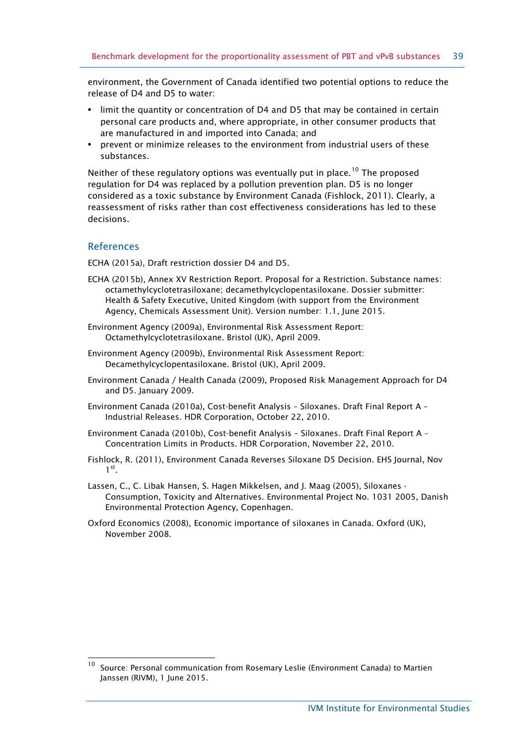environment, the Government of Canada identified two potential options to reduce the release of D4 and D5 to water:

- **•** limit the quantity or concentration of D4 and D5 that may be contained in certain personal care products and, where appropriate, in other consumer products that are manufactured in and imported into Canada; and
- **•** prevent or minimize releases to the environment from industrial users of these substances.

Neither of these regulatory options was eventually put in place.<sup>[10](#page-38-0)</sup> The proposed regulation for D4 was replaced by a pollution prevention plan. D5 is no longer considered as a toxic substance by Environment Canada (Fishlock, 2011). Clearly, a reassessment of risks rather than cost effectiveness considerations has led to these decisions.

## References

 $\overline{a}$ 

ECHA (2015a), Draft restriction dossier D4 and D5.

- ECHA (2015b), Annex XV Restriction Report. Proposal for a Restriction. Substance names: octamethylcyclotetrasiloxane; decamethylcyclopentasiloxane. Dossier submitter: Health & Safety Executive, United Kingdom (with support from the Environment Agency, Chemicals Assessment Unit). Version number: 1.1, June 2015.
- Environment Agency (2009a), Environmental Risk Assessment Report: Octamethylcyclotetrasiloxane. Bristol (UK), April 2009.
- Environment Agency (2009b), Environmental Risk Assessment Report: Decamethylcyclopentasiloxane. Bristol (UK), April 2009.
- Environment Canada / Health Canada (2009), Proposed Risk Management Approach for D4 and D5. January 2009.
- Environment Canada (2010a), Cost-benefit Analysis Siloxanes. Draft Final Report A Industrial Releases. HDR Corporation, October 22, 2010.
- Environment Canada (2010b), Cost-benefit Analysis Siloxanes. Draft Final Report A Concentration Limits in Products. HDR Corporation, November 22, 2010.
- Fishlock, R. (2011), Environment Canada Reverses Siloxane D5 Decision. EHS Journal, Nov  $1<sup>st</sup>$ .
- Lassen, C., C. Libak Hansen, S. Hagen Mikkelsen, and J. Maag (2005), Siloxanes Consumption, Toxicity and Alternatives. Environmental Project No. 1031 2005, Danish Environmental Protection Agency, Copenhagen.
- Oxford Economics (2008), Economic importance of siloxanes in Canada. Oxford (UK), November 2008.

<span id="page-38-0"></span><sup>10</sup> Source: Personal communication from Rosemary Leslie (Environment Canada) to Martien Janssen (RIVM), 1 June 2015.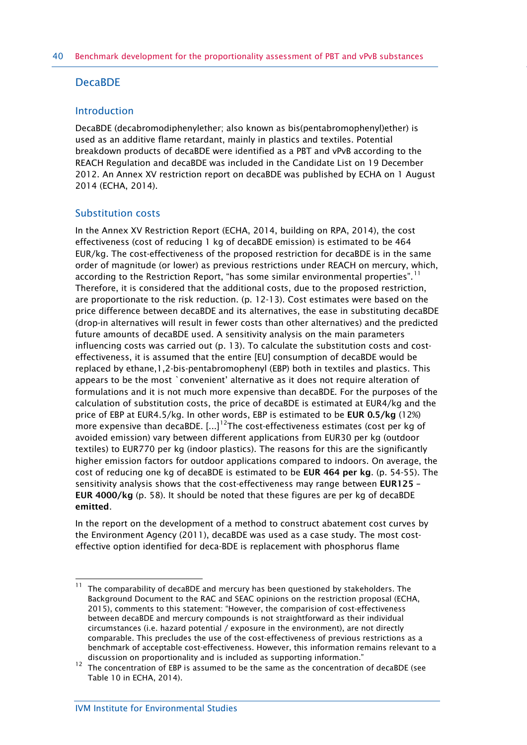## DecaBDE

## Introduction

DecaBDE (decabromodiphenylether; also known as bis(pentabromophenyl)ether) is used as an additive flame retardant, mainly in plastics and textiles. Potential breakdown products of decaBDE were identified as a PBT and vPvB according to the REACH Regulation and decaBDE was included in the Candidate List on 19 December 2012. An Annex XV restriction report on decaBDE was published by ECHA on 1 August 2014 (ECHA, 2014).

## Substitution costs

In the Annex XV Restriction Report (ECHA, 2014, building on RPA, 2014), the cost effectiveness (cost of reducing 1 kg of decaBDE emission) is estimated to be 464 EUR/kg. The cost-effectiveness of the proposed restriction for decaBDE is in the same order of magnitude (or lower) as previous restrictions under REACH on mercury, which, according to the Restriction Report, "has some similar environmental properties".<sup>[11](#page-39-0)</sup> Therefore, it is considered that the additional costs, due to the proposed restriction, are proportionate to the risk reduction. (p. 12-13). Cost estimates were based on the price difference between decaBDE and its alternatives, the ease in substituting decaBDE (drop-in alternatives will result in fewer costs than other alternatives) and the predicted future amounts of decaBDE used. A sensitivity analysis on the main parameters influencing costs was carried out (p. 13). To calculate the substitution costs and costeffectiveness, it is assumed that the entire [EU] consumption of decaBDE would be replaced by ethane,1,2-bis-pentabromophenyl (EBP) both in textiles and plastics. This appears to be the most `convenient' alternative as it does not require alteration of formulations and it is not much more expensive than decaBDE. For the purposes of the calculation of substitution costs, the price of decaBDE is estimated at EUR4/kg and the price of EBP at EUR4.5/kg. In other words, EBP is estimated to be **EUR 0.5/kg** (12%) more expensive than decaBDE.  $[...]^{12}$ The cost-effectiveness estimates (cost per kg of avoided emission) vary between different applications from EUR30 per kg (outdoor textiles) to EUR770 per kg (indoor plastics). The reasons for this are the significantly higher emission factors for outdoor applications compared to indoors. On average, the cost of reducing one kg of decaBDE is estimated to be **EUR 464 per kg**. (p. 54-55). The sensitivity analysis shows that the cost-effectiveness may range between **EUR125 – EUR 4000/kg** (p. 58). It should be noted that these figures are per kg of decaBDE **emitted**.

In the report on the development of a method to construct abatement cost curves by the Environment Agency (2011), decaBDE was used as a case study. The most costeffective option identified for deca-BDE is replacement with phosphorus flame

<span id="page-39-0"></span> $11$ The comparability of decaBDE and mercury has been questioned by stakeholders. The Background Document to the RAC and SEAC opinions on the restriction proposal (ECHA, 2015), comments to this statement: "However, the comparision of cost-effectiveness between decaBDE and mercury compounds is not straightforward as their individual circumstances (i.e. hazard potential / exposure in the environment), are not directly comparable. This precludes the use of the cost-effectiveness of previous restrictions as a benchmark of acceptable cost-effectiveness. However, this information remains relevant to a discussion on proportionality and is included as supporting information."

<span id="page-39-1"></span><sup>12</sup> The concentration of EBP is assumed to be the same as the concentration of decaBDE (see Table 10 in ECHA, 2014).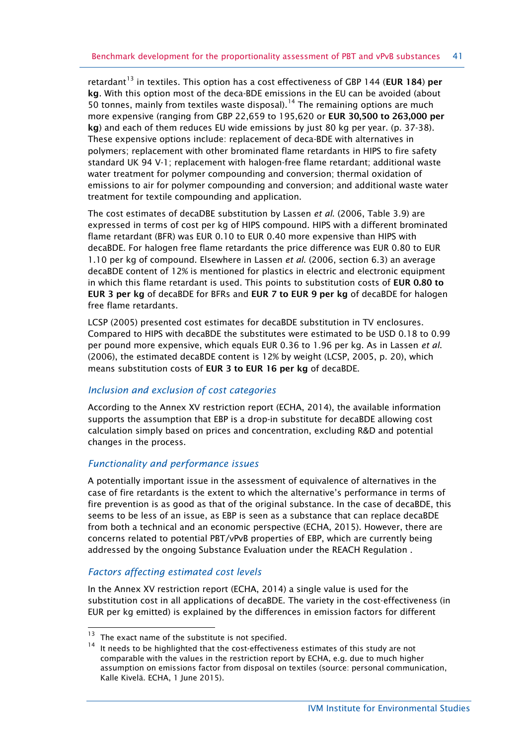retardant<sup>[13](#page-40-0)</sup> in textiles. This option has a cost effectiveness of GBP 144 (EUR 184) per **kg**. With this option most of the deca-BDE emissions in the EU can be avoided (about 50 tonnes, mainly from textiles waste disposal).<sup>[14](#page-40-1)</sup> The remaining options are much more expensive (ranging from GBP 22,659 to 195,620 or **EUR 30,500 to 263,000 per kg**) and each of them reduces EU wide emissions by just 80 kg per year. (p. 37-38). These expensive options include: replacement of deca-BDE with alternatives in polymers; replacement with other brominated flame retardants in HIPS to fire safety standard UK 94 V-1; replacement with halogen-free flame retardant; additional waste water treatment for polymer compounding and conversion; thermal oxidation of emissions to air for polymer compounding and conversion; and additional waste water treatment for textile compounding and application.

The cost estimates of decaDBE substitution by Lassen *et al*. (2006, Table 3.9) are expressed in terms of cost per kg of HIPS compound. HIPS with a different brominated flame retardant (BFR) was EUR 0.10 to EUR 0.40 more expensive than HIPS with decaBDE. For halogen free flame retardants the price difference was EUR 0.80 to EUR 1.10 per kg of compound. Elsewhere in Lassen *et al*. (2006, section 6.3) an average decaBDE content of 12% is mentioned for plastics in electric and electronic equipment in which this flame retardant is used. This points to substitution costs of **EUR 0.80 to EUR 3 per kg** of decaBDE for BFRs and **EUR 7 to EUR 9 per kg** of decaBDE for halogen free flame retardants.

LCSP (2005) presented cost estimates for decaBDE substitution in TV enclosures. Compared to HIPS with decaBDE the substitutes were estimated to be USD 0.18 to 0.99 per pound more expensive, which equals EUR 0.36 to 1.96 per kg. As in Lassen *et al*. (2006), the estimated decaBDE content is 12% by weight (LCSP, 2005, p. 20), which means substitution costs of **EUR 3 to EUR 16 per kg** of decaBDE.

## *Inclusion and exclusion of cost categories*

According to the Annex XV restriction report (ECHA, 2014), the available information supports the assumption that EBP is a drop-in substitute for decaBDE allowing cost calculation simply based on prices and concentration, excluding R&D and potential changes in the process.

## *Functionality and performance issues*

A potentially important issue in the assessment of equivalence of alternatives in the case of fire retardants is the extent to which the alternative's performance in terms of fire prevention is as good as that of the original substance. In the case of decaBDE, this seems to be less of an issue, as EBP is seen as a substance that can replace decaBDE from both a technical and an economic perspective (ECHA, 2015). However, there are concerns related to potential PBT/vPvB properties of EBP, which are currently being addressed by the ongoing Substance Evaluation under the REACH Regulation .

## *Factors affecting estimated cost levels*

In the Annex XV restriction report (ECHA, 2014) a single value is used for the substitution cost in all applications of decaBDE. The variety in the cost-effectiveness (in EUR per kg emitted) is explained by the differences in emission factors for different

<span id="page-40-1"></span><span id="page-40-0"></span>The exact name of the substitute is not specified.

It needs to be highlighted that the cost-effectiveness estimates of this study are not comparable with the values in the restriction report by ECHA, e.g. due to much higher assumption on emissions factor from disposal on textiles (source: personal communication, Kalle Kivelä. ECHA, 1 June 2015).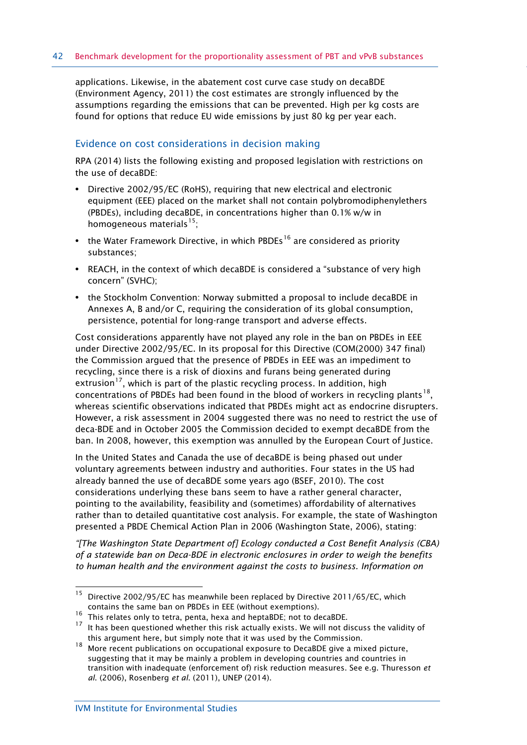applications. Likewise, in the abatement cost curve case study on decaBDE (Environment Agency, 2011) the cost estimates are strongly influenced by the assumptions regarding the emissions that can be prevented. High per kg costs are found for options that reduce EU wide emissions by just 80 kg per year each.

### Evidence on cost considerations in decision making

RPA (2014) lists the following existing and proposed legislation with restrictions on the use of decaBDE:

- **•** Directive 2002/95/EC (RoHS), requiring that new electrical and electronic equipment (EEE) placed on the market shall not contain polybromodiphenylethers (PBDEs), including decaBDE, in concentrations higher than 0.1% w/w in homogeneous materials<sup>15</sup>:
- the Water Framework Directive, in which PBDEs<sup>[16](#page-41-1)</sup> are considered as priority substances;
- **•** REACH, in the context of which decaBDE is considered a "substance of very high concern" (SVHC);
- **•** the Stockholm Convention: Norway submitted a proposal to include decaBDE in Annexes A, B and/or C, requiring the consideration of its global consumption, persistence, potential for long-range transport and adverse effects.

Cost considerations apparently have not played any role in the ban on PBDEs in EEE under Directive 2002/95/EC. In its proposal for this Directive (COM(2000) 347 final) the Commission argued that the presence of PBDEs in EEE was an impediment to recycling, since there is a risk of dioxins and furans being generated during extrusion<sup>[17](#page-41-2)</sup>, which is part of the plastic recycling process. In addition, high concentrations of PBDEs had been found in the blood of workers in recycling plants<sup>[18](#page-41-3)</sup>. whereas scientific observations indicated that PBDEs might act as endocrine disrupters. However, a risk assessment in 2004 suggested there was no need to restrict the use of deca-BDE and in October 2005 the Commission decided to exempt decaBDE from the ban. In 2008, however, this exemption was annulled by the European Court of Justice.

In the United States and Canada the use of decaBDE is being phased out under voluntary agreements between industry and authorities. Four states in the US had already banned the use of decaBDE some years ago (BSEF, 2010). The cost considerations underlying these bans seem to have a rather general character, pointing to the availability, feasibility and (sometimes) affordability of alternatives rather than to detailed quantitative cost analysis. For example, the state of Washington presented a PBDE Chemical Action Plan in 2006 (Washington State, 2006), stating:

*"[The Washington State Department of] Ecology conducted a Cost Benefit Analysis (CBA) of a statewide ban on Deca-BDE in electronic enclosures in order to weigh the benefits to human health and the environment against the costs to business. Information on* 

<span id="page-41-0"></span> $15$ Directive 2002/95/EC has meanwhile been replaced by Directive 2011/65/EC, which contains the same ban on PBDEs in EEE (without exemptions).

<span id="page-41-1"></span><sup>&</sup>lt;sup>16</sup> This relates only to tetra, penta, hexa and heptaBDE; not to decaBDE.

<span id="page-41-2"></span><sup>&</sup>lt;sup>17</sup> It has been questioned whether this risk actually exists. We will not discuss the validity of this argument here, but simply note that it was used by the Commission.

<span id="page-41-3"></span><sup>&</sup>lt;sup>18</sup> More recent publications on occupational exposure to DecaBDE give a mixed picture, suggesting that it may be mainly a problem in developing countries and countries in transition with inadequate (enforcement of) risk reduction measures. See e.g. Thuresson *et al*. (2006), Rosenberg *et al*. (2011), UNEP (2014).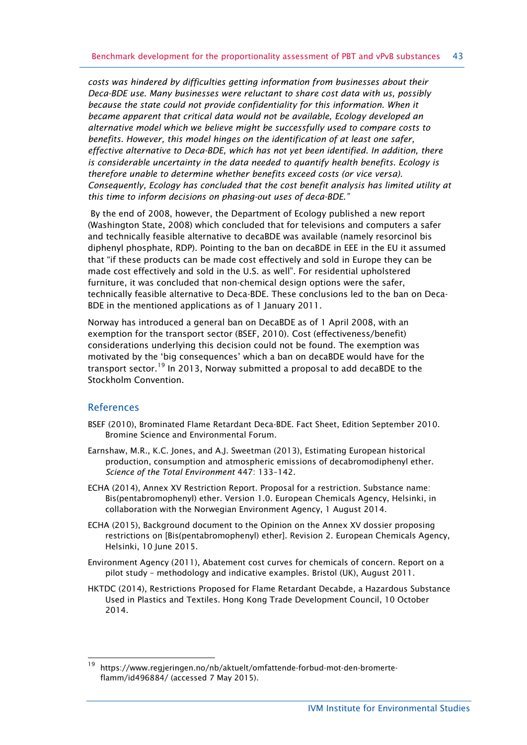*costs was hindered by difficulties getting information from businesses about their Deca-BDE use. Many businesses were reluctant to share cost data with us, possibly because the state could not provide confidentiality for this information. When it became apparent that critical data would not be available, Ecology developed an alternative model which we believe might be successfully used to compare costs to benefits. However, this model hinges on the identification of at least one safer, effective alternative to Deca-BDE, which has not yet been identified. In addition, there is considerable uncertainty in the data needed to quantify health benefits. Ecology is therefore unable to determine whether benefits exceed costs (or vice versa). Consequently, Ecology has concluded that the cost benefit analysis has limited utility at this time to inform decisions on phasing-out uses of deca-BDE."*

By the end of 2008, however, the Department of Ecology published a new report (Washington State, 2008) which concluded that for televisions and computers a safer and technically feasible alternative to decaBDE was available (namely resorcinol bis diphenyl phosphate, RDP). Pointing to the ban on decaBDE in EEE in the EU it assumed that "if these products can be made cost effectively and sold in Europe they can be made cost effectively and sold in the U.S. as well". For residential upholstered furniture, it was concluded that non-chemical design options were the safer, technically feasible alternative to Deca-BDE. These conclusions led to the ban on Deca-BDE in the mentioned applications as of 1 January 2011.

Norway has introduced a general ban on DecaBDE as of 1 April 2008, with an exemption for the transport sector (BSEF, 2010). Cost (effectiveness/benefit) considerations underlying this decision could not be found. The exemption was motivated by the 'big consequences' which a ban on decaBDE would have for the transport sector.<sup>[19](#page-42-0)</sup> In 2013, Norway submitted a proposal to add decaBDE to the Stockholm Convention.

#### References

 $\overline{a}$ 

- BSEF (2010), Brominated Flame Retardant Deca-BDE. Fact Sheet, Edition September 2010. Bromine Science and Environmental Forum.
- Earnshaw, M.R., K.C. Jones, and A.J. Sweetman (2013), Estimating European historical production, consumption and atmospheric emissions of decabromodiphenyl ether. *Science of the Total Environment* 447: 133–142.
- ECHA (2014), Annex XV Restriction Report. Proposal for a restriction. Substance name: Bis(pentabromophenyl) ether. Version 1.0. European Chemicals Agency, Helsinki, in collaboration with the Norwegian Environment Agency, 1 August 2014.
- ECHA (2015), Background document to the Opinion on the Annex XV dossier proposing restrictions on [Bis(pentabromophenyl) ether]. Revision 2. European Chemicals Agency, Helsinki, 10 June 2015.
- Environment Agency (2011), Abatement cost curves for chemicals of concern. Report on a pilot study – methodology and indicative examples. Bristol (UK), August 2011.
- HKTDC (2014), Restrictions Proposed for Flame Retardant Decabde, a Hazardous Substance Used in Plastics and Textiles. Hong Kong Trade Development Council, 10 October 2014.

<span id="page-42-0"></span><sup>19</sup> [https://www.regjeringen.no/nb/aktuelt/omfattende-forbud-mot-den-bromerte](https://www.regjeringen.no/nb/aktuelt/omfattende-forbud-mot-den-bromerte-flamm/id496884/)[flamm/id496884/](https://www.regjeringen.no/nb/aktuelt/omfattende-forbud-mot-den-bromerte-flamm/id496884/) (accessed 7 May 2015).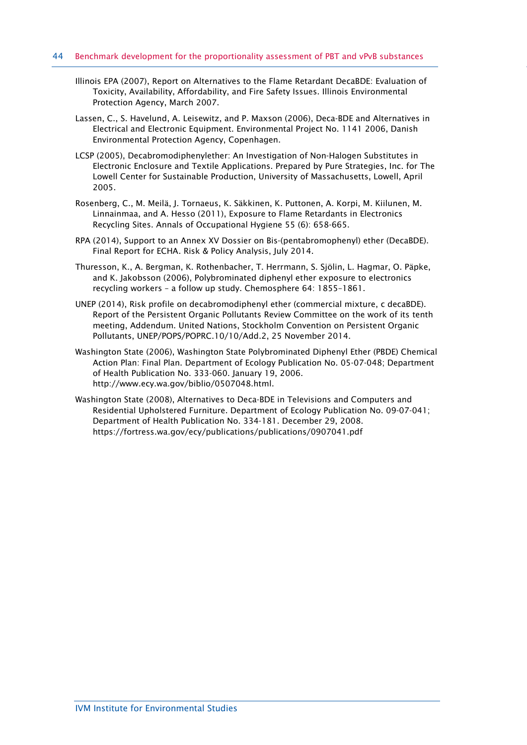- Illinois EPA (2007), Report on Alternatives to the Flame Retardant DecaBDE: Evaluation of Toxicity, Availability, Affordability, and Fire Safety Issues. Illinois Environmental Protection Agency, March 2007.
- Lassen, C., S. Havelund, A. Leisewitz, and P. Maxson (2006), Deca-BDE and Alternatives in Electrical and Electronic Equipment. Environmental Project No. 1141 2006, Danish Environmental Protection Agency, Copenhagen.
- LCSP (2005), Decabromodiphenylether: An Investigation of Non-Halogen Substitutes in Electronic Enclosure and Textile Applications. Prepared by Pure Strategies, Inc. for The Lowell Center for Sustainable Production, University of Massachusetts, Lowell, April 2005.
- Rosenberg, C., M. Meilä, J. Tornaeus, K. Säkkinen, K. Puttonen, A. Korpi, M. Kiilunen, M. Linnainmaa, and A. Hesso (2011), Exposure to Flame Retardants in Electronics Recycling Sites. Annals of Occupational Hygiene 55 (6): 658-665.
- RPA (2014), Support to an Annex XV Dossier on Bis-(pentabromophenyl) ether (DecaBDE). Final Report for ECHA. Risk & Policy Analysis, July 2014.
- Thuresson, K., A. Bergman, K. Rothenbacher, T. Herrmann, S. Sjölin, L. Hagmar, O. Päpke, and K. Jakobsson (2006), Polybrominated diphenyl ether exposure to electronics recycling workers – a follow up study. Chemosphere 64: 1855–1861.
- UNEP (2014), Risk profile on decabromodiphenyl ether (commercial mixture, c decaBDE). Report of the Persistent Organic Pollutants Review Committee on the work of its tenth meeting, Addendum. United Nations, Stockholm Convention on Persistent Organic Pollutants, UNEP/POPS/POPRC.10/10/Add.2, 25 November 2014.
- Washington State (2006), Washington State Polybrominated Diphenyl Ether (PBDE) Chemical Action Plan: Final Plan. Department of Ecology Publication No. 05-07-048; Department of Health Publication No. 333-060. January 19, 2006. [http://www.ecy.wa.gov/biblio/0507048.html.](http://www.ecy.wa.gov/biblio/0507048.html)
- Washington State (2008), Alternatives to Deca-BDE in Televisions and Computers and Residential Upholstered Furniture. Department of Ecology Publication No. 09-07-041; Department of Health Publication No. 334-181. December 29, 2008. <https://fortress.wa.gov/ecy/publications/publications/0907041.pdf>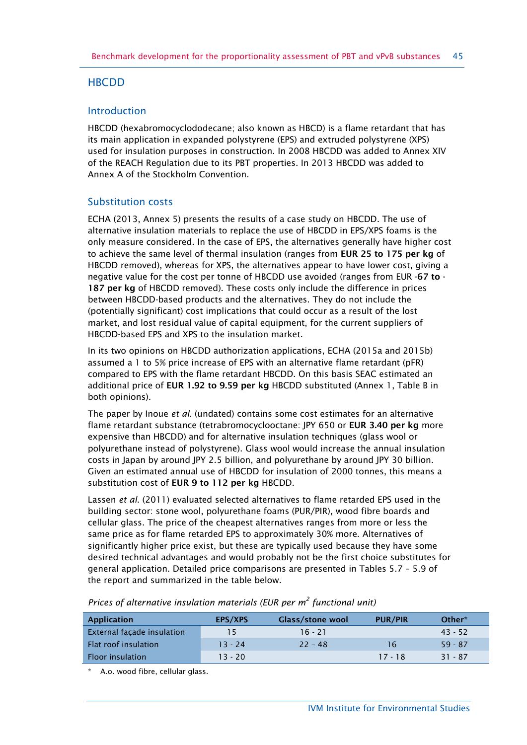## **HBCDD**

## Introduction

HBCDD (hexabromocyclododecane; also known as HBCD) is a flame retardant that has its main application in expanded polystyrene (EPS) and extruded polystyrene (XPS) used for insulation purposes in construction. In 2008 HBCDD was added to Annex XIV of the REACH Regulation due to its PBT properties. In 2013 HBCDD was added to Annex A of the Stockholm Convention.

## Substitution costs

ECHA (2013, Annex 5) presents the results of a case study on HBCDD. The use of alternative insulation materials to replace the use of HBCDD in EPS/XPS foams is the only measure considered. In the case of EPS, the alternatives generally have higher cost to achieve the same level of thermal insulation (ranges from **EUR 25 to 175 per kg** of HBCDD removed), whereas for XPS, the alternatives appear to have lower cost, giving a negative value for the cost per tonne of HBCDD use avoided (ranges from EUR **-67 to - 187 per kg** of HBCDD removed). These costs only include the difference in prices between HBCDD-based products and the alternatives. They do not include the (potentially significant) cost implications that could occur as a result of the lost market, and lost residual value of capital equipment, for the current suppliers of HBCDD-based EPS and XPS to the insulation market.

In its two opinions on HBCDD authorization applications, ECHA (2015a and 2015b) assumed a 1 to 5% price increase of EPS with an alternative flame retardant (pFR) compared to EPS with the flame retardant HBCDD. On this basis SEAC estimated an additional price of **EUR 1.92 to 9.59 per kg** HBCDD substituted (Annex 1, Table B in both opinions).

The paper by Inoue *et al*. (undated) contains some cost estimates for an alternative flame retardant substance (tetrabromocyclooctane: JPY 650 or **EUR 3.40 per kg** more expensive than HBCDD) and for alternative insulation techniques (glass wool or polyurethane instead of polystyrene). Glass wool would increase the annual insulation costs in Japan by around JPY 2.5 billion, and polyurethane by around JPY 30 billion. Given an estimated annual use of HBCDD for insulation of 2000 tonnes, this means a substitution cost of **EUR 9 to 112 per kg** HBCDD.

Lassen *et al*. (2011) evaluated selected alternatives to flame retarded EPS used in the building sector: stone wool, polyurethane foams (PUR/PIR), wood fibre boards and cellular glass. The price of the cheapest alternatives ranges from more or less the same price as for flame retarded EPS to approximately 30% more. Alternatives of significantly higher price exist, but these are typically used because they have some desired technical advantages and would probably not be the first choice substitutes for general application. Detailed price comparisons are presented in Tables 5.7 – 5.9 of the report and summarized in the table below.

| <b>Application</b>         | EPS/XPS   | <b>Glass/stone wool</b> | <b>PUR/PIR</b> | Other*    |
|----------------------------|-----------|-------------------------|----------------|-----------|
| External façade insulation | 15.       | $16 - 21$               |                | $43 - 52$ |
| Flat roof insulation       | $13 - 24$ | $22 - 48$               | 16             | $59 - 87$ |
| Floor insulation           | $13 - 20$ |                         | $17 - 18$      | $31 - 87$ |

*Prices of alternative insulation materials (EUR per m<sup>2</sup> functional unit)*

A.o. wood fibre, cellular glass.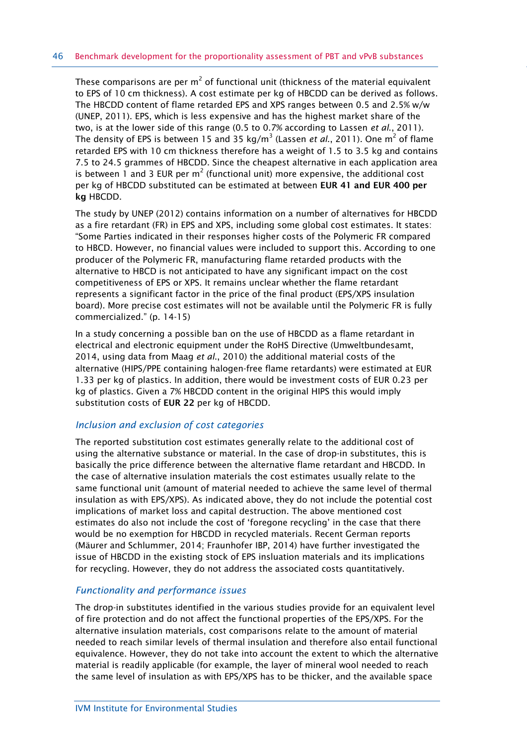These comparisons are per  $m^2$  of functional unit (thickness of the material equivalent to EPS of 10 cm thickness). A cost estimate per kg of HBCDD can be derived as follows. The HBCDD content of flame retarded EPS and XPS ranges between 0.5 and 2.5% w/w (UNEP, 2011). EPS, which is less expensive and has the highest market share of the two, is at the lower side of this range (0.5 to 0.7% according to Lassen *et al*., 2011). The density of EPS is between 15 and 35 kg/m<sup>3</sup> (Lassen *et al.*, 2011). One m<sup>2</sup> of flame retarded EPS with 10 cm thickness therefore has a weight of 1.5 to 3.5 kg and contains 7.5 to 24.5 grammes of HBCDD. Since the cheapest alternative in each application area is between 1 and 3 EUR per  $m^2$  (functional unit) more expensive, the additional cost per kg of HBCDD substituted can be estimated at between **EUR 41 and EUR 400 per kg** HBCDD.

The study by UNEP (2012) contains information on a number of alternatives for HBCDD as a fire retardant (FR) in EPS and XPS, including some global cost estimates. It states: "Some Parties indicated in their responses higher costs of the Polymeric FR compared to HBCD. However, no financial values were included to support this. According to one producer of the Polymeric FR, manufacturing flame retarded products with the alternative to HBCD is not anticipated to have any significant impact on the cost competitiveness of EPS or XPS. It remains unclear whether the flame retardant represents a significant factor in the price of the final product (EPS/XPS insulation board). More precise cost estimates will not be available until the Polymeric FR is fully commercialized." (p. 14-15)

In a study concerning a possible ban on the use of HBCDD as a flame retardant in electrical and electronic equipment under the RoHS Directive (Umweltbundesamt, 2014, using data from Maag *et al*., 2010) the additional material costs of the alternative (HIPS/PPE containing halogen-free flame retardants) were estimated at EUR 1.33 per kg of plastics. In addition, there would be investment costs of EUR 0.23 per kg of plastics. Given a 7% HBCDD content in the original HIPS this would imply substitution costs of **EUR 22** per kg of HBCDD.

#### *Inclusion and exclusion of cost categories*

The reported substitution cost estimates generally relate to the additional cost of using the alternative substance or material. In the case of drop-in substitutes, this is basically the price difference between the alternative flame retardant and HBCDD. In the case of alternative insulation materials the cost estimates usually relate to the same functional unit (amount of material needed to achieve the same level of thermal insulation as with EPS/XPS). As indicated above, they do not include the potential cost implications of market loss and capital destruction. The above mentioned cost estimates do also not include the cost of 'foregone recycling' in the case that there would be no exemption for HBCDD in recycled materials. Recent German reports (Mäurer and Schlummer, 2014; Fraunhofer IBP, 2014) have further investigated the issue of HBCDD in the existing stock of EPS insluation materials and its implications for recycling. However, they do not address the associated costs quantitatively.

#### *Functionality and performance issues*

The drop-in substitutes identified in the various studies provide for an equivalent level of fire protection and do not affect the functional properties of the EPS/XPS. For the alternative insulation materials, cost comparisons relate to the amount of material needed to reach similar levels of thermal insulation and therefore also entail functional equivalence. However, they do not take into account the extent to which the alternative material is readily applicable (for example, the layer of mineral wool needed to reach the same level of insulation as with EPS/XPS has to be thicker, and the available space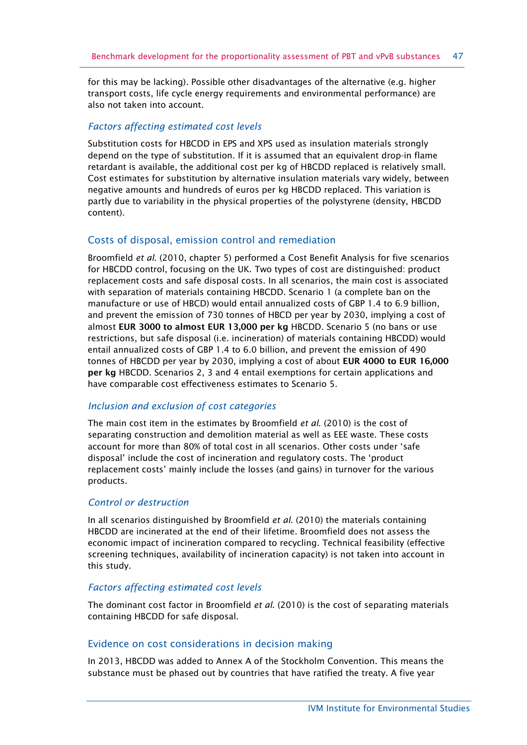for this may be lacking). Possible other disadvantages of the alternative (e.g. higher transport costs, life cycle energy requirements and environmental performance) are also not taken into account.

## *Factors affecting estimated cost levels*

Substitution costs for HBCDD in EPS and XPS used as insulation materials strongly depend on the type of substitution. If it is assumed that an equivalent drop-in flame retardant is available, the additional cost per kg of HBCDD replaced is relatively small. Cost estimates for substitution by alternative insulation materials vary widely, between negative amounts and hundreds of euros per kg HBCDD replaced. This variation is partly due to variability in the physical properties of the polystyrene (density, HBCDD content).

## Costs of disposal, emission control and remediation

Broomfield *et al*. (2010, chapter 5) performed a Cost Benefit Analysis for five scenarios for HBCDD control, focusing on the UK. Two types of cost are distinguished: product replacement costs and safe disposal costs. In all scenarios, the main cost is associated with separation of materials containing HBCDD. Scenario 1 (a complete ban on the manufacture or use of HBCD) would entail annualized costs of GBP 1.4 to 6.9 billion, and prevent the emission of 730 tonnes of HBCD per year by 2030, implying a cost of almost **EUR 3000 to almost EUR 13,000 per kg** HBCDD. Scenario 5 (no bans or use restrictions, but safe disposal (i.e. incineration) of materials containing HBCDD) would entail annualized costs of GBP 1.4 to 6.0 billion, and prevent the emission of 490 tonnes of HBCDD per year by 2030, implying a cost of about **EUR 4000 to EUR 16,000 per kg** HBCDD. Scenarios 2, 3 and 4 entail exemptions for certain applications and have comparable cost effectiveness estimates to Scenario 5.

## *Inclusion and exclusion of cost categories*

The main cost item in the estimates by Broomfield *et al*. (2010) is the cost of separating construction and demolition material as well as EEE waste. These costs account for more than 80% of total cost in all scenarios. Other costs under 'safe disposal' include the cost of incineration and regulatory costs. The 'product replacement costs' mainly include the losses (and gains) in turnover for the various products.

## *Control or destruction*

In all scenarios distinguished by Broomfield *et al*. (2010) the materials containing HBCDD are incinerated at the end of their lifetime. Broomfield does not assess the economic impact of incineration compared to recycling. Technical feasibility (effective screening techniques, availability of incineration capacity) is not taken into account in this study.

#### *Factors affecting estimated cost levels*

The dominant cost factor in Broomfield *et al*. (2010) is the cost of separating materials containing HBCDD for safe disposal.

#### Evidence on cost considerations in decision making

In 2013, HBCDD was added to Annex A of the Stockholm Convention. This means the substance must be phased out by countries that have ratified the treaty. A five year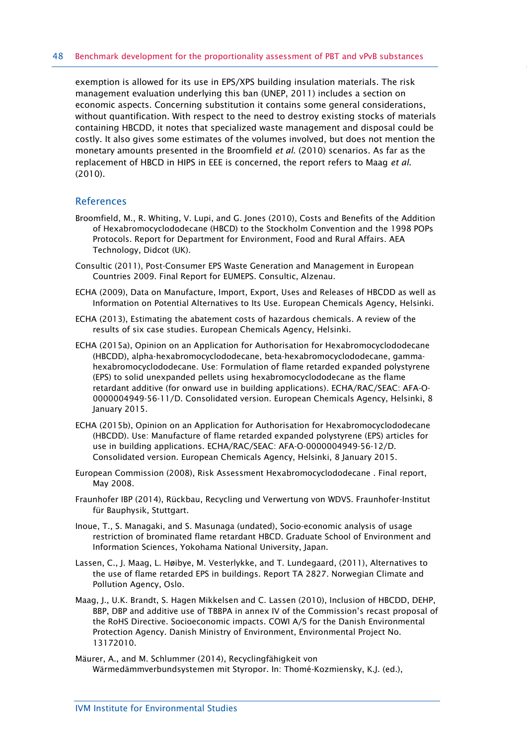exemption is allowed for its use in EPS/XPS building insulation materials. The risk management evaluation underlying this ban (UNEP, 2011) includes a section on economic aspects. Concerning substitution it contains some general considerations, without quantification. With respect to the need to destroy existing stocks of materials containing HBCDD, it notes that specialized waste management and disposal could be costly. It also gives some estimates of the volumes involved, but does not mention the monetary amounts presented in the Broomfield *et al*. (2010) scenarios. As far as the replacement of HBCD in HIPS in EEE is concerned, the report refers to Maag *et al*. (2010).

#### References

- Broomfield, M., R. Whiting, V. Lupi, and G. Jones (2010), Costs and Benefits of the Addition of Hexabromocyclododecane (HBCD) to the Stockholm Convention and the 1998 POPs Protocols. Report for Department for Environment, Food and Rural Affairs. AEA Technology, Didcot (UK).
- Consultic (2011), Post-Consumer EPS Waste Generation and Management in European Countries 2009. Final Report for EUMEPS. Consultic, Alzenau.
- ECHA (2009), Data on Manufacture, Import, Export, Uses and Releases of HBCDD as well as Information on Potential Alternatives to Its Use. European Chemicals Agency, Helsinki.
- ECHA (2013), Estimating the abatement costs of hazardous chemicals. A review of the results of six case studies. European Chemicals Agency, Helsinki.
- ECHA (2015a), Opinion on an Application for Authorisation for Hexabromocyclododecane (HBCDD), alpha-hexabromocyclododecane, beta-hexabromocyclododecane, gammahexabromocyclododecane. Use: Formulation of flame retarded expanded polystyrene (EPS) to solid unexpanded pellets using hexabromocyclododecane as the flame retardant additive (for onward use in building applications). ECHA/RAC/SEAC: AFA-O-0000004949-56-11/D. Consolidated version. European Chemicals Agency, Helsinki, 8 January 2015.
- ECHA (2015b), Opinion on an Application for Authorisation for Hexabromocyclododecane (HBCDD). Use: Manufacture of flame retarded expanded polystyrene (EPS) articles for use in building applications. ECHA/RAC/SEAC: AFA-O-0000004949-56-12/D. Consolidated version. European Chemicals Agency, Helsinki, 8 January 2015.
- European Commission (2008), Risk Assessment Hexabromocyclododecane . Final report, May 2008.
- Fraunhofer IBP (2014), Rückbau, Recycling und Verwertung von WDVS. Fraunhofer-Institut für Bauphysik, Stuttgart.
- Inoue, T., S. Managaki, and S. Masunaga (undated), Socio-economic analysis of usage restriction of brominated flame retardant HBCD. Graduate School of Environment and Information Sciences, Yokohama National University, Japan.
- Lassen, C., J. Maag, L. Høibye, M. Vesterlykke, and T. Lundegaard, (2011), Alternatives to the use of flame retarded EPS in buildings. Report TA 2827. Norwegian Climate and Pollution Agency, Oslo.
- Maag, J., U.K. Brandt, S. Hagen Mikkelsen and C. Lassen (2010), Inclusion of HBCDD, DEHP, BBP, DBP and additive use of TBBPA in annex IV of the Commission's recast proposal of the RoHS Directive. Socioeconomic impacts. COWI A/S for the Danish Environmental Protection Agency. Danish Ministry of Environment, Environmental Project No. 13172010.
- Mäurer, A., and M. Schlummer (2014), Recyclingfähigkeit von Wärmedämmverbundsystemen mit Styropor. In: Thomé-Kozmiensky, K.J. (ed.),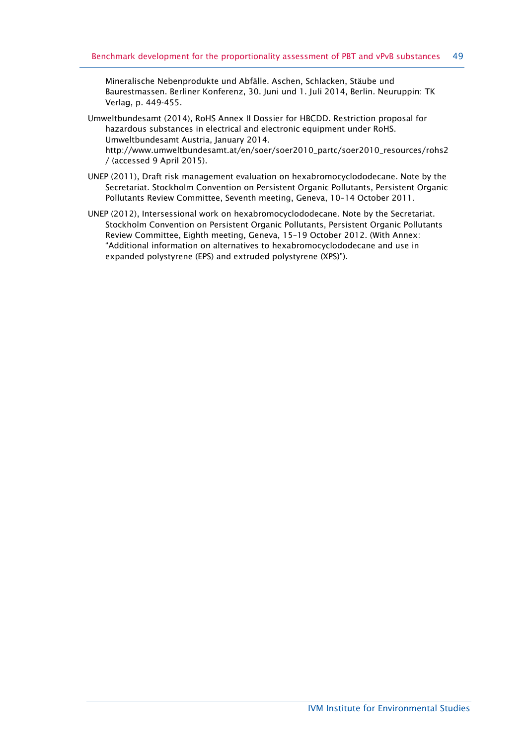Mineralische Nebenprodukte und Abfälle. Aschen, Schlacken, Stäube und Baurestmassen. Berliner Konferenz, 30. Juni und 1. Juli 2014, Berlin. Neuruppin: TK Verlag, p. 449-455.

- Umweltbundesamt (2014), RoHS Annex II Dossier for HBCDD. Restriction proposal for hazardous substances in electrical and electronic equipment under RoHS. Umweltbundesamt Austria, January 2014. [http://www.umweltbundesamt.at/en/soer/soer2010\\_partc/soer2010\\_resources/rohs2](http://www.umweltbundesamt.at/en/soer/soer2010_partc/soer2010_resources/rohs2/) [/](http://www.umweltbundesamt.at/en/soer/soer2010_partc/soer2010_resources/rohs2/) (accessed 9 April 2015).
- UNEP (2011), Draft risk management evaluation on hexabromocyclododecane. Note by the Secretariat. Stockholm Convention on Persistent Organic Pollutants, Persistent Organic Pollutants Review Committee, Seventh meeting, Geneva, 10–14 October 2011.
- UNEP (2012), Intersessional work on hexabromocyclododecane. Note by the Secretariat. Stockholm Convention on Persistent Organic Pollutants, Persistent Organic Pollutants Review Committee, Eighth meeting, Geneva, 15–19 October 2012. (With Annex: "Additional information on alternatives to hexabromocyclododecane and use in expanded polystyrene (EPS) and extruded polystyrene (XPS)").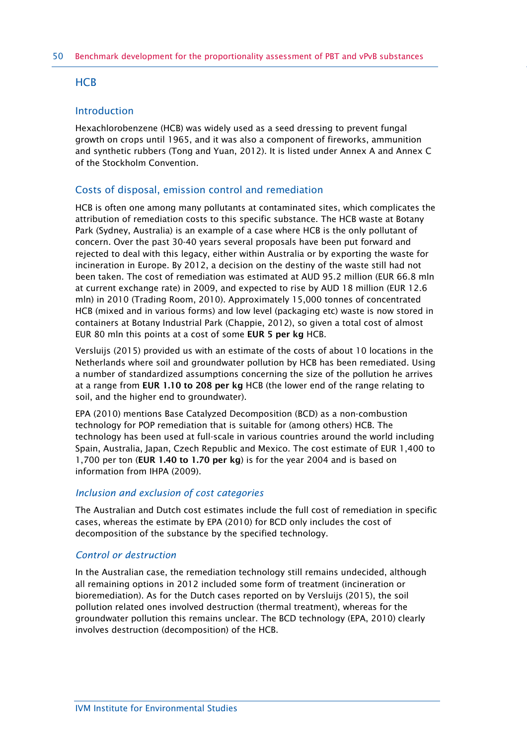## **HCB**

## Introduction

Hexachlorobenzene (HCB) was widely used as a seed dressing to prevent fungal growth on crops until 1965, and it was also a component of fireworks, ammunition and synthetic rubbers (Tong and Yuan, 2012). It is listed under Annex A and Annex C of the Stockholm Convention.

## Costs of disposal, emission control and remediation

HCB is often one among many pollutants at contaminated sites, which complicates the attribution of remediation costs to this specific substance. The HCB waste at Botany Park (Sydney, Australia) is an example of a case where HCB is the only pollutant of concern. Over the past 30-40 years several proposals have been put forward and rejected to deal with this legacy, either within Australia or by exporting the waste for incineration in Europe. By 2012, a decision on the destiny of the waste still had not been taken. The cost of remediation was estimated at AUD 95.2 million (EUR 66.8 mln at current exchange rate) in 2009, and expected to rise by AUD 18 million (EUR 12.6 mln) in 2010 (Trading Room, 2010). Approximately 15,000 tonnes of concentrated HCB (mixed and in various forms) and low level (packaging etc) waste is now stored in containers at Botany Industrial Park (Chappie, 2012), so given a total cost of almost EUR 80 mln this points at a cost of some **EUR 5 per kg** HCB.

Versluijs (2015) provided us with an estimate of the costs of about 10 locations in the Netherlands where soil and groundwater pollution by HCB has been remediated. Using a number of standardized assumptions concerning the size of the pollution he arrives at a range from **EUR 1.10 to 208 per kg** HCB (the lower end of the range relating to soil, and the higher end to groundwater).

EPA (2010) mentions Base Catalyzed Decomposition (BCD) as a non-combustion technology for POP remediation that is suitable for (among others) HCB. The technology has been used at full-scale in various countries around the world including Spain, Australia, Japan, Czech Republic and Mexico. The cost estimate of EUR 1,400 to 1,700 per ton (**EUR 1.40 to 1.70 per kg**) is for the year 2004 and is based on information from IHPA (2009).

#### *Inclusion and exclusion of cost categories*

The Australian and Dutch cost estimates include the full cost of remediation in specific cases, whereas the estimate by EPA (2010) for BCD only includes the cost of decomposition of the substance by the specified technology.

#### *Control or destruction*

In the Australian case, the remediation technology still remains undecided, although all remaining options in 2012 included some form of treatment (incineration or bioremediation). As for the Dutch cases reported on by Versluijs (2015), the soil pollution related ones involved destruction (thermal treatment), whereas for the groundwater pollution this remains unclear. The BCD technology (EPA, 2010) clearly involves destruction (decomposition) of the HCB.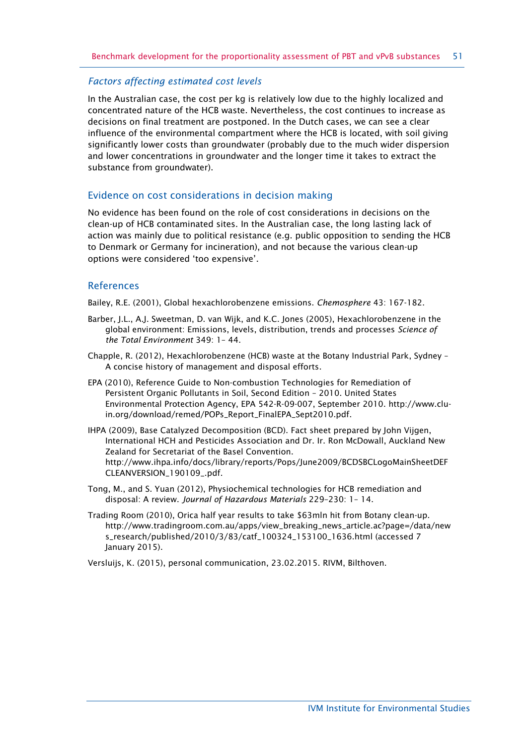#### *Factors affecting estimated cost levels*

In the Australian case, the cost per kg is relatively low due to the highly localized and concentrated nature of the HCB waste. Nevertheless, the cost continues to increase as decisions on final treatment are postponed. In the Dutch cases, we can see a clear influence of the environmental compartment where the HCB is located, with soil giving significantly lower costs than groundwater (probably due to the much wider dispersion and lower concentrations in groundwater and the longer time it takes to extract the substance from groundwater).

#### Evidence on cost considerations in decision making

No evidence has been found on the role of cost considerations in decisions on the clean-up of HCB contaminated sites. In the Australian case, the long lasting lack of action was mainly due to political resistance (e.g. public opposition to sending the HCB to Denmark or Germany for incineration), and not because the various clean-up options were considered 'too expensive'.

#### References

Bailey, R.E. (2001), Global hexachlorobenzene emissions. *Chemosphere* 43: 167-182.

- Barber, J.L., A.J. Sweetman, D. van Wijk, and K.C. Jones (2005), Hexachlorobenzene in the global environment: Emissions, levels, distribution, trends and processes *Science of the Total Environment* 349: 1– 44.
- Chapple, R. (2012), Hexachlorobenzene (HCB) waste at the Botany Industrial Park, Sydney A concise history of management and disposal efforts.
- EPA (2010), Reference Guide to Non-combustion Technologies for Remediation of Persistent Organic Pollutants in Soil, Second Edition – 2010. United States Environmental Protection Agency, EPA 542-R-09-007, September 2010. [http://www.clu](http://www.clu-in.org/download/remed/POPs_Report_FinalEPA_Sept2010.pdf)[in.org/download/remed/POPs\\_Report\\_FinalEPA\\_Sept2010.pdf.](http://www.clu-in.org/download/remed/POPs_Report_FinalEPA_Sept2010.pdf)
- IHPA (2009), Base Catalyzed Decomposition (BCD). Fact sheet prepared by John Vijgen, International HCH and Pesticides Association and Dr. Ir. Ron McDowall, Auckland New Zealand for Secretariat of the Basel Convention. [http://www.ihpa.info/docs/library/reports/Pops/June2009/BCDSBCLogoMainSheetDEF](http://www.ihpa.info/docs/library/reports/Pops/June2009/BCDSBCLogoMainSheetDEFCLEANVERSION_190109_.pdf) [CLEANVERSION\\_190109\\_.pdf.](http://www.ihpa.info/docs/library/reports/Pops/June2009/BCDSBCLogoMainSheetDEFCLEANVERSION_190109_.pdf)
- Tong, M., and S. Yuan (2012), Physiochemical technologies for HCB remediation and disposal: A review. *Journal of Hazardous Materials* 229–230: 1– 14.
- Trading Room (2010), Orica half year results to take \$63mln hit from Botany clean-up. [http://www.tradingroom.com.au/apps/view\\_breaking\\_news\\_article.ac?page=/data/new](http://www.tradingroom.com.au/apps/view_breaking_news_article.ac?page=/data/news_research/published/2010/3/83/catf_100324_153100_1636.html) [s\\_research/published/2010/3/83/catf\\_100324\\_153100\\_1636.html](http://www.tradingroom.com.au/apps/view_breaking_news_article.ac?page=/data/news_research/published/2010/3/83/catf_100324_153100_1636.html) (accessed 7 January 2015).

Versluijs, K. (2015), personal communication, 23.02.2015. RIVM, Bilthoven.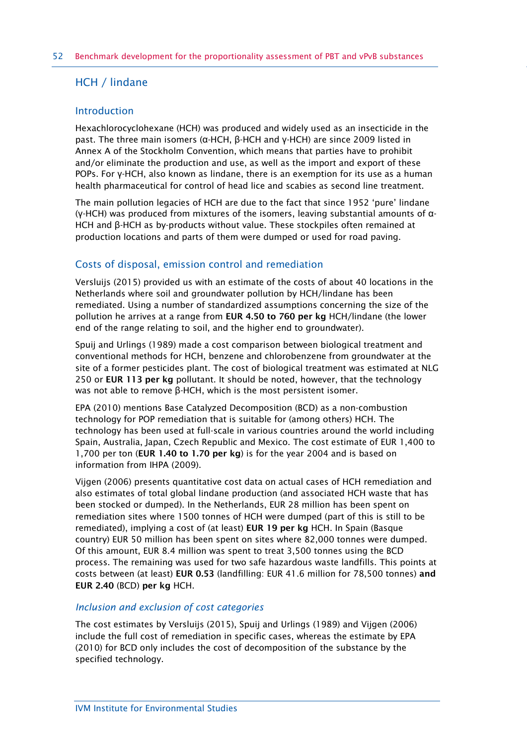## HCH / lindane

## Introduction

Hexachlorocyclohexane (HCH) was produced and widely used as an insecticide in the past. The three main isomers (α-HCH, β-HCH and γ-HCH) are since 2009 listed in Annex A of the Stockholm Convention, which means that parties have to prohibit and/or eliminate the production and use, as well as the import and export of these POPs. For γ-HCH, also known as lindane, there is an exemption for its use as a human health pharmaceutical for control of head lice and scabies as second line treatment.

The main pollution legacies of HCH are due to the fact that since 1952 'pure' lindane (γ-HCH) was produced from mixtures of the isomers, leaving substantial amounts of α-HCH and β-HCH as by-products without value. These stockpiles often remained at production locations and parts of them were dumped or used for road paving.

## Costs of disposal, emission control and remediation

Versluijs (2015) provided us with an estimate of the costs of about 40 locations in the Netherlands where soil and groundwater pollution by HCH/lindane has been remediated. Using a number of standardized assumptions concerning the size of the pollution he arrives at a range from **EUR 4.50 to 760 per kg** HCH/lindane (the lower end of the range relating to soil, and the higher end to groundwater).

Spuij and Urlings (1989) made a cost comparison between biological treatment and conventional methods for HCH, benzene and chlorobenzene from groundwater at the site of a former pesticides plant. The cost of biological treatment was estimated at NLG 250 or **EUR 113 per kg** pollutant. It should be noted, however, that the technology was not able to remove β-HCH, which is the most persistent isomer.

EPA (2010) mentions Base Catalyzed Decomposition (BCD) as a non-combustion technology for POP remediation that is suitable for (among others) HCH. The technology has been used at full-scale in various countries around the world including Spain, Australia, Japan, Czech Republic and Mexico. The cost estimate of EUR 1,400 to 1,700 per ton (**EUR 1.40 to 1.70 per kg**) is for the year 2004 and is based on information from IHPA (2009).

Vijgen (2006) presents quantitative cost data on actual cases of HCH remediation and also estimates of total global lindane production (and associated HCH waste that has been stocked or dumped). In the Netherlands, EUR 28 million has been spent on remediation sites where 1500 tonnes of HCH were dumped (part of this is still to be remediated), implying a cost of (at least) **EUR 19 per kg** HCH. In Spain (Basque country) EUR 50 million has been spent on sites where 82,000 tonnes were dumped. Of this amount, EUR 8.4 million was spent to treat 3,500 tonnes using the BCD process. The remaining was used for two safe hazardous waste landfills. This points at costs between (at least) **EUR 0.53** (landfilling: EUR 41.6 million for 78,500 tonnes) **and EUR 2.40** (BCD) **per kg** HCH.

## *Inclusion and exclusion of cost categories*

The cost estimates by Versluijs (2015), Spuij and Urlings (1989) and Vijgen (2006) include the full cost of remediation in specific cases, whereas the estimate by EPA (2010) for BCD only includes the cost of decomposition of the substance by the specified technology.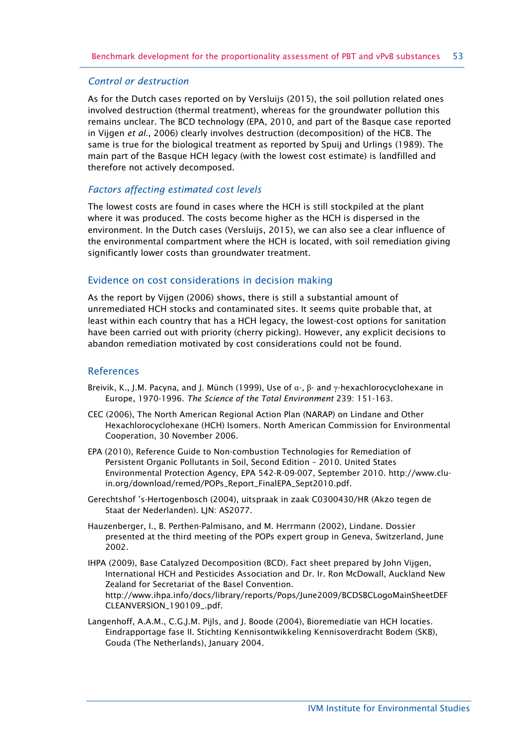#### *Control or destruction*

As for the Dutch cases reported on by Versluijs (2015), the soil pollution related ones involved destruction (thermal treatment), whereas for the groundwater pollution this remains unclear. The BCD technology (EPA, 2010, and part of the Basque case reported in Vijgen *et al*., 2006) clearly involves destruction (decomposition) of the HCB. The same is true for the biological treatment as reported by Spuij and Urlings (1989). The main part of the Basque HCH legacy (with the lowest cost estimate) is landfilled and therefore not actively decomposed.

## *Factors affecting estimated cost levels*

The lowest costs are found in cases where the HCH is still stockpiled at the plant where it was produced. The costs become higher as the HCH is dispersed in the environment. In the Dutch cases (Versluijs, 2015), we can also see a clear influence of the environmental compartment where the HCH is located, with soil remediation giving significantly lower costs than groundwater treatment.

## Evidence on cost considerations in decision making

As the report by Vijgen (2006) shows, there is still a substantial amount of unremediated HCH stocks and contaminated sites. It seems quite probable that, at least within each country that has a HCH legacy, the lowest-cost options for sanitation have been carried out with priority (cherry picking). However, any explicit decisions to abandon remediation motivated by cost considerations could not be found.

#### **References**

- Breivik, K., J.M. Pacyna, and J. Münch (1999), Use of  $\alpha$ -, β- and γ-hexachlorocyclohexane in Europe, 1970-1996. *The Science of the Total Environment* 239: 151-163.
- CEC (2006), The North American Regional Action Plan (NARAP) on Lindane and Other Hexachlorocyclohexane (HCH) Isomers. North American Commission for Environmental Cooperation, 30 November 2006.
- EPA (2010), Reference Guide to Non-combustion Technologies for Remediation of Persistent Organic Pollutants in Soil, Second Edition – 2010. United States Environmental Protection Agency, EPA 542-R-09-007, September 2010. [http://www.clu](http://www.clu-in.org/download/remed/POPs_Report_FinalEPA_Sept2010.pdf)[in.org/download/remed/POPs\\_Report\\_FinalEPA\\_Sept2010.pdf.](http://www.clu-in.org/download/remed/POPs_Report_FinalEPA_Sept2010.pdf)
- Gerechtshof 's-Hertogenbosch (2004), uitspraak in zaak C0300430/HR (Akzo tegen de Staat der Nederlanden). LIN: AS2077.
- Hauzenberger, I., B. Perthen-Palmisano, and M. Herrmann (2002), Lindane. Dossier presented at the third meeting of the POPs expert group in Geneva, Switzerland, June 2002.
- IHPA (2009), Base Catalyzed Decomposition (BCD). Fact sheet prepared by John Vijgen, International HCH and Pesticides Association and Dr. Ir. Ron McDowall, Auckland New Zealand for Secretariat of the Basel Convention. [http://www.ihpa.info/docs/library/reports/Pops/June2009/BCDSBCLogoMainSheetDEF](http://www.ihpa.info/docs/library/reports/Pops/June2009/BCDSBCLogoMainSheetDEFCLEANVERSION_190109_.pdf) [CLEANVERSION\\_190109\\_.pdf.](http://www.ihpa.info/docs/library/reports/Pops/June2009/BCDSBCLogoMainSheetDEFCLEANVERSION_190109_.pdf)
- Langenhoff, A.A.M., C.G.J.M. Pijls, and J. Boode (2004), Bioremediatie van HCH locaties. Eindrapportage fase II. Stichting Kennisontwikkeling Kennisoverdracht Bodem (SKB), Gouda (The Netherlands), January 2004.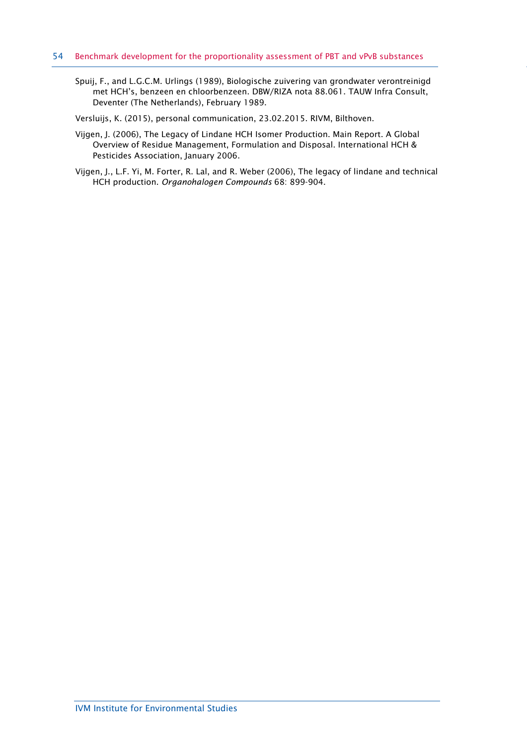Spuij, F., and L.G.C.M. Urlings (1989), Biologische zuivering van grondwater verontreinigd met HCH's, benzeen en chloorbenzeen. DBW/RIZA nota 88.061. TAUW Infra Consult, Deventer (The Netherlands), February 1989.

Versluijs, K. (2015), personal communication, 23.02.2015. RIVM, Bilthoven.

- Vijgen, J. (2006), The Legacy of Lindane HCH Isomer Production. Main Report. A Global Overview of Residue Management, Formulation and Disposal. International HCH & Pesticides Association, January 2006.
- Vijgen, J., L.F. Yi, M. Forter, R. Lal, and R. Weber (2006), The legacy of lindane and technical HCH production. *Organohalogen Compounds* 68: 899-904.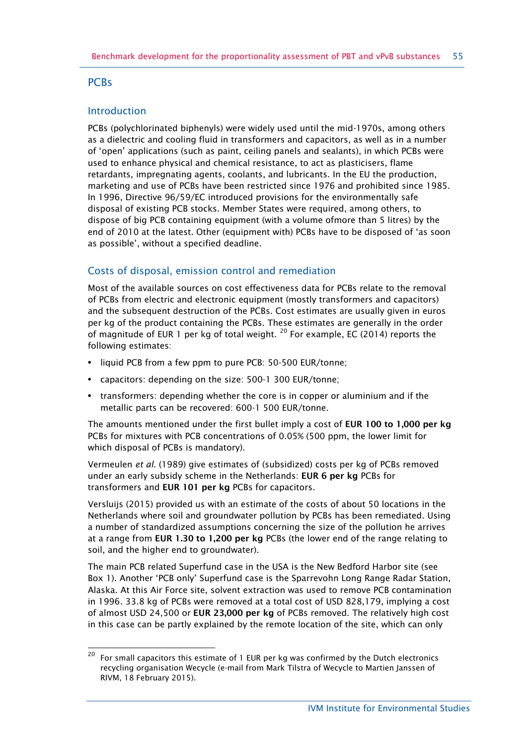## **PCBs**

 $\overline{a}$ 

## Introduction

PCBs (polychlorinated biphenyls) were widely used until the mid-1970s, among others as a dielectric and cooling fluid in transformers and capacitors, as well as in a number of 'open' applications (such as paint, ceiling panels and sealants), in which PCBs were used to enhance physical and chemical resistance, to act as plasticisers, flame retardants, impregnating agents, coolants, and lubricants. In the EU the production, marketing and use of PCBs have been restricted since 1976 and prohibited since 1985. In 1996, Directive 96/59/EC introduced provisions for the environmentally safe disposal of existing PCB stocks. Member States were required, among others, to dispose of big PCB containing equipment (with a volume ofmore than 5 litres) by the end of 2010 at the latest. Other (equipment with) PCBs have to be disposed of 'as soon as possible', without a specified deadline.

# Costs of disposal, emission control and remediation

Most of the available sources on cost effectiveness data for PCBs relate to the removal of PCBs from electric and electronic equipment (mostly transformers and capacitors) and the subsequent destruction of the PCBs. Cost estimates are usually given in euros per kg of the product containing the PCBs. These estimates are generally in the order of magnitude of EUR 1 per kg of total weight.  $^{20}$  $^{20}$  $^{20}$  For example, EC (2014) reports the following estimates:

- **•** liquid PCB from a few ppm to pure PCB: 50-500 EUR/tonne;
- **•** capacitors: depending on the size: 500-1 300 EUR/tonne;
- **•** transformers: depending whether the core is in copper or aluminium and if the metallic parts can be recovered: 600-1 500 EUR/tonne.

The amounts mentioned under the first bullet imply a cost of **EUR 100 to 1,000 per kg** PCBs for mixtures with PCB concentrations of 0.05% (500 ppm, the lower limit for which disposal of PCBs is mandatory).

Vermeulen *et al*. (1989) give estimates of (subsidized) costs per kg of PCBs removed under an early subsidy scheme in the Netherlands: **EUR 6 per kg** PCBs for transformers and **EUR 101 per kg** PCBs for capacitors.

Versluijs (2015) provided us with an estimate of the costs of about 50 locations in the Netherlands where soil and groundwater pollution by PCBs has been remediated. Using a number of standardized assumptions concerning the size of the pollution he arrives at a range from **EUR 1.30 to 1,200 per kg** PCBs (the lower end of the range relating to soil, and the higher end to groundwater).

The main PCB related Superfund case in the USA is the New Bedford Harbor site (see Box 1). Another 'PCB only' Superfund case is the Sparrevohn Long Range Radar Station, Alaska. At this Air Force site, solvent extraction was used to remove PCB contamination in 1996. 33.8 kg of PCBs were removed at a total cost of USD 828,179, implying a cost of almost USD 24,500 or **EUR 23,000 per kg** of PCBs removed. The relatively high cost in this case can be partly explained by the remote location of the site, which can only

<span id="page-54-0"></span> $20$  For small capacitors this estimate of 1 EUR per kg was confirmed by the Dutch electronics recycling organisation Wecycle (e-mail from Mark Tilstra of Wecycle to Martien Janssen of RIVM, 18 February 2015).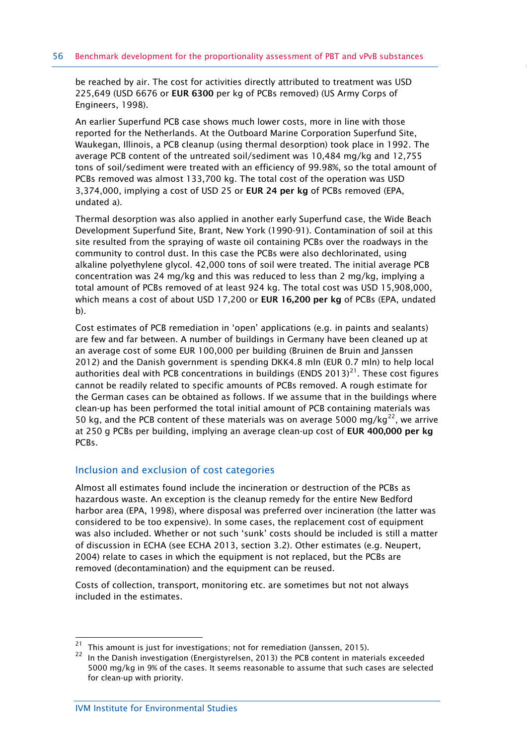be reached by air. The cost for activities directly attributed to treatment was USD 225,649 (USD 6676 or **EUR 6300** per kg of PCBs removed) (US Army Corps of Engineers, 1998).

An earlier Superfund PCB case shows much lower costs, more in line with those reported for the Netherlands. At the Outboard Marine Corporation Superfund Site, Waukegan, Illinois, a PCB cleanup (using thermal desorption) took place in 1992. The average PCB content of the untreated soil/sediment was 10,484 mg/kg and 12,755 tons of soil/sediment were treated with an efficiency of 99.98%, so the total amount of PCBs removed was almost 133,700 kg. The total cost of the operation was USD 3,374,000, implying a cost of USD 25 or **EUR 24 per kg** of PCBs removed (EPA, undated a).

Thermal desorption was also applied in another early Superfund case, the Wide Beach Development Superfund Site, Brant, New York (1990-91). Contamination of soil at this site resulted from the spraying of waste oil containing PCBs over the roadways in the community to control dust. In this case the PCBs were also dechlorinated, using alkaline polyethylene glycol. 42,000 tons of soil were treated. The initial average PCB concentration was 24 mg/kg and this was reduced to less than 2 mg/kg, implying a total amount of PCBs removed of at least 924 kg. The total cost was USD 15,908,000, which means a cost of about USD 17,200 or **EUR 16,200 per kg** of PCBs (EPA, undated b).

Cost estimates of PCB remediation in 'open' applications (e.g. in paints and sealants) are few and far between. A number of buildings in Germany have been cleaned up at an average cost of some EUR 100,000 per building (Bruinen de Bruin and Janssen 2012) and the Danish government is spending DKK4.8 mln (EUR 0.7 mln) to help local authorities deal with PCB concentrations in buildings (ENDS 2013)<sup>21</sup>. These cost figures cannot be readily related to specific amounts of PCBs removed. A rough estimate for the German cases can be obtained as follows. If we assume that in the buildings where clean-up has been performed the total initial amount of PCB containing materials was 50 kg, and the PCB content of these materials was on average 5000 mg/kg<sup>22</sup>, we arrive at 250 g PCBs per building, implying an average clean-up cost of **EUR 400,000 per kg**  PCBs.

#### Inclusion and exclusion of cost categories

Almost all estimates found include the incineration or destruction of the PCBs as hazardous waste. An exception is the cleanup remedy for the entire New Bedford harbor area (EPA, 1998), where disposal was preferred over incineration (the latter was considered to be too expensive). In some cases, the replacement cost of equipment was also included. Whether or not such 'sunk' costs should be included is still a matter of discussion in ECHA (see ECHA 2013, section 3.2). Other estimates (e.g. Neupert, 2004) relate to cases in which the equipment is not replaced, but the PCBs are removed (decontamination) and the equipment can be reused.

Costs of collection, transport, monitoring etc. are sometimes but not not always included in the estimates.

-

<span id="page-55-0"></span> $21$  This amount is just for investigations; not for remediation (Janssen, 2015).

<span id="page-55-1"></span> $22$  In the Danish investigation (Energistyrelsen, 2013) the PCB content in materials exceeded 5000 mg/kg in 9% of the cases. It seems reasonable to assume that such cases are selected for clean-up with priority.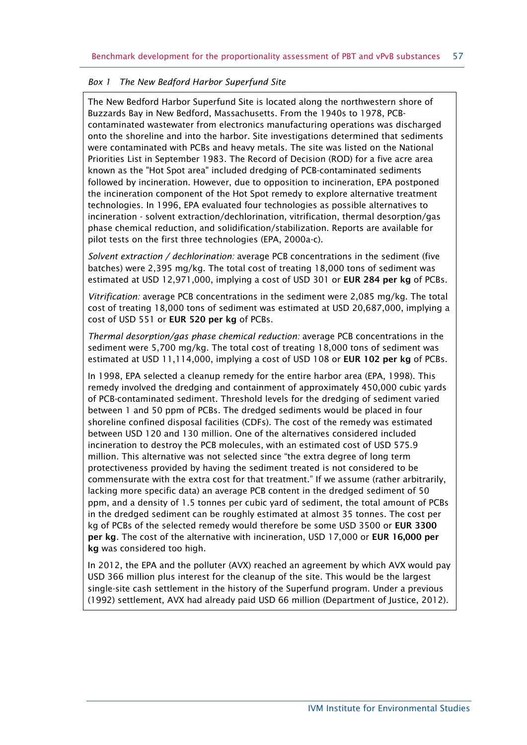#### *Box 1 The New Bedford Harbor Superfund Site*

The New Bedford Harbor Superfund Site is located along the northwestern shore of Buzzards Bay in New Bedford, Massachusetts. From the 1940s to 1978, PCBcontaminated wastewater from electronics manufacturing operations was discharged onto the shoreline and into the harbor. Site investigations determined that sediments were contaminated with PCBs and heavy metals. The site was listed on the National Priorities List in September 1983. The Record of Decision (ROD) for a five acre area known as the "Hot Spot area" included dredging of PCB-contaminated sediments followed by incineration. However, due to opposition to incineration, EPA postponed the incineration component of the Hot Spot remedy to explore alternative treatment technologies. In 1996, EPA evaluated four technologies as possible alternatives to incineration - solvent extraction/dechlorination, vitrification, thermal desorption/gas phase chemical reduction, and solidification/stabilization. Reports are available for pilot tests on the first three technologies (EPA, 2000a-c).

*Solvent extraction / dechlorination:* average PCB concentrations in the sediment (five batches) were 2,395 mg/kg. The total cost of treating 18,000 tons of sediment was estimated at USD 12,971,000, implying a cost of USD 301 or **EUR 284 per kg** of PCBs.

*Vitrification:* average PCB concentrations in the sediment were 2,085 mg/kg. The total cost of treating 18,000 tons of sediment was estimated at USD 20,687,000, implying a cost of USD 551 or **EUR 520 per kg** of PCBs.

*Thermal desorption/gas phase chemical reduction:* average PCB concentrations in the sediment were 5,700 mg/kg. The total cost of treating 18,000 tons of sediment was estimated at USD 11,114,000, implying a cost of USD 108 or **EUR 102 per kg** of PCBs.

In 1998, EPA selected a cleanup remedy for the entire harbor area (EPA, 1998). This remedy involved the dredging and containment of approximately 450,000 cubic yards of PCB-contaminated sediment. Threshold levels for the dredging of sediment varied between 1 and 50 ppm of PCBs. The dredged sediments would be placed in four shoreline confined disposal facilities (CDFs). The cost of the remedy was estimated between USD 120 and 130 million. One of the alternatives considered included incineration to destroy the PCB molecules, with an estimated cost of USD 575.9 million. This alternative was not selected since "the extra degree of long term protectiveness provided by having the sediment treated is not considered to be commensurate with the extra cost for that treatment." If we assume (rather arbitrarily, lacking more specific data) an average PCB content in the dredged sediment of 50 ppm, and a density of 1.5 tonnes per cubic yard of sediment, the total amount of PCBs in the dredged sediment can be roughly estimated at almost 35 tonnes. The cost per kg of PCBs of the selected remedy would therefore be some USD 3500 or **EUR 3300 per kg**. The cost of the alternative with incineration, USD 17,000 or **EUR 16,000 per kg** was considered too high.

In 2012, the EPA and the polluter (AVX) reached an agreement by which AVX would pay USD 366 million plus interest for the cleanup of the site. This would be the largest single-site cash settlement in the history of the Superfund program. Under a previous (1992) settlement, AVX had already paid USD 66 million (Department of Justice, 2012).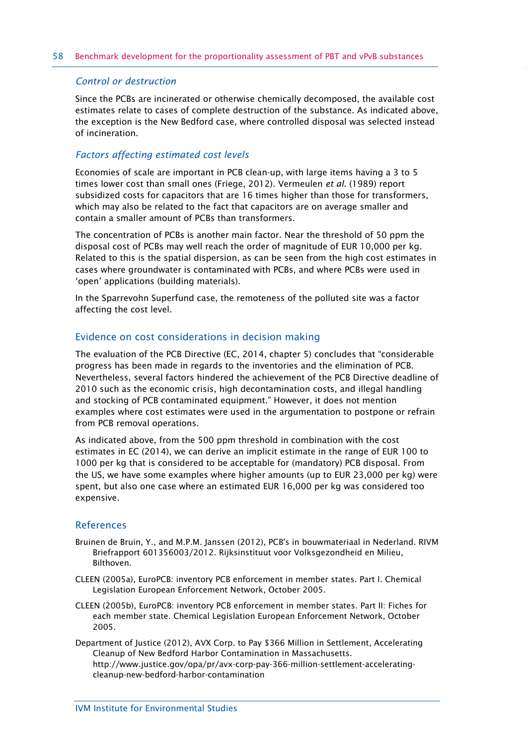#### *Control or destruction*

Since the PCBs are incinerated or otherwise chemically decomposed, the available cost estimates relate to cases of complete destruction of the substance. As indicated above, the exception is the New Bedford case, where controlled disposal was selected instead of incineration.

#### *Factors affecting estimated cost levels*

Economies of scale are important in PCB clean-up, with large items having a 3 to 5 times lower cost than small ones (Friege, 2012). Vermeulen *et al*. (1989) report subsidized costs for capacitors that are 16 times higher than those for transformers, which may also be related to the fact that capacitors are on average smaller and contain a smaller amount of PCBs than transformers.

The concentration of PCBs is another main factor. Near the threshold of 50 ppm the disposal cost of PCBs may well reach the order of magnitude of EUR 10,000 per kg. Related to this is the spatial dispersion, as can be seen from the high cost estimates in cases where groundwater is contaminated with PCBs, and where PCBs were used in 'open' applications (building materials).

In the Sparrevohn Superfund case, the remoteness of the polluted site was a factor affecting the cost level.

#### Evidence on cost considerations in decision making

The evaluation of the PCB Directive (EC, 2014, chapter 5) concludes that "considerable progress has been made in regards to the inventories and the elimination of PCB. Nevertheless, several factors hindered the achievement of the PCB Directive deadline of 2010 such as the economic crisis, high decontamination costs, and illegal handling and stocking of PCB contaminated equipment." However, it does not mention examples where cost estimates were used in the argumentation to postpone or refrain from PCB removal operations.

As indicated above, from the 500 ppm threshold in combination with the cost estimates in EC (2014), we can derive an implicit estimate in the range of EUR 100 to 1000 per kg that is considered to be acceptable for (mandatory) PCB disposal. From the US, we have some examples where higher amounts (up to EUR 23,000 per kg) were spent, but also one case where an estimated EUR 16,000 per kg was considered too expensive.

#### References

- Bruinen de Bruin, Y., and M.P.M. Janssen (2012), PCB's in bouwmateriaal in Nederland. RIVM Briefrapport 601356003/2012. Rijksinstituut voor Volksgezondheid en Milieu, Bilthoven.
- CLEEN (2005a), EuroPCB: inventory PCB enforcement in member states. Part I. Chemical Legislation European Enforcement Network, October 2005.
- CLEEN (2005b), EuroPCB: inventory PCB enforcement in member states. Part II: Fiches for each member state. Chemical Legislation European Enforcement Network, October 2005.
- Department of Justice (2012), AVX Corp. to Pay \$366 Million in Settlement, Accelerating Cleanup of New Bedford Harbor Contamination in Massachusetts. [http://www.justice.gov/opa/pr/avx-corp-pay-366-million-settlement-accelerating](http://www.justice.gov/opa/pr/avx-corp-pay-366-million-settlement-accelerating-cleanup-new-bedford-harbor-contamination)[cleanup-new-bedford-harbor-contamination](http://www.justice.gov/opa/pr/avx-corp-pay-366-million-settlement-accelerating-cleanup-new-bedford-harbor-contamination)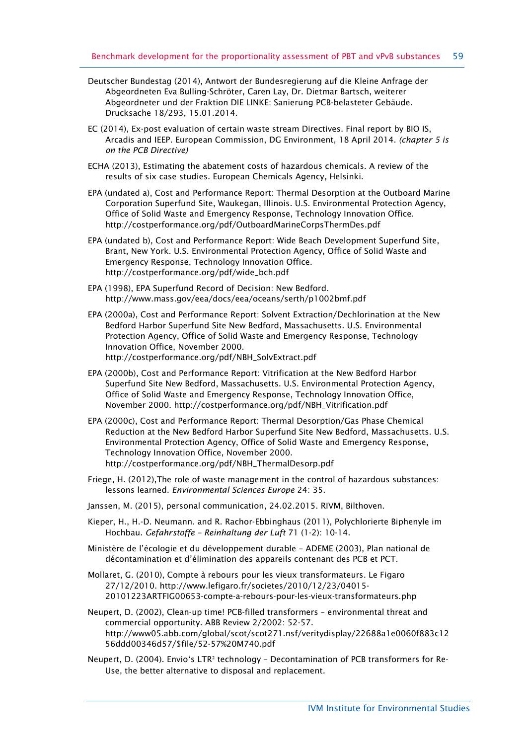- Deutscher Bundestag (2014), Antwort der Bundesregierung auf die Kleine Anfrage der Abgeordneten Eva Bulling-Schröter, Caren Lay, Dr. Dietmar Bartsch, weiterer Abgeordneter und der Fraktion DIE LINKE: Sanierung PCB-belasteter Gebäude. Drucksache 18/293, 15.01.2014.
- EC (2014), Ex-post evaluation of certain waste stream Directives. Final report by BIO IS, Arcadis and IEEP. European Commission, DG Environment, 18 April 2014. *(chapter 5 is on the PCB Directive)*
- ECHA (2013), Estimating the abatement costs of hazardous chemicals. A review of the results of six case studies. European Chemicals Agency, Helsinki.
- EPA (undated a), Cost and Performance Report: Thermal Desorption at the Outboard Marine Corporation Superfund Site, Waukegan, Illinois. U.S. Environmental Protection Agency, Office of Solid Waste and Emergency Response, Technology Innovation Office. <http://costperformance.org/pdf/OutboardMarineCorpsThermDes.pdf>
- EPA (undated b), Cost and Performance Report: Wide Beach Development Superfund Site, Brant, New York. U.S. Environmental Protection Agency, Office of Solid Waste and Emergency Response, Technology Innovation Office. [http://costperformance.org/pdf/wide\\_bch.pdf](http://costperformance.org/pdf/wide_bch.pdf)
- EPA (1998), EPA Superfund Record of Decision: New Bedford. <http://www.mass.gov/eea/docs/eea/oceans/serth/p1002bmf.pdf>
- EPA (2000a), Cost and Performance Report: Solvent Extraction/Dechlorination at the New Bedford Harbor Superfund Site New Bedford, Massachusetts. U.S. Environmental Protection Agency, Office of Solid Waste and Emergency Response, Technology Innovation Office, November 2000. [http://costperformance.org/pdf/NBH\\_SolvExtract.pdf](http://costperformance.org/pdf/NBH_SolvExtract.pdf)
- EPA (2000b), Cost and Performance Report: Vitrification at the New Bedford Harbor Superfund Site New Bedford, Massachusetts. U.S. Environmental Protection Agency, Office of Solid Waste and Emergency Response, Technology Innovation Office, November 2000. [http://costperformance.org/pdf/NBH\\_Vitrification.pdf](http://costperformance.org/pdf/NBH_Vitrification.pdf)
- EPA (2000c), Cost and Performance Report: Thermal Desorption/Gas Phase Chemical Reduction at the New Bedford Harbor Superfund Site New Bedford, Massachusetts. U.S. Environmental Protection Agency, Office of Solid Waste and Emergency Response, Technology Innovation Office, November 2000. [http://costperformance.org/pdf/NBH\\_ThermalDesorp.pdf](http://costperformance.org/pdf/NBH_ThermalDesorp.pdf)
- Friege, H. (2012),The role of waste management in the control of hazardous substances: lessons learned. *Environmental Sciences Europe* 24: 35.
- Janssen, M. (2015), personal communication, 24.02.2015. RIVM, Bilthoven.
- Kieper, H., H.-D. Neumann. and R. Rachor-Ebbinghaus (2011), Polychlorierte Biphenyle im Hochbau. *Gefahrstoffe – Reinhaltung der Luft* 71 (1-2): 10-14.
- Ministère de l'écologie et du développement durable ADEME (2003), Plan national de décontamination et d'élimination des appareils contenant des PCB et PCT.
- Mollaret, G. (2010), Compte à rebours pour les vieux transformateurs. Le Figaro 27/12/2010. [http://www.lefigaro.fr/societes/2010/12/23/04015-](http://www.lefigaro.fr/societes/2010/12/23/04015-20101223ARTFIG00653-compte-a-rebours-pour-les-vieux-transformateurs.php) [20101223ARTFIG00653-compte-a-rebours-pour-les-vieux-transformateurs.php](http://www.lefigaro.fr/societes/2010/12/23/04015-20101223ARTFIG00653-compte-a-rebours-pour-les-vieux-transformateurs.php)
- Neupert, D. (2002), Clean-up time! PCB-filled transformers environmental threat and commercial opportunity. ABB Review 2/2002: 52-57. [http://www05.abb.com/global/scot/scot271.nsf/veritydisplay/22688a1e0060f883c12](http://www05.abb.com/global/scot/scot271.nsf/veritydisplay/22688a1e0060f883c1256ddd00346d57/$file/52-57%20M740.pdf) [56ddd00346d57/\\$file/52-57%20M740.pdf](http://www05.abb.com/global/scot/scot271.nsf/veritydisplay/22688a1e0060f883c1256ddd00346d57/$file/52-57%20M740.pdf)
- Neupert, D. (2004). Envio's LTR² technology Decontamination of PCB transformers for Re-Use, the better alternative to disposal and replacement.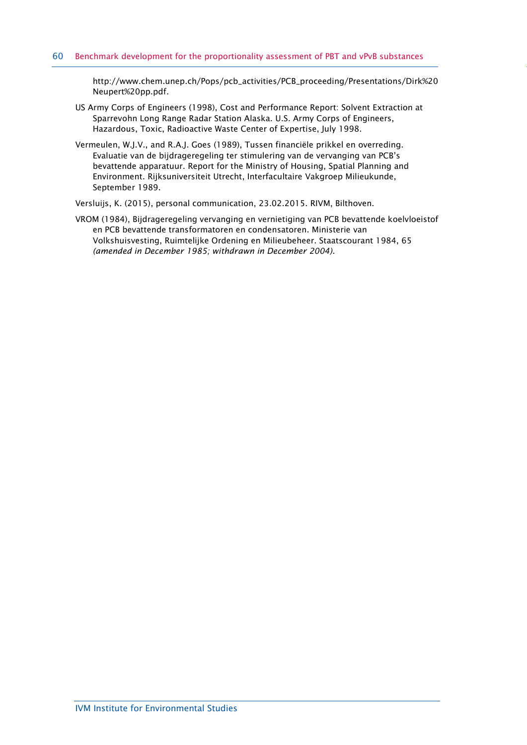[http://www.chem.unep.ch/Pops/pcb\\_activities/PCB\\_proceeding/Presentations/Dirk%20](http://www.chem.unep.ch/Pops/pcb_activities/PCB_proceeding/Presentations/Dirk%20Neupert%20pp.pdf) [Neupert%20pp.pdf.](http://www.chem.unep.ch/Pops/pcb_activities/PCB_proceeding/Presentations/Dirk%20Neupert%20pp.pdf)

- US Army Corps of Engineers (1998), Cost and Performance Report: Solvent Extraction at Sparrevohn Long Range Radar Station Alaska. U.S. Army Corps of Engineers, Hazardous, Toxic, Radioactive Waste Center of Expertise, July 1998.
- Vermeulen, W.J.V., and R.A.J. Goes (1989), Tussen financiële prikkel en overreding. Evaluatie van de bijdrageregeling ter stimulering van de vervanging van PCB's bevattende apparatuur. Report for the Ministry of Housing, Spatial Planning and Environment. Rijksuniversiteit Utrecht, Interfacultaire Vakgroep Milieukunde, September 1989.

Versluijs, K. (2015), personal communication, 23.02.2015. RIVM, Bilthoven.

VROM (1984), Bijdrageregeling vervanging en vernietiging van PCB bevattende koelvloeistof en PCB bevattende transformatoren en condensatoren. Ministerie van Volkshuisvesting, Ruimtelijke Ordening en Milieubeheer. Staatscourant 1984, 65 *(amended in December 1985; withdrawn in December 2004).*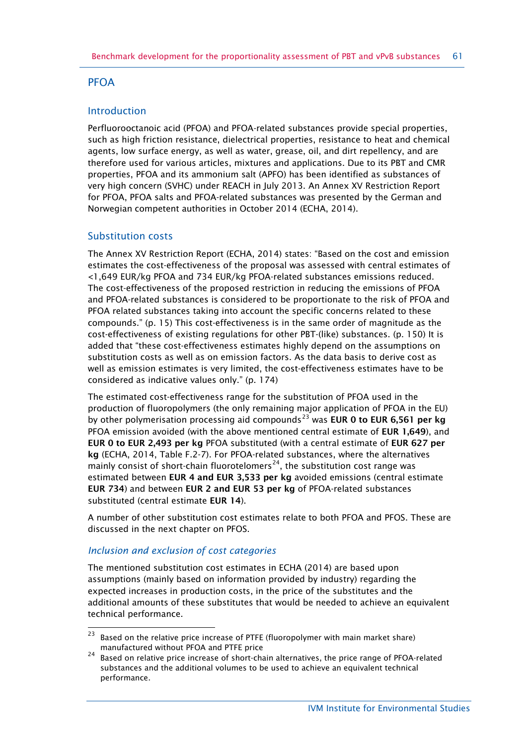# PFOA

## Introduction

Perfluorooctanoic acid (PFOA) and PFOA-related substances provide special properties, such as high friction resistance, dielectrical properties, resistance to heat and chemical agents, low surface energy, as well as water, grease, oil, and dirt repellency, and are therefore used for various articles, mixtures and applications. Due to its PBT and CMR properties, PFOA and its ammonium salt (APFO) has been identified as substances of very high concern (SVHC) under REACH in July 2013. An Annex XV Restriction Report for PFOA, PFOA salts and PFOA-related substances was presented by the German and Norwegian competent authorities in October 2014 (ECHA, 2014).

## Substitution costs

The Annex XV Restriction Report (ECHA, 2014) states: "Based on the cost and emission estimates the cost-effectiveness of the proposal was assessed with central estimates of <1,649 EUR/kg PFOA and 734 EUR/kg PFOA-related substances emissions reduced. The cost-effectiveness of the proposed restriction in reducing the emissions of PFOA and PFOA-related substances is considered to be proportionate to the risk of PFOA and PFOA related substances taking into account the specific concerns related to these compounds." (p. 15) This cost-effectiveness is in the same order of magnitude as the cost-effectiveness of existing regulations for other PBT-(like) substances. (p. 150) It is added that "these cost-effectiveness estimates highly depend on the assumptions on substitution costs as well as on emission factors. As the data basis to derive cost as well as emission estimates is very limited, the cost-effectiveness estimates have to be considered as indicative values only." (p. 174)

The estimated cost-effectiveness range for the substitution of PFOA used in the production of fluoropolymers (the only remaining major application of PFOA in the EU) by other polymerisation processing aid compounds<sup>[23](#page-60-0)</sup> was **EUR 0 to EUR 6,561 per kg** PFOA emission avoided (with the above mentioned central estimate of **EUR 1,649**), and **EUR 0 to EUR 2,493 per kg** PFOA substituted (with a central estimate of **EUR 627 per kg** (ECHA, 2014, Table F.2-7). For PFOA-related substances, where the alternatives mainly consist of short-chain fluorotelomers<sup>[24](#page-60-1)</sup>, the substitution cost range was estimated between **EUR 4 and EUR 3,533 per kg** avoided emissions (central estimate **EUR 734**) and between **EUR 2 and EUR 53 per kg** of PFOA-related substances substituted (central estimate **EUR 14**).

A number of other substitution cost estimates relate to both PFOA and PFOS. These are discussed in the next chapter on PFOS.

## *Inclusion and exclusion of cost categories*

The mentioned substitution cost estimates in ECHA (2014) are based upon assumptions (mainly based on information provided by industry) regarding the expected increases in production costs, in the price of the substitutes and the additional amounts of these substitutes that would be needed to achieve an equivalent technical performance.

<span id="page-60-0"></span> $23$ Based on the relative price increase of PTFE (fluoropolymer with main market share) manufactured without PFOA and PTFE price

<span id="page-60-1"></span> $24$  Based on relative price increase of short-chain alternatives, the price range of PFOA-related substances and the additional volumes to be used to achieve an equivalent technical performance.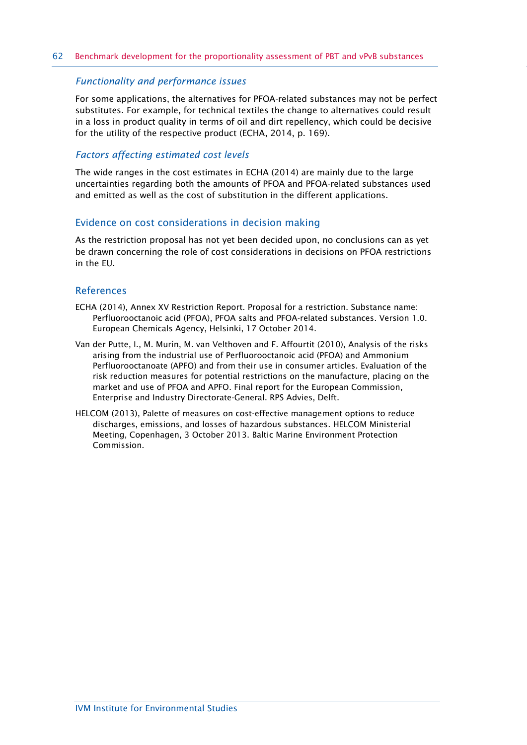#### *Functionality and performance issues*

For some applications, the alternatives for PFOA-related substances may not be perfect substitutes. For example, for technical textiles the change to alternatives could result in a loss in product quality in terms of oil and dirt repellency, which could be decisive for the utility of the respective product (ECHA, 2014, p. 169).

#### *Factors affecting estimated cost levels*

The wide ranges in the cost estimates in ECHA (2014) are mainly due to the large uncertainties regarding both the amounts of PFOA and PFOA-related substances used and emitted as well as the cost of substitution in the different applications.

#### Evidence on cost considerations in decision making

As the restriction proposal has not yet been decided upon, no conclusions can as yet be drawn concerning the role of cost considerations in decisions on PFOA restrictions in the EU.

#### References

- ECHA (2014), Annex XV Restriction Report. Proposal for a restriction. Substance name: Perfluorooctanoic acid (PFOA), PFOA salts and PFOA-related substances. Version 1.0. European Chemicals Agency, Helsinki, 17 October 2014.
- Van der Putte, I., M. Murín, M. van Velthoven and F. Affourtit (2010), Analysis of the risks arising from the industrial use of Perfluorooctanoic acid (PFOA) and Ammonium Perfluorooctanoate (APFO) and from their use in consumer articles. Evaluation of the risk reduction measures for potential restrictions on the manufacture, placing on the market and use of PFOA and APFO. Final report for the European Commission, Enterprise and Industry Directorate-General. RPS Advies, Delft.
- HELCOM (2013), Palette of measures on cost-effective management options to reduce discharges, emissions, and losses of hazardous substances. HELCOM Ministerial Meeting, Copenhagen, 3 October 2013. Baltic Marine Environment Protection Commission.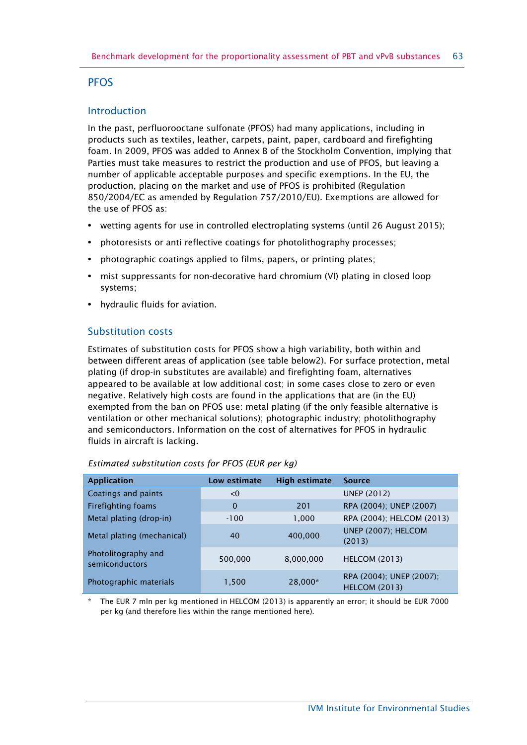## **PFOS**

## Introduction

In the past, perfluorooctane sulfonate (PFOS) had many applications, including in products such as textiles, leather, carpets, paint, paper, cardboard and firefighting foam. In 2009, PFOS was added to Annex B of the Stockholm Convention, implying that Parties must take measures to restrict the production and use of PFOS, but leaving a number of applicable acceptable purposes and specific exemptions. In the EU, the production, placing on the market and use of PFOS is prohibited (Regulation 850/2004/EC as amended by Regulation 757/2010/EU). Exemptions are allowed for the use of PFOS as:

- **•** wetting agents for use in controlled electroplating systems (until 26 August 2015);
- **•** photoresists or anti reflective coatings for photolithography processes;
- **•** photographic coatings applied to films, papers, or printing plates;
- **•** mist suppressants for non-decorative hard chromium (VI) plating in closed loop systems;
- **•** hydraulic fluids for aviation.

## Substitution costs

Estimates of substitution costs for PFOS show a high variability, both within and between different areas of application (see table below2). For surface protection, metal plating (if drop-in substitutes are available) and firefighting foam, alternatives appeared to be available at low additional cost; in some cases close to zero or even negative. Relatively high costs are found in the applications that are (in the EU) exempted from the ban on PFOS use: metal plating (if the only feasible alternative is ventilation or other mechanical solutions); photographic industry; photolithography and semiconductors. Information on the cost of alternatives for PFOS in hydraulic fluids in aircraft is lacking.

| <b>Application</b>                    | Low estimate | <b>High estimate</b> | <b>Source</b>                                    |
|---------------------------------------|--------------|----------------------|--------------------------------------------------|
| Coatings and paints                   | < 0          |                      | <b>UNEP (2012)</b>                               |
| Firefighting foams                    | $\Omega$     | 201                  | RPA (2004); UNEP (2007)                          |
| Metal plating (drop-in)               | $-100$       | 1,000                | RPA (2004); HELCOM (2013)                        |
| Metal plating (mechanical)            | 40           | 400,000              | UNEP (2007); HELCOM<br>(2013)                    |
| Photolitography and<br>semiconductors | 500,000      | 8,000,000            | <b>HELCOM (2013)</b>                             |
| Photographic materials                | 1,500        | 28,000*              | RPA (2004); UNEP (2007);<br><b>HELCOM (2013)</b> |

#### *Estimated substitution costs for PFOS (EUR per kg)*

The EUR 7 mln per kg mentioned in HELCOM (2013) is apparently an error; it should be EUR 7000 per kg (and therefore lies within the range mentioned here).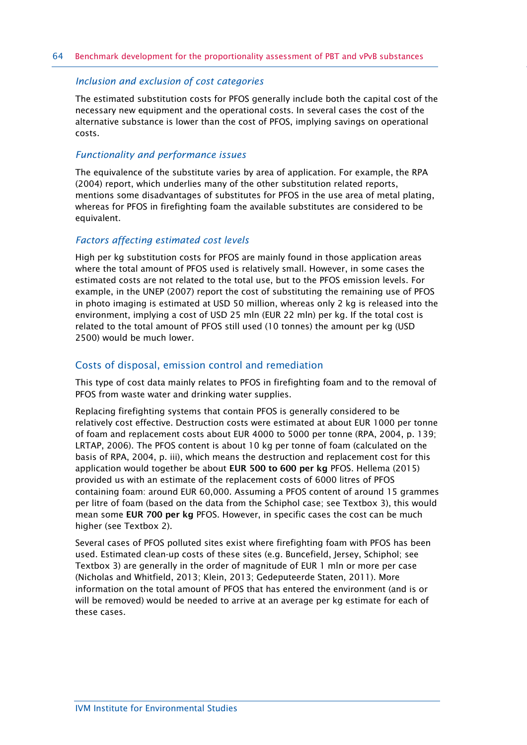#### *Inclusion and exclusion of cost categories*

The estimated substitution costs for PFOS generally include both the capital cost of the necessary new equipment and the operational costs. In several cases the cost of the alternative substance is lower than the cost of PFOS, implying savings on operational costs.

#### *Functionality and performance issues*

The equivalence of the substitute varies by area of application. For example, the RPA (2004) report, which underlies many of the other substitution related reports, mentions some disadvantages of substitutes for PFOS in the use area of metal plating, whereas for PFOS in firefighting foam the available substitutes are considered to be equivalent.

#### *Factors affecting estimated cost levels*

High per kg substitution costs for PFOS are mainly found in those application areas where the total amount of PFOS used is relatively small. However, in some cases the estimated costs are not related to the total use, but to the PFOS emission levels. For example, in the UNEP (2007) report the cost of substituting the remaining use of PFOS in photo imaging is estimated at USD 50 million, whereas only 2 kg is released into the environment, implying a cost of USD 25 mln (EUR 22 mln) per kg. If the total cost is related to the total amount of PFOS still used (10 tonnes) the amount per kg (USD 2500) would be much lower.

## Costs of disposal, emission control and remediation

This type of cost data mainly relates to PFOS in firefighting foam and to the removal of PFOS from waste water and drinking water supplies.

Replacing firefighting systems that contain PFOS is generally considered to be relatively cost effective. Destruction costs were estimated at about EUR 1000 per tonne of foam and replacement costs about EUR 4000 to 5000 per tonne (RPA, 2004, p. 139; LRTAP, 2006). The PFOS content is about 10 kg per tonne of foam (calculated on the basis of RPA, 2004, p. iii), which means the destruction and replacement cost for this application would together be about **EUR 500 to 600 per kg** PFOS. Hellema (2015) provided us with an estimate of the replacement costs of 6000 litres of PFOS containing foam: around EUR 60,000. Assuming a PFOS content of around 15 grammes per litre of foam (based on the data from the Schiphol case; see Textbox 3), this would mean some **EUR 700 per kg** PFOS. However, in specific cases the cost can be much higher (see Textbox 2).

Several cases of PFOS polluted sites exist where firefighting foam with PFOS has been used. Estimated clean-up costs of these sites (e.g. Buncefield, Jersey, Schiphol; see Textbox 3) are generally in the order of magnitude of EUR 1 mln or more per case (Nicholas and Whitfield, 2013; Klein, 2013; Gedeputeerde Staten, 2011). More information on the total amount of PFOS that has entered the environment (and is or will be removed) would be needed to arrive at an average per kg estimate for each of these cases.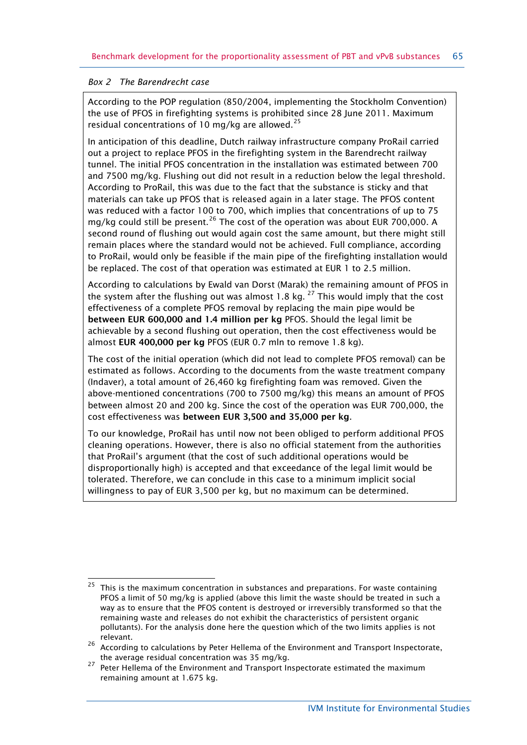### *Box 2 The Barendrecht case*

According to the POP regulation (850/2004, implementing the Stockholm Convention) the use of PFOS in firefighting systems is prohibited since 28 June 2011. Maximum residual concentrations of 10 mg/kg are allowed.<sup>[25](#page-64-0)</sup>

In anticipation of this deadline, Dutch railway infrastructure company ProRail carried out a project to replace PFOS in the firefighting system in the Barendrecht railway tunnel. The initial PFOS concentration in the installation was estimated between 700 and 7500 mg/kg. Flushing out did not result in a reduction below the legal threshold. According to ProRail, this was due to the fact that the substance is sticky and that materials can take up PFOS that is released again in a later stage. The PFOS content was reduced with a factor 100 to 700, which implies that concentrations of up to 75 mg/kg could still be present.<sup>[26](#page-64-1)</sup> The cost of the operation was about EUR 700,000. A second round of flushing out would again cost the same amount, but there might still remain places where the standard would not be achieved. Full compliance, according to ProRail, would only be feasible if the main pipe of the firefighting installation would be replaced. The cost of that operation was estimated at EUR 1 to 2.5 million.

According to calculations by Ewald van Dorst (Marak) the remaining amount of PFOS in the system after the flushing out was almost 1.8 kg.<sup>[27](#page-64-2)</sup> This would imply that the cost effectiveness of a complete PFOS removal by replacing the main pipe would be **between EUR 600,000 and 1.4 million per kg** PFOS. Should the legal limit be achievable by a second flushing out operation, then the cost effectiveness would be almost **EUR 400,000 per kg** PFOS (EUR 0.7 mln to remove 1.8 kg).

The cost of the initial operation (which did not lead to complete PFOS removal) can be estimated as follows. According to the documents from the waste treatment company (Indaver), a total amount of 26,460 kg firefighting foam was removed. Given the above-mentioned concentrations (700 to 7500 mg/kg) this means an amount of PFOS between almost 20 and 200 kg. Since the cost of the operation was EUR 700,000, the cost effectiveness was **between EUR 3,500 and 35,000 per kg**.

To our knowledge, ProRail has until now not been obliged to perform additional PFOS cleaning operations. However, there is also no official statement from the authorities that ProRail's argument (that the cost of such additional operations would be disproportionally high) is accepted and that exceedance of the legal limit would be tolerated. Therefore, we can conclude in this case to a minimum implicit social willingness to pay of EUR 3,500 per kg, but no maximum can be determined.

<span id="page-64-0"></span><sup>25</sup> 25 This is the maximum concentration in substances and preparations. For waste containing PFOS a limit of 50 mg/kg is applied (above this limit the waste should be treated in such a way as to ensure that the PFOS content is destroyed or irreversibly transformed so that the remaining waste and releases do not exhibit the characteristics of persistent organic pollutants). For the analysis done here the question which of the two limits applies is not relevant.

<span id="page-64-1"></span><sup>26</sup> According to calculations by Peter Hellema of the Environment and Transport Inspectorate, the average residual concentration was 35 mg/kg.

<span id="page-64-2"></span><sup>&</sup>lt;sup>27</sup> Peter Hellema of the Environment and Transport Inspectorate estimated the maximum remaining amount at 1.675 kg.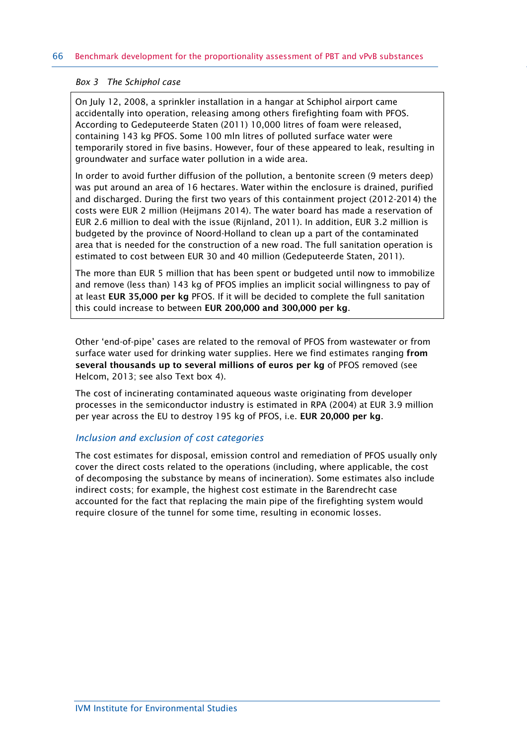#### *Box 3 The Schiphol case*

On July 12, 2008, a sprinkler installation in a hangar at Schiphol airport came accidentally into operation, releasing among others firefighting foam with PFOS. According to Gedeputeerde Staten (2011) 10,000 litres of foam were released, containing 143 kg PFOS. Some 100 mln litres of polluted surface water were temporarily stored in five basins. However, four of these appeared to leak, resulting in groundwater and surface water pollution in a wide area.

In order to avoid further diffusion of the pollution, a bentonite screen (9 meters deep) was put around an area of 16 hectares. Water within the enclosure is drained, purified and discharged. During the first two years of this containment project (2012-2014) the costs were EUR 2 million (Heijmans 2014). The water board has made a reservation of EUR 2.6 million to deal with the issue (Rijnland, 2011). In addition, EUR 3.2 million is budgeted by the province of Noord-Holland to clean up a part of the contaminated area that is needed for the construction of a new road. The full sanitation operation is estimated to cost between EUR 30 and 40 million (Gedeputeerde Staten, 2011).

The more than EUR 5 million that has been spent or budgeted until now to immobilize and remove (less than) 143 kg of PFOS implies an implicit social willingness to pay of at least **EUR 35,000 per kg** PFOS. If it will be decided to complete the full sanitation this could increase to between **EUR 200,000 and 300,000 per kg**.

Other 'end-of-pipe' cases are related to the removal of PFOS from wastewater or from surface water used for drinking water supplies. Here we find estimates ranging **from several thousands up to several millions of euros per kg** of PFOS removed (see Helcom, 2013; see also Text box 4).

The cost of incinerating contaminated aqueous waste originating from developer processes in the semiconductor industry is estimated in RPA (2004) at EUR 3.9 million per year across the EU to destroy 195 kg of PFOS, i.e. **EUR 20,000 per kg**.

#### *Inclusion and exclusion of cost categories*

The cost estimates for disposal, emission control and remediation of PFOS usually only cover the direct costs related to the operations (including, where applicable, the cost of decomposing the substance by means of incineration). Some estimates also include indirect costs; for example, the highest cost estimate in the Barendrecht case accounted for the fact that replacing the main pipe of the firefighting system would require closure of the tunnel for some time, resulting in economic losses.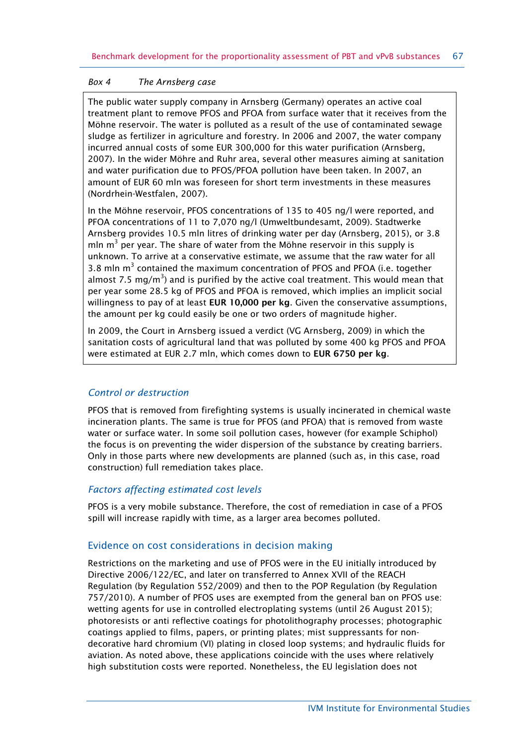#### *Box 4 The Arnsberg case*

The public water supply company in Arnsberg (Germany) operates an active coal treatment plant to remove PFOS and PFOA from surface water that it receives from the Möhne reservoir. The water is polluted as a result of the use of contaminated sewage sludge as fertilizer in agriculture and forestry. In 2006 and 2007, the water company incurred annual costs of some EUR 300,000 for this water purification (Arnsberg, 2007). In the wider Möhre and Ruhr area, several other measures aiming at sanitation and water purification due to PFOS/PFOA pollution have been taken. In 2007, an amount of EUR 60 mln was foreseen for short term investments in these measures (Nordrhein-Westfalen, 2007).

In the Möhne reservoir, PFOS concentrations of 135 to 405 ng/l were reported, and PFOA concentrations of 11 to 7,070 ng/l (Umweltbundesamt, 2009). Stadtwerke Arnsberg provides 10.5 mln litres of drinking water per day (Arnsberg, 2015), or 3.8 mln  $m<sup>3</sup>$  per year. The share of water from the Möhne reservoir in this supply is unknown. To arrive at a conservative estimate, we assume that the raw water for all 3.8 mln  $m<sup>3</sup>$  contained the maximum concentration of PFOS and PFOA (i.e. together almost 7.5 mg/m<sup>3</sup>) and is purified by the active coal treatment. This would mean that per year some 28.5 kg of PFOS and PFOA is removed, which implies an implicit social willingness to pay of at least **EUR 10,000 per kg**. Given the conservative assumptions, the amount per kg could easily be one or two orders of magnitude higher.

In 2009, the Court in Arnsberg issued a verdict (VG Arnsberg, 2009) in which the sanitation costs of agricultural land that was polluted by some 400 kg PFOS and PFOA were estimated at EUR 2.7 mln, which comes down to **EUR 6750 per kg**.

## *Control or destruction*

PFOS that is removed from firefighting systems is usually incinerated in chemical waste incineration plants. The same is true for PFOS (and PFOA) that is removed from waste water or surface water. In some soil pollution cases, however (for example Schiphol) the focus is on preventing the wider dispersion of the substance by creating barriers. Only in those parts where new developments are planned (such as, in this case, road construction) full remediation takes place.

## *Factors affecting estimated cost levels*

PFOS is a very mobile substance. Therefore, the cost of remediation in case of a PFOS spill will increase rapidly with time, as a larger area becomes polluted.

## Evidence on cost considerations in decision making

Restrictions on the marketing and use of PFOS were in the EU initially introduced by Directive 2006/122/EC, and later on transferred to Annex XVII of the REACH Regulation (by Regulation 552/2009) and then to the POP Regulation (by Regulation 757/2010). A number of PFOS uses are exempted from the general ban on PFOS use: wetting agents for use in controlled electroplating systems (until 26 August 2015); photoresists or anti reflective coatings for photolithography processes; photographic coatings applied to films, papers, or printing plates; mist suppressants for nondecorative hard chromium (VI) plating in closed loop systems; and hydraulic fluids for aviation. As noted above, these applications coincide with the uses where relatively high substitution costs were reported. Nonetheless, the EU legislation does not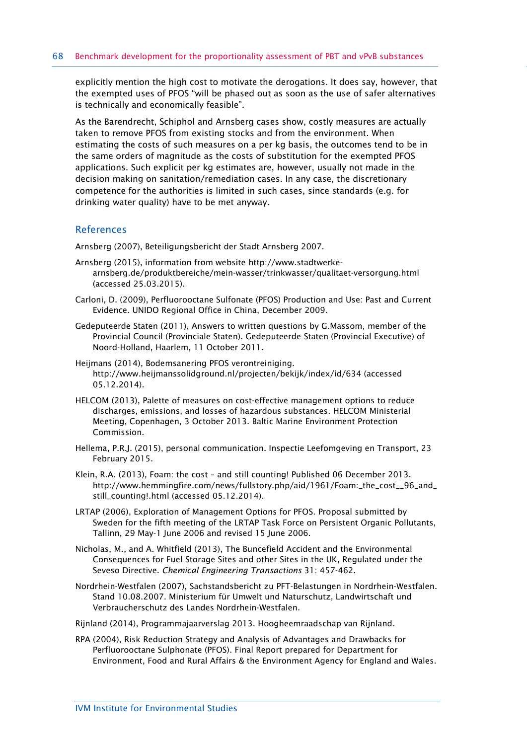explicitly mention the high cost to motivate the derogations. It does say, however, that the exempted uses of PFOS "will be phased out as soon as the use of safer alternatives is technically and economically feasible".

As the Barendrecht, Schiphol and Arnsberg cases show, costly measures are actually taken to remove PFOS from existing stocks and from the environment. When estimating the costs of such measures on a per kg basis, the outcomes tend to be in the same orders of magnitude as the costs of substitution for the exempted PFOS applications. Such explicit per kg estimates are, however, usually not made in the decision making on sanitation/remediation cases. In any case, the discretionary competence for the authorities is limited in such cases, since standards (e.g. for drinking water quality) have to be met anyway.

#### References

Arnsberg (2007), Beteiligungsbericht der Stadt Arnsberg 2007.

- Arnsberg (2015), information from website [http://www.stadtwerke](http://www.stadtwerke-arnsberg.de/produktbereiche/mein-wasser/trinkwasser/qualitaet-versorgung.html)[arnsberg.de/produktbereiche/mein-wasser/trinkwasser/qualitaet-versorgung.html](http://www.stadtwerke-arnsberg.de/produktbereiche/mein-wasser/trinkwasser/qualitaet-versorgung.html) (accessed 25.03.2015).
- Carloni, D. (2009), Perfluorooctane Sulfonate (PFOS) Production and Use: Past and Current Evidence. UNIDO Regional Office in China, December 2009.
- Gedeputeerde Staten (2011), Answers to written questions by G.Massom, member of the Provincial Council (Provinciale Staten). Gedeputeerde Staten (Provincial Executive) of Noord-Holland, Haarlem, 11 October 2011.
- Heijmans (2014), Bodemsanering PFOS verontreiniging. <http://www.heijmanssolidground.nl/projecten/bekijk/index/id/634> (accessed 05.12.2014).
- HELCOM (2013), Palette of measures on cost-effective management options to reduce discharges, emissions, and losses of hazardous substances. HELCOM Ministerial Meeting, Copenhagen, 3 October 2013. Baltic Marine Environment Protection Commission.
- Hellema, P.R.J. (2015), personal communication. Inspectie Leefomgeving en Transport, 23 February 2015.
- Klein, R.A. (2013), Foam: the cost and still counting! Published 06 December 2013. [http://www.hemmingfire.com/news/fullstory.php/aid/1961/Foam:\\_the\\_cost\\_\\_96\\_and\\_](http://www.hemmingfire.com/news/fullstory.php/aid/1961/Foam:_the_cost__96_and_still_counting!.html) [still\\_counting!.html](http://www.hemmingfire.com/news/fullstory.php/aid/1961/Foam:_the_cost__96_and_still_counting!.html) (accessed 05.12.2014).
- LRTAP (2006), Exploration of Management Options for PFOS. Proposal submitted by Sweden for the fifth meeting of the LRTAP Task Force on Persistent Organic Pollutants, Tallinn, 29 May-1 June 2006 and revised 15 June 2006.
- Nicholas, M., and A. Whitfield (2013), The Buncefield Accident and the Environmental Consequences for Fuel Storage Sites and other Sites in the UK, Regulated under the Seveso Directive. *Chemical Engineering Transactions* 31: 457-462.
- Nordrhein-Westfalen (2007), Sachstandsbericht zu PFT-Belastungen in Nordrhein-Westfalen. Stand 10.08.2007. Ministerium für Umwelt und Naturschutz, Landwirtschaft und Verbraucherschutz des Landes Nordrhein-Westfalen.

Rijnland (2014), Programmajaarverslag 2013. Hoogheemraadschap van Rijnland.

RPA (2004), Risk Reduction Strategy and Analysis of Advantages and Drawbacks for Perfluorooctane Sulphonate (PFOS). Final Report prepared for Department for Environment, Food and Rural Affairs & the Environment Agency for England and Wales.